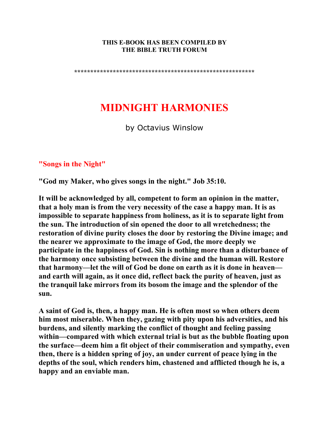#### **THIS E-BOOK HAS BEEN COMPILED BY THE BIBLE TRUTH FORUM**

**\*\*\*\*\*\*\*\*\*\*\*\*\*\*\*\*\*\*\*\*\*\*\*\*\*\*\*\*\*\*\*\*\*\*\*\*\*\*\*\*\*\*\*\*\*\*\*\*\*\*\*\*\*\*\*\*** 

# **MIDNIGHT HARMONIES**

by Octavius Winslow

### **"Songs in the Night"**

**"God my Maker, who gives songs in the night." Job 35:10.** 

**It will be acknowledged by all, competent to form an opinion in the matter, that a holy man is from the very necessity of the case a happy man. It is as impossible to separate happiness from holiness, as it is to separate light from the sun. The introduction of sin opened the door to all wretchedness; the restoration of divine purity closes the door by restoring the Divine image; and the nearer we approximate to the image of God, the more deeply we participate in the happiness of God. Sin is nothing more than a disturbance of the harmony once subsisting between the divine and the human will. Restore that harmony—let the will of God be done on earth as it is done in heaven and earth will again, as it once did, reflect back the purity of heaven, just as the tranquil lake mirrors from its bosom the image and the splendor of the sun.** 

**A saint of God is, then, a happy man. He is often most so when others deem him most miserable. When they, gazing with pity upon his adversities, and his burdens, and silently marking the conflict of thought and feeling passing within—compared with which external trial is but as the bubble floating upon the surface—deem him a fit object of their commiseration and sympathy, even then, there is a hidden spring of joy, an under current of peace lying in the depths of the soul, which renders him, chastened and afflicted though he is, a happy and an enviable man.**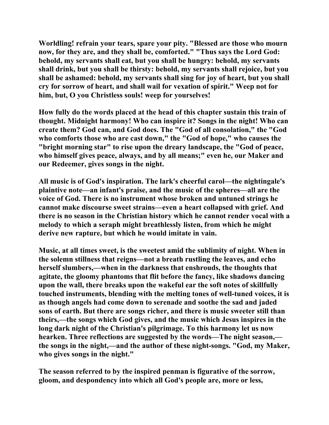**Worldling! refrain your tears, spare your pity. "Blessed are those who mourn now, for they are, and they shall be, comforted." "Thus says the Lord God: behold, my servants shall eat, but you shall be hungry: behold, my servants shall drink, but you shall be thirsty: behold, my servants shall rejoice, but you shall be ashamed: behold, my servants shall sing for joy of heart, but you shall cry for sorrow of heart, and shall wail for vexation of spirit." Weep not for him, but, O you Christless souls! weep for yourselves!** 

**How fully do the words placed at the head of this chapter sustain this train of thought. Midnight harmony! Who can inspire it? Songs in the night! Who can create them? God can, and God does. The "God of all consolation," the "God who comforts those who are cast down," the "God of hope," who causes the "bright morning star" to rise upon the dreary landscape, the "God of peace, who himself gives peace, always, and by all means;" even he, our Maker and our Redeemer, gives songs in the night.** 

**All music is of God's inspiration. The lark's cheerful carol—the nightingale's plaintive note—an infant's praise, and the music of the spheres—all are the voice of God. There is no instrument whose broken and untuned strings he cannot make discourse sweet strains—even a heart collapsed with grief. And there is no season in the Christian history which he cannot render vocal with a melody to which a seraph might breathlessly listen, from which he might derive new rapture, but which he would imitate in vain.** 

**Music, at all times sweet, is the sweetest amid the sublimity of night. When in the solemn stillness that reigns—not a breath rustling the leaves, and echo herself slumbers,—when in the darkness that enshrouds, the thoughts that agitate, the gloomy phantoms that flit before the fancy, like shadows dancing upon the wall, there breaks upon the wakeful ear the soft notes of skillfully touched instruments, blending with the melting tones of well-tuned voices, it is as though angels had come down to serenade and soothe the sad and jaded sons of earth. But there are songs richer, and there is music sweeter still than theirs,—the songs which God gives, and the music which Jesus inspires in the long dark night of the Christian's pilgrimage. To this harmony let us now hearken. Three reflections are suggested by the words—The night season, the songs in the night,—and the author of these night-songs. "God, my Maker, who gives songs in the night."** 

**The season referred to by the inspired penman is figurative of the sorrow, gloom, and despondency into which all God's people are, more or less,**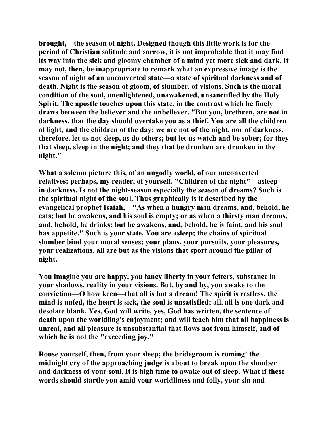**brought,—the season of night. Designed though this little work is for the period of Christian solitude and sorrow, it is not improbable that it may find its way into the sick and gloomy chamber of a mind yet more sick and dark. It may not, then, be inappropriate to remark what an expressive image is the season of night of an unconverted state—a state of spiritual darkness and of death. Night is the season of gloom, of slumber, of visions. Such is the moral condition of the soul, unenlightened, unawakened, unsanctified by the Holy Spirit. The apostle touches upon this state, in the contrast which he finely draws between the believer and the unbeliever. "But you, brethren, are not in darkness, that the day should overtake you as a thief. You are all the children of light, and the children of the day: we are not of the night, nor of darkness, therefore, let us not sleep, as do others; but let us watch and be sober; for they that sleep, sleep in the night; and they that be drunken are drunken in the night."** 

**What a solemn picture this, of an ungodly world, of our unconverted relatives; perhaps, my reader, of yourself. "Children of the night"—asleep in darkness. Is not the night-season especially the season of dreams? Such is the spiritual night of the soul. Thus graphically is it described by the evangelical prophet Isaiah,—"As when a hungry man dreams, and, behold, he eats; but he awakens, and his soul is empty; or as when a thirsty man dreams, and, behold, he drinks; but he awakens, and, behold, he is faint, and his soul has appetite." Such is your state. You are asleep; the chains of spiritual slumber bind your moral senses; your plans, your pursuits, your pleasures, your realizations, all are but as the visions that sport around the pillar of night.** 

**You imagine you are happy, you fancy liberty in your fetters, substance in your shadows, reality in your visions. But, by and by, you awake to the conviction—O how keen—that all is but a dream! The spirit is restless, the mind is unfed, the heart is sick, the soul is unsatisfied; all, all is one dark and desolate blank. Yes, God will write, yes, God has written, the sentence of death upon the worldling's enjoyment; and will teach him that all happiness is unreal, and all pleasure is unsubstantial that flows not from himself, and of which he is not the "exceeding joy."** 

**Rouse yourself, then, from your sleep; the bridegroom is coming! the midnight cry of the approaching judge is about to break upon the slumber and darkness of your soul. It is high time to awake out of sleep. What if these words should startle you amid your worldliness and folly, your sin and**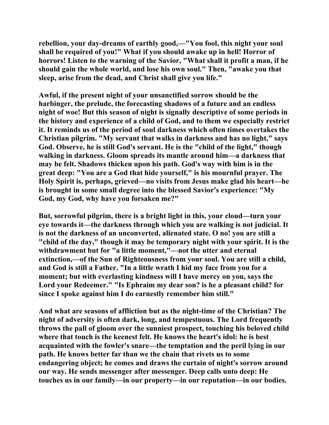**rebellion, your day-dreams of earthly good,—"You fool, this night your soul shall be required of you!" What if you should awake up in hell! Horror of horrors! Listen to the warning of the Savior, "What shall it profit a man, if he should gain the whole world, and lose his own soul." Then, "awake you that sleep, arise from the dead, and Christ shall give you life."** 

**Awful, if the present night of your unsanctified sorrow should be the harbinger, the prelude, the forecasting shadows of a future and an endless night of woe! But this season of night is signally descriptive of some periods in the history and experience of a child of God, and to them we especially restrict it. It reminds us of the period of soul darkness which often times overtakes the Christian pilgrim. "My servant that walks in darkness and has no light," says God. Observe, he is still God's servant. He is the "child of the light," though walking in darkness. Gloom spreads its mantle around him—a darkness that may be felt. Shadows thicken upon his path. God's way with him is in the great deep: "You are a God that hide yourself," is his mournful prayer. The Holy Spirit is, perhaps, grieved—no visits from Jesus make glad his heart—he is brought in some small degree into the blessed Savior's experience: "My God, my God, why have you forsaken me?"** 

**But, sorrowful pilgrim, there is a bright light in this, your cloud—turn your eye towards it—the darkness through which you are walking is not judicial. It is not the darkness of an unconverted, alienated state. O no! you are still a "child of the day," though it may be temporary night with your spirit. It is the withdrawment but for "a little moment,"—not the utter and eternal extinction,—of the Sun of Righteousness from your soul. You are still a child, and God is still a Father. "In a little wrath I hid my face from you for a moment; but with everlasting kindness will I have mercy on you, says the Lord your Redeemer." "Is Ephraim my dear son? is he a pleasant child? for since I spoke against him I do earnestly remember him still."** 

**And what are seasons of affliction but as the night-time of the Christian? The night of adversity is often dark, long, and tempestuous. The Lord frequently throws the pall of gloom over the sunniest prospect, touching his beloved child where that touch is the keenest felt. He knows the heart's idol: he is best acquainted with the fowler's snare—the temptation and the peril lying in our path. He knows better far than we the chain that rivets us to some endangering object; he comes and draws the curtain of night's sorrow around our way. He sends messenger after messenger. Deep calls unto deep: He touches us in our family—in our property—in our reputation—in our bodies.**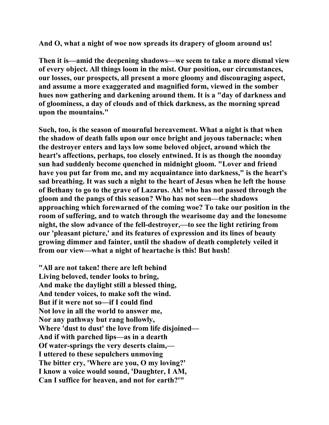**And O, what a night of woe now spreads its drapery of gloom around us!** 

**Then it is—amid the deepening shadows—we seem to take a more dismal view of every object. All things loom in the mist. Our position, our circumstances, our losses, our prospects, all present a more gloomy and discouraging aspect, and assume a more exaggerated and magnified form, viewed in the somber hues now gathering and darkening around them. It is a "day of darkness and of gloominess, a day of clouds and of thick darkness, as the morning spread upon the mountains."** 

**Such, too, is the season of mournful bereavement. What a night is that when the shadow of death falls upon our once bright and joyous tabernacle; when the destroyer enters and lays low some beloved object, around which the heart's affections, perhaps, too closely entwined. It is as though the noonday sun had suddenly become quenched in midnight gloom. "Lover and friend have you put far from me, and my acquaintance into darkness," is the heart's sad breathing. It was such a night to the heart of Jesus when he left the house of Bethany to go to the grave of Lazarus. Ah! who has not passed through the gloom and the pangs of this season? Who has not seen—the shadows approaching which forewarned of the coming woe? To take our position in the room of suffering, and to watch through the wearisome day and the lonesome night, the slow advance of the fell-destroyer,—to see the light retiring from our 'pleasant picture,' and its features of expression and its lines of beauty growing dimmer and fainter, until the shadow of death completely veiled it from our view—what a night of heartache is this! But hush!** 

**"All are not taken! there are left behind Living beloved, tender looks to bring, And make the daylight still a blessed thing, And tender voices, to make soft the wind. But if it were not so—if I could find Not love in all the world to answer me, Nor any pathway but rang hollowly, Where 'dust to dust' the love from life disjoined— And if with parched lips—as in a dearth Of water-springs the very deserts claim,— I uttered to these sepulchers unmoving The bitter cry, 'Where are you, O my loving?' I know a voice would sound, 'Daughter, I AM, Can I suffice for heaven, and not for earth?'"**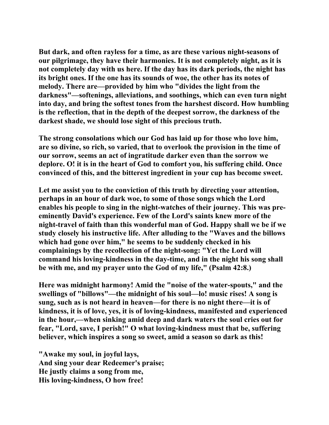**But dark, and often rayless for a time, as are these various night-seasons of our pilgrimage, they have their harmonies. It is not completely night, as it is not completely day with us here. If the day has its dark periods, the night has its bright ones. If the one has its sounds of woe, the other has its notes of melody. There are—provided by him who "divides the light from the darkness"—softenings, alleviations, and soothings, which can even turn night into day, and bring the softest tones from the harshest discord. How humbling is the reflection, that in the depth of the deepest sorrow, the darkness of the darkest shade, we should lose sight of this precious truth.** 

**The strong consolations which our God has laid up for those who love him, are so divine, so rich, so varied, that to overlook the provision in the time of our sorrow, seems an act of ingratitude darker even than the sorrow we deplore. O! it is in the heart of God to comfort you, his suffering child. Once convinced of this, and the bitterest ingredient in your cup has become sweet.** 

**Let me assist you to the conviction of this truth by directing your attention, perhaps in an hour of dark woe, to some of those songs which the Lord enables his people to sing in the night-watches of their journey. This was preeminently David's experience. Few of the Lord's saints knew more of the night-travel of faith than this wonderful man of God. Happy shall we be if we study closely his instructive life. After alluding to the "Waves and the billows which had gone over him," he seems to be suddenly checked in his complainings by the recollection of the night-song: "Yet the Lord will command his loving-kindness in the day-time, and in the night his song shall be with me, and my prayer unto the God of my life," (Psalm 42:8.)** 

**Here was midnight harmony! Amid the "noise of the water-spouts," and the swellings of "billows"—the midnight of his soul—lo! music rises! A song is sung, such as is not heard in heaven—for there is no night there—it is of kindness, it is of love, yes, it is of loving-kindness, manifested and experienced in the hour,—when sinking amid deep and dark waters the soul cries out for fear, "Lord, save, I perish!" O what loving-kindness must that be, suffering believer, which inspires a song so sweet, amid a season so dark as this!** 

**"Awake my soul, in joyful lays, And sing your dear Redeemer's praise; He justly claims a song from me, His loving-kindness, O how free!**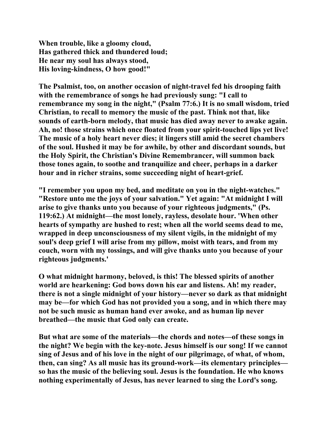**When trouble, like a gloomy cloud, Has gathered thick and thundered loud; He near my soul has always stood, His loving-kindness, O how good!"** 

**The Psalmist, too, on another occasion of night-travel fed his drooping faith with the remembrance of songs he had previously sung: "I call to remembrance my song in the night," (Psalm 77:6.) It is no small wisdom, tried Christian, to recall to memory the music of the past. Think not that, like sounds of earth-born melody, that music has died away never to awake again. Ah, no! those strains which once floated from your spirit-touched lips yet live! The music of a holy heart never dies; it lingers still amid the secret chambers of the soul. Hushed it may be for awhile, by other and discordant sounds, but the Holy Spirit, the Christian's Divine Remembrancer, will summon back those tones again, to soothe and tranquilize and cheer, perhaps in a darker hour and in richer strains, some succeeding night of heart-grief.** 

**"I remember you upon my bed, and meditate on you in the night-watches." "Restore unto me the joys of your salvation." Yet again: "At midnight I will arise to give thanks unto you because of your righteous judgments," (Ps. 119:62.) At midnight—the most lonely, rayless, desolate hour. 'When other hearts of sympathy are hushed to rest; when all the world seems dead to me, wrapped in deep unconsciousness of my silent vigils, in the midnight of my soul's deep grief I will arise from my pillow, moist with tears, and from my couch, worn with my tossings, and will give thanks unto you because of your righteous judgments.'** 

**O what midnight harmony, beloved, is this! The blessed spirits of another world are hearkening: God bows down his ear and listens. Ah! my reader, there is not a single midnight of your history—never so dark as that midnight may be—for which God has not provided you a song, and in which there may not be such music as human hand ever awoke, and as human lip never breathed—the music that God only can create.** 

**But what are some of the materials—the chords and notes—of these songs in the night? We begin with the key-note. Jesus himself is our song! If we cannot sing of Jesus and of his love in the night of our pilgrimage, of what, of whom, then, can sing? As all music has its ground-work—its elementary principles so has the music of the believing soul. Jesus is the foundation. He who knows nothing experimentally of Jesus, has never learned to sing the Lord's song.**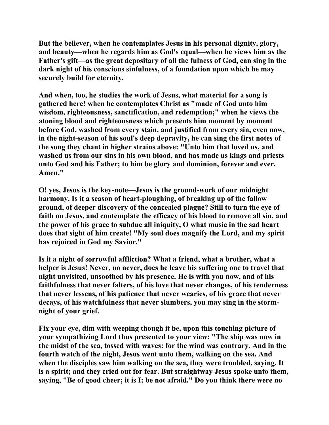**But the believer, when he contemplates Jesus in his personal dignity, glory, and beauty—when he regards him as God's equal—when he views him as the Father's gift—as the great depositary of all the fulness of God, can sing in the dark night of his conscious sinfulness, of a foundation upon which he may securely build for eternity.** 

**And when, too, he studies the work of Jesus, what material for a song is gathered here! when he contemplates Christ as "made of God unto him wisdom, righteousness, sanctification, and redemption;" when he views the atoning blood and righteousness which presents him moment by moment before God, washed from every stain, and justified from every sin, even now, in the night-season of his soul's deep depravity, he can sing the first notes of the song they chant in higher strains above: "Unto him that loved us, and washed us from our sins in his own blood, and has made us kings and priests unto God and his Father; to him be glory and dominion, forever and ever. Amen."** 

**O! yes, Jesus is the key-note—Jesus is the ground-work of our midnight harmony. Is it a season of heart-ploughing, of breaking up of the fallow ground, of deeper discovery of the concealed plague? Still to turn the eye of faith on Jesus, and contemplate the efficacy of his blood to remove all sin, and the power of his grace to subdue all iniquity, O what music in the sad heart does that sight of him create! "My soul does magnify the Lord, and my spirit has rejoiced in God my Savior."** 

**Is it a night of sorrowful affliction? What a friend, what a brother, what a helper is Jesus! Never, no never, does he leave his suffering one to travel that night unvisited, unsoothed by his presence. He is with you now, and of his faithfulness that never falters, of his love that never changes, of his tenderness that never lessens, of his patience that never wearies, of his grace that never decays, of his watchfulness that never slumbers, you may sing in the stormnight of your grief.** 

**Fix your eye, dim with weeping though it be, upon this touching picture of your sympathizing Lord thus presented to your view: "The ship was now in the midst of the sea, tossed with waves: for the wind was contrary. And in the fourth watch of the night, Jesus went unto them, walking on the sea. And when the disciples saw him walking on the sea, they were troubled, saying, It is a spirit; and they cried out for fear. But straightway Jesus spoke unto them, saying, "Be of good cheer; it is I; be not afraid." Do you think there were no**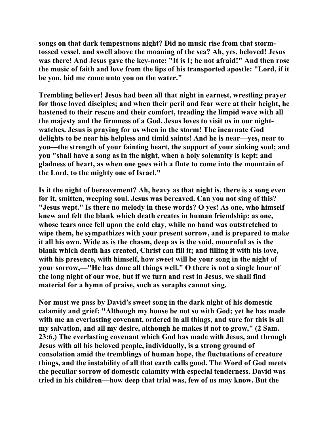**songs on that dark tempestuous night? Did no music rise from that stormtossed vessel, and swell above the moaning of the sea? Ah, yes, beloved! Jesus was there! And Jesus gave the key-note: "It is I; be not afraid!" And then rose the music of faith and love from the lips of his transported apostle: "Lord, if it be you, bid me come unto you on the water."** 

**Trembling believer! Jesus had been all that night in earnest, wrestling prayer for those loved disciples; and when their peril and fear were at their height, he hastened to their rescue and their comfort, treading the limpid wave with all the majesty and the firmness of a God. Jesus loves to visit us in our nightwatches. Jesus is praying for us when in the storm! The incarnate God delights to be near his helpless and timid saints! And he is near—yes, near to you—the strength of your fainting heart, the support of your sinking soul; and you "shall have a song as in the night, when a holy solemnity is kept; and gladness of heart, as when one goes with a flute to come into the mountain of the Lord, to the mighty one of Israel."** 

**Is it the night of bereavement? Ah, heavy as that night is, there is a song even for it, smitten, weeping soul. Jesus was bereaved. Can you not sing of this? "Jesus wept." Is there no melody in these words? O yes! As one, who himself knew and felt the blank which death creates in human friendship: as one, whose tears once fell upon the cold clay, while no hand was outstretched to wipe them, he sympathizes with your present sorrow, and is prepared to make it all his own. Wide as is the chasm, deep as is the void, mournful as is the blank which death has created, Christ can fill it; and filling it with his love, with his presence, with himself, how sweet will be your song in the night of your sorrow,—"He has done all things well." O there is not a single hour of the long night of our woe, but if we turn and rest in Jesus, we shall find material for a hymn of praise, such as seraphs cannot sing.** 

**Nor must we pass by David's sweet song in the dark night of his domestic calamity and grief: "Although my house be not so with God; yet he has made with me an everlasting covenant, ordered in all things, and sure for this is all my salvation, and all my desire, although he makes it not to grow," (2 Sam. 23:6.) The everlasting covenant which God has made with Jesus, and through Jesus with all his beloved people, individually, is a strong ground of consolation amid the tremblings of human hope, the fluctuations of creature things, and the instability of all that earth calls good. The Word of God meets the peculiar sorrow of domestic calamity with especial tenderness. David was tried in his children—how deep that trial was, few of us may know. But the**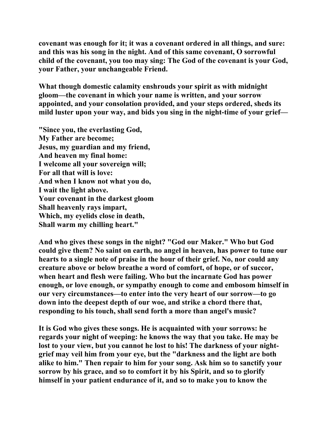**covenant was enough for it; it was a covenant ordered in all things, and sure: and this was his song in the night. And of this same covenant, O sorrowful child of the covenant, you too may sing: The God of the covenant is your God, your Father, your unchangeable Friend.** 

**What though domestic calamity enshrouds your spirit as with midnight gloom—the covenant in which your name is written, and your sorrow appointed, and your consolation provided, and your steps ordered, sheds its mild luster upon your way, and bids you sing in the night-time of your grief—** 

**"Since you, the everlasting God, My Father are become; Jesus, my guardian and my friend, And heaven my final home: I welcome all your sovereign will; For all that will is love: And when I know not what you do, I wait the light above. Your covenant in the darkest gloom Shall heavenly rays impart, Which, my eyelids close in death, Shall warm my chilling heart."** 

**And who gives these songs in the night? "God our Maker." Who but God could give them? No saint on earth, no angel in heaven, has power to tune our hearts to a single note of praise in the hour of their grief. No, nor could any creature above or below breathe a word of comfort, of hope, or of succor, when heart and flesh were failing. Who but the incarnate God has power enough, or love enough, or sympathy enough to come and embosom himself in our very circumstances—to enter into the very heart of our sorrow—to go down into the deepest depth of our woe, and strike a chord there that, responding to his touch, shall send forth a more than angel's music?** 

**It is God who gives these songs. He is acquainted with your sorrows: he regards your night of weeping: he knows the way that you take. He may be lost to your view, but you cannot he lost to his! The darkness of your nightgrief may veil him from your eye, but the "darkness and the light are both alike to him." Then repair to him for your song. Ask him so to sanctify your sorrow by his grace, and so to comfort it by his Spirit, and so to glorify himself in your patient endurance of it, and so to make you to know the**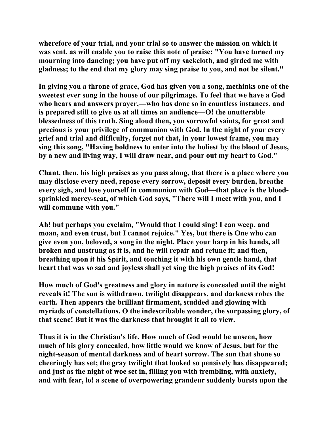**wherefore of your trial, and your trial so to answer the mission on which it was sent, as will enable you to raise this note of praise: "You have turned my mourning into dancing; you have put off my sackcloth, and girded me with gladness; to the end that my glory may sing praise to you, and not be silent."** 

**In giving you a throne of grace, God has given you a song, methinks one of the sweetest ever sung in the house of our pilgrimage. To feel that we have a God who hears and answers prayer,—who has done so in countless instances, and is prepared still to give us at all times an audience—O! the unutterable blessedness of this truth. Sing aloud then, you sorrowful saints, for great and precious is your privilege of communion with God. In the night of your every grief and trial and difficulty, forget not that, in your lowest frame, you may sing this song, "Having boldness to enter into the holiest by the blood of Jesus, by a new and living way, I will draw near, and pour out my heart to God."** 

**Chant, then, his high praises as you pass along, that there is a place where you may disclose every need, repose every sorrow, deposit every burden, breathe every sigh, and lose yourself in communion with God—that place is the bloodsprinkled mercy-seat, of which God says, "There will I meet with you, and I will commune with you."** 

**Ah! but perhaps you exclaim, "Would that I could sing! I can weep, and moan, and even trust, but I cannot rejoice." Yes, but there is One who can give even you, beloved, a song in the night. Place your harp in his hands, all broken and unstrung as it is, and he will repair and retune it; and then, breathing upon it his Spirit, and touching it with his own gentle hand, that heart that was so sad and joyless shall yet sing the high praises of its God!** 

**How much of God's greatness and glory in nature is concealed until the night reveals it! The sun is withdrawn, twilight disappears, and darkness robes the earth. Then appears the brilliant firmament, studded and glowing with myriads of constellations. O the indescribable wonder, the surpassing glory, of that scene! But it was the darkness that brought it all to view.** 

**Thus it is in the Christian's life. How much of God would be unseen, how much of his glory concealed, how little would we know of Jesus, but for the night-season of mental darkness and of heart sorrow. The sun that shone so cheeringly has set; the gray twilight that looked so pensively has disappeared; and just as the night of woe set in, filling you with trembling, with anxiety, and with fear, lo! a scene of overpowering grandeur suddenly bursts upon the**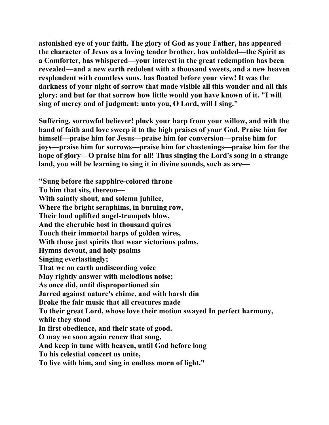**astonished eye of your faith. The glory of God as your Father, has appeared the character of Jesus as a loving tender brother, has unfolded—the Spirit as a Comforter, has whispered—your interest in the great redemption has been revealed—and a new earth redolent with a thousand sweets, and a new heaven resplendent with countless suns, has floated before your view! It was the darkness of your night of sorrow that made visible all this wonder and all this glory: and but for that sorrow how little would you have known of it. "I will sing of mercy and of judgment: unto you, O Lord, will I sing."** 

**Suffering, sorrowful believer! pluck your harp from your willow, and with the hand of faith and love sweep it to the high praises of your God. Praise him for himself—praise him for Jesus—praise him for conversion—praise him for joys—praise him for sorrows—praise him for chastenings—praise him for the hope of glory—O praise him for all! Thus singing the Lord's song in a strange land, you will be learning to sing it in divine sounds, such as are—** 

**"Sung before the sapphire-colored throne To him that sits, thereon— With saintly shout, and solemn jubilee, Where the bright seraphims, in burning row, Their loud uplifted angel-trumpets blow, And the cherubic host in thousand quires Touch their immortal harps of golden wires, With those just spirits that wear victorious palms, Hymns devout, and holy psalms Singing everlastingly; That we on earth undiscording voice May rightly answer with melodious noise; As once did, until disproportioned sin Jarred against nature's chime, and with harsh din Broke the fair music that all creatures made To their great Lord, whose love their motion swayed In perfect harmony, while they stood In first obedience, and their state of good. O may we soon again renew that song, And keep in tune with heaven, until God before long To his celestial concert us unite, To live with him, and sing in endless morn of light."**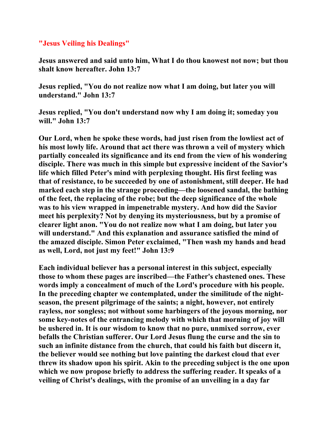## **"Jesus Veiling his Dealings"**

**Jesus answered and said unto him, What I do thou knowest not now; but thou shalt know hereafter. John 13:7** 

**Jesus replied, "You do not realize now what I am doing, but later you will understand." John 13:7** 

**Jesus replied, "You don't understand now why I am doing it; someday you will." John 13:7** 

**Our Lord, when he spoke these words, had just risen from the lowliest act of his most lowly life. Around that act there was thrown a veil of mystery which partially concealed its significance and its end from the view of his wondering disciple. There was much in this simple but expressive incident of the Savior's life which filled Peter's mind with perplexing thought. His first feeling was that of resistance, to be succeeded by one of astonishment, still deeper. He had marked each step in the strange proceeding—the loosened sandal, the bathing of the feet, the replacing of the robe; but the deep significance of the whole was to his view wrapped in impenetrable mystery. And how did the Savior meet his perplexity? Not by denying its mysteriousness, but by a promise of clearer light anon. "You do not realize now what I am doing, but later you will understand." And this explanation and assurance satisfied the mind of the amazed disciple. Simon Peter exclaimed, "Then wash my hands and head as well, Lord, not just my feet!" John 13:9** 

**Each individual believer has a personal interest in this subject, especially those to whom these pages are inscribed—the Father's chastened ones. These words imply a concealment of much of the Lord's procedure with his people. In the preceding chapter we contemplated, under the similitude of the nightseason, the present pilgrimage of the saints; a night, however, not entirely rayless, nor songless; not without some harbingers of the joyous morning, nor some key-notes of the entrancing melody with which that morning of joy will be ushered in. It is our wisdom to know that no pure, unmixed sorrow, ever befalls the Christian sufferer. Our Lord Jesus flung the curse and the sin to such an infinite distance from the church, that could his faith but discern it, the believer would see nothing but love painting the darkest cloud that ever threw its shadow upon his spirit. Akin to the preceding subject is the one upon which we now propose briefly to address the suffering reader. It speaks of a veiling of Christ's dealings, with the promise of an unveiling in a day far**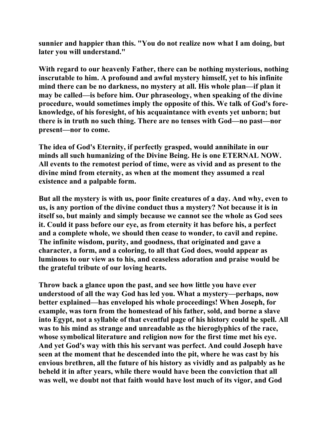**sunnier and happier than this. "You do not realize now what I am doing, but later you will understand."** 

**With regard to our heavenly Father, there can be nothing mysterious, nothing inscrutable to him. A profound and awful mystery himself, yet to his infinite mind there can be no darkness, no mystery at all. His whole plan—if plan it may be called—is before him. Our phraseology, when speaking of the divine procedure, would sometimes imply the opposite of this. We talk of God's foreknowledge, of his foresight, of his acquaintance with events yet unborn; but there is in truth no such thing. There are no tenses with God—no past—nor present—nor to come.** 

**The idea of God's Eternity, if perfectly grasped, would annihilate in our minds all such humanizing of the Divine Being. He is one ETERNAL NOW. All events to the remotest period of time, were as vivid and as present to the divine mind from eternity, as when at the moment they assumed a real existence and a palpable form.** 

**But all the mystery is with us, poor finite creatures of a day. And why, even to us, is any portion of the divine conduct thus a mystery? Not because it is in itself so, but mainly and simply because we cannot see the whole as God sees it. Could it pass before our eye, as from eternity it has before his, a perfect and a complete whole, we should then cease to wonder, to cavil and repine. The infinite wisdom, purity, and goodness, that originated and gave a character, a form, and a coloring, to all that God does, would appear as luminous to our view as to his, and ceaseless adoration and praise would be the grateful tribute of our loving hearts.** 

**Throw back a glance upon the past, and see how little you have ever understood of all the way God has led you. What a mystery—perhaps, now better explained—has enveloped his whole proceedings! When Joseph, for example, was torn from the homestead of his father, sold, and borne a slave into Egypt, not a syllable of that eventful page of his history could he spell. All was to his mind as strange and unreadable as the hieroglyphics of the race, whose symbolical literature and religion now for the first time met his eye. And yet God's way with this his servant was perfect. And could Joseph have seen at the moment that he descended into the pit, where he was cast by his envious brethren, all the future of his history as vividly and as palpably as he beheld it in after years, while there would have been the conviction that all was well, we doubt not that faith would have lost much of its vigor, and God**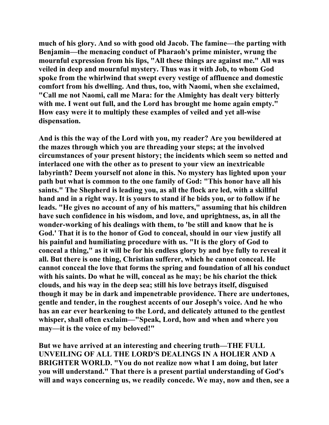**much of his glory. And so with good old Jacob. The famine—the parting with Benjamin—the menacing conduct of Pharaoh's prime minister, wrung the mournful expression from his lips, "All these things are against me." All was veiled in deep and mournful mystery. Thus was it with Job, to whom God spoke from the whirlwind that swept every vestige of affluence and domestic comfort from his dwelling. And thus, too, with Naomi, when she exclaimed, "Call me not Naomi, call me Mara: for the Almighty has dealt very bitterly**  with me. I went out full, and the Lord has brought me home again empty." **How easy were it to multiply these examples of veiled and yet all-wise dispensation.** 

**And is this the way of the Lord with you, my reader? Are you bewildered at the mazes through which you are threading your steps; at the involved circumstances of your present history; the incidents which seem so netted and interlaced one with the other as to present to your view an inextricable labyrinth? Deem yourself not alone in this. No mystery has lighted upon your path but what is common to the one family of God: "This honor have all his saints." The Shepherd is leading you, as all the flock are led, with a skillful hand and in a right way. It is yours to stand if he bids you, or to follow if he leads. "He gives no account of any of his matters," assuming that his children have such confidence in his wisdom, and love, and uprightness, as, in all the wonder-working of his dealings with them, to 'be still and know that he is God.' That it is to the honor of God to conceal, should in our view justify all his painful and humiliating procedure with us. "It is the glory of God to conceal a thing," as it will be for his endless glory by and bye fully to reveal it all. But there is one thing, Christian sufferer, which he cannot conceal. He cannot conceal the love that forms the spring and foundation of all his conduct with his saints. Do what he will, conceal as he may; be his chariot the thick clouds, and his way in the deep sea; still his love betrays itself, disguised though it may be in dark and impenetrable providence. There are undertones, gentle and tender, in the roughest accents of our Joseph's voice. And he who has an ear ever hearkening to the Lord, and delicately attuned to the gentlest whisper, shall often exclaim—"Speak, Lord, how and when and where you may—it is the voice of my beloved!"** 

**But we have arrived at an interesting and cheering truth—THE FULL UNVEILING OF ALL THE LORD'S DEALINGS IN A HOLIER AND A BRIGHTER WORLD. "You do not realize now what I am doing, but later you will understand." That there is a present partial understanding of God's will and ways concerning us, we readily concede. We may, now and then, see a**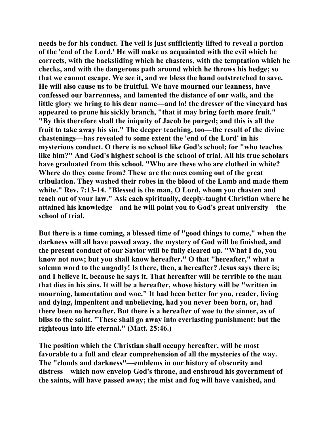**needs be for his conduct. The veil is just sufficiently lifted to reveal a portion of the 'end of the Lord.' He will make us acquainted with the evil which he corrects, with the backsliding which he chastens, with the temptation which he checks, and with the dangerous path around which he throws his hedge; so that we cannot escape. We see it, and we bless the hand outstretched to save. He will also cause us to be fruitful. We have mourned our leanness, have confessed our barrenness, and lamented the distance of our walk, and the little glory we bring to his dear name—and lo! the dresser of the vineyard has appeared to prune his sickly branch, "that it may bring forth more fruit." "By this therefore shall the iniquity of Jacob be purged; and this is all the fruit to take away his sin." The deeper teaching, too—the result of the divine chastenings—has revealed to some extent the 'end of the Lord' in his mysterious conduct. O there is no school like God's school; for "who teaches like him?" And God's highest school is the school of trial. All his true scholars have graduated from this school. "Who are these who are clothed in white? Where do they come from? These are the ones coming out of the great tribulation. They washed their robes in the blood of the Lamb and made them white." Rev. 7:13-14. "Blessed is the man, O Lord, whom you chasten and teach out of your law." Ask each spiritually, deeply-taught Christian where he attained his knowledge—and he will point you to God's great university—the school of trial.** 

**But there is a time coming, a blessed time of "good things to come," when the darkness will all have passed away, the mystery of God will be finished, and the present conduct of our Savior will be fully cleared up. "What I do, you know not now; but you shall know hereafter." O that "hereafter," what a solemn word to the ungodly! Is there, then, a hereafter? Jesus says there is; and I believe it, because he says it. That hereafter will be terrible to the man that dies in his sins. It will be a hereafter, whose history will be "written in mourning, lamentation and woe." It had been better for you, reader, living and dying, impenitent and unbelieving, had you never been born, or, had there been no hereafter. But there is a hereafter of woe to the sinner, as of bliss to the saint. "These shall go away into everlasting punishment: but the righteous into life eternal." (Matt. 25:46.)** 

**The position which the Christian shall occupy hereafter, will be most favorable to a full and clear comprehension of all the mysteries of the way. The "clouds and darkness"—emblems in our history of obscurity and distress—which now envelop God's throne, and enshroud his government of the saints, will have passed away; the mist and fog will have vanished, and**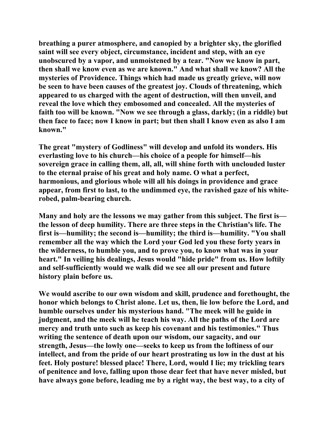**breathing a purer atmosphere, and canopied by a brighter sky, the glorified saint will see every object, circumstance, incident and step, with an eye unobscured by a vapor, and unmoistened by a tear. "Now we know in part, then shall we know even as we are known." And what shall we know? All the mysteries of Providence. Things which had made us greatly grieve, will now be seen to have been causes of the greatest joy. Clouds of threatening, which appeared to us charged with the agent of destruction, will then unveil, and reveal the love which they embosomed and concealed. All the mysteries of faith too will be known. "Now we see through a glass, darkly; (in a riddle) but then face to face; now I know in part; but then shall I know even as also I am known."** 

**The great "mystery of Godliness" will develop and unfold its wonders. His everlasting love to his church—his choice of a people for himself—his sovereign grace in calling them, all, all, will shine forth with unclouded luster to the eternal praise of his great and holy name. O what a perfect, harmonious, and glorious whole will all his doings in providence and grace appear, from first to last, to the undimmed eye, the ravished gaze of his whiterobed, palm-bearing church.** 

**Many and holy are the lessons we may gather from this subject. The first is the lesson of deep humility. There are three steps in the Christian's life. The first is—humility; the second is—humility; the third is—humility. "You shall remember all the way which the Lord your God led you these forty years in the wilderness, to humble you, and to prove you, to know what was in your heart." In veiling his dealings, Jesus would "hide pride" from us. How loftily and self-sufficiently would we walk did we see all our present and future history plain before us.** 

**We would ascribe to our own wisdom and skill, prudence and forethought, the honor which belongs to Christ alone. Let us, then, lie low before the Lord, and humble ourselves under his mysterious hand. "The meek will he guide in judgment, and the meek will he teach his way. All the paths of the Lord are mercy and truth unto such as keep his covenant and his testimonies." Thus writing the sentence of death upon our wisdom, our sagacity, and our strength, Jesus—the lowly one—seeks to keep us from the loftiness of our intellect, and from the pride of our heart prostrating us low in the dust at his feet. Holy posture! blessed place! There, Lord, would I lie; my trickling tears of penitence and love, falling upon those dear feet that have never misled, but have always gone before, leading me by a right way, the best way, to a city of**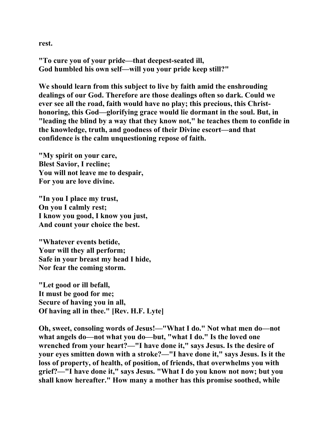**rest.** 

**"To cure you of your pride—that deepest-seated ill, God humbled his own self—will you your pride keep still?"** 

**We should learn from this subject to live by faith amid the enshrouding dealings of our God. Therefore are those dealings often so dark. Could we ever see all the road, faith would have no play; this precious, this Christhonoring, this God—glorifying grace would lie dormant in the soul. But, in "leading the blind by a way that they know not," he teaches them to confide in the knowledge, truth, and goodness of their Divine escort—and that confidence is the calm unquestioning repose of faith.** 

**"My spirit on your care, Blest Savior, I recline; You will not leave me to despair, For you are love divine.** 

**"In you I place my trust, On you I calmly rest; I know you good, I know you just, And count your choice the best.** 

**"Whatever events betide, Your will they all perform; Safe in your breast my head I hide, Nor fear the coming storm.** 

**"Let good or ill befall, It must be good for me; Secure of having you in all, Of having all in thee." [Rev. H.F. Lyte]** 

**Oh, sweet, consoling words of Jesus!—"What I do." Not what men do—not what angels do—not what you do—but, "what I do." Is the loved one wrenched from your heart?—"I have done it," says Jesus. Is the desire of your eyes smitten down with a stroke?—"I have done it," says Jesus. Is it the loss of property, of health, of position, of friends, that overwhelms you with grief?—"I have done it," says Jesus. "What I do you know not now; but you shall know hereafter." How many a mother has this promise soothed, while**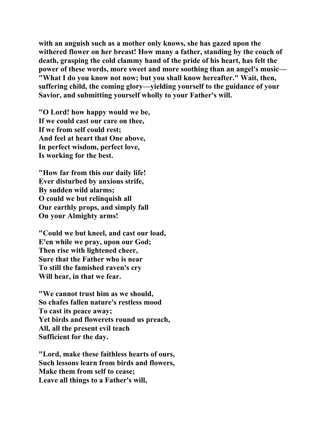**with an anguish such as a mother only knows, she has gazed upon the withered flower on her breast! How many a father, standing by the couch of death, grasping the cold clammy hand of the pride of his heart, has felt the power of these words, more sweet and more soothing than an angel's music— "What I do you know not now; but you shall know hereafter." Wait, then, suffering child, the coming glory—yielding yourself to the guidance of your Savior, and submitting yourself wholly to your Father's will.** 

**"O Lord! how happy would we be, If we could cast our care on thee, If we from self could rest; And feel at heart that One above, In perfect wisdom, perfect love, Is working for the best.** 

**"How far from this our daily life! Ever disturbed by anxious strife, By sudden wild alarms; O could we but relinquish all Our earthly props, and simply fall On your Almighty arms!** 

**"Could we but kneel, and cast our load, E'en while we pray, upon our God; Then rise with lightened cheer, Sure that the Father who is near To still the famished raven's cry Will hear, in that we fear.** 

**"We cannot trust him as we should, So chafes fallen nature's restless mood To cast its peace away; Yet birds and flowerets round us preach, All, all the present evil teach Sufficient for the day.** 

**"Lord, make these faithless hearts of ours, Such lessons learn from birds and flowers, Make them from self to cease; Leave all things to a Father's will,**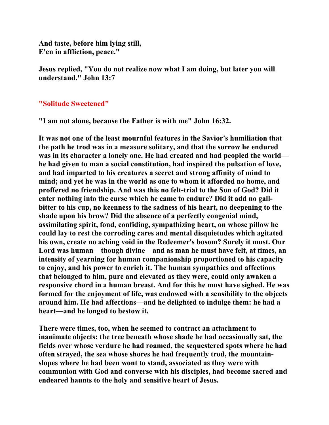**And taste, before him lying still, E'en in affliction, peace."** 

**Jesus replied, "You do not realize now what I am doing, but later you will understand." John 13:7** 

#### **"Solitude Sweetened"**

**"I am not alone, because the Father is with me" John 16:32.** 

**It was not one of the least mournful features in the Savior's humiliation that the path he trod was in a measure solitary, and that the sorrow he endured was in its character a lonely one. He had created and had peopled the world he had given to man a social constitution, had inspired the pulsation of love, and had imparted to his creatures a secret and strong affinity of mind to mind; and yet he was in the world as one to whom it afforded no home, and proffered no friendship. And was this no felt-trial to the Son of God? Did it enter nothing into the curse which he came to endure? Did it add no gallbitter to his cup, no keenness to the sadness of his heart, no deepening to the shade upon his brow? Did the absence of a perfectly congenial mind, assimilating spirit, fond, confiding, sympathizing heart, on whose pillow he could lay to rest the corroding cares and mental disquietudes which agitated his own, create no aching void in the Redeemer's bosom? Surely it must. Our Lord was human—though divine—and as man he must have felt, at times, an intensity of yearning for human companionship proportioned to his capacity to enjoy, and his power to enrich it. The human sympathies and affections that belonged to him, pure and elevated as they were, could only awaken a responsive chord in a human breast. And for this he must have sighed. He was formed for the enjoyment of life, was endowed with a sensibility to the objects around him. He had affections—and he delighted to indulge them: he had a heart—and he longed to bestow it.** 

**There were times, too, when he seemed to contract an attachment to inanimate objects: the tree beneath whose shade he had occasionally sat, the fields over whose verdure he had roamed, the sequestered spots where he had often strayed, the sea whose shores he had frequently trod, the mountainslopes where he had been wont to stand, associated as they were with communion with God and converse with his disciples, had become sacred and endeared haunts to the holy and sensitive heart of Jesus.**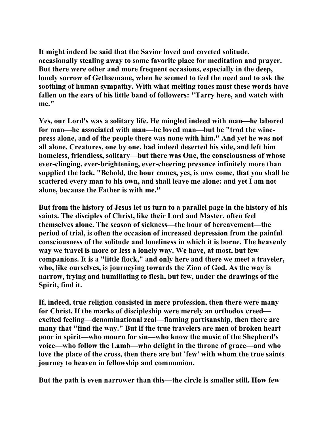**It might indeed be said that the Savior loved and coveted solitude, occasionally stealing away to some favorite place for meditation and prayer. But there were other and more frequent occasions, especially in the deep, lonely sorrow of Gethsemane, when he seemed to feel the need and to ask the soothing of human sympathy. With what melting tones must these words have fallen on the ears of his little band of followers: "Tarry here, and watch with me."** 

**Yes, our Lord's was a solitary life. He mingled indeed with man—he labored for man—he associated with man—he loved man—but he "trod the winepress alone, and of the people there was none with him." And yet he was not all alone. Creatures, one by one, had indeed deserted his side, and left him homeless, friendless, solitary—but there was One, the consciousness of whose ever-clinging, ever-brightening, ever-cheering presence infinitely more than supplied the lack. "Behold, the hour comes, yes, is now come, that you shall be scattered every man to his own, and shall leave me alone: and yet I am not alone, because the Father is with me."** 

**But from the history of Jesus let us turn to a parallel page in the history of his saints. The disciples of Christ, like their Lord and Master, often feel themselves alone. The season of sickness—the hour of bereavement—the period of trial, is often the occasion of increased depression from the painful consciousness of the solitude and loneliness in which it is borne. The heavenly way we travel is more or less a lonely way. We have, at most, but few companions. It is a "little flock," and only here and there we meet a traveler, who, like ourselves, is journeying towards the Zion of God. As the way is narrow, trying and humiliating to flesh, but few, under the drawings of the Spirit, find it.** 

**If, indeed, true religion consisted in mere profession, then there were many for Christ. If the marks of discipleship were merely an orthodox creed excited feeling—denominational zeal—flaming partisanship, then there are many that "find the way." But if the true travelers are men of broken heart poor in spirit—who mourn for sin—who know the music of the Shepherd's voice—who follow the Lamb—who delight in the throne of grace—and who love the place of the cross, then there are but 'few' with whom the true saints journey to heaven in fellowship and communion.** 

**But the path is even narrower than this—the circle is smaller still. How few**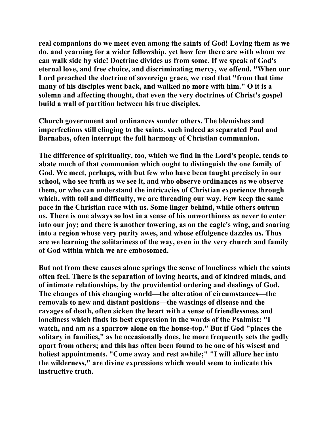**real companions do we meet even among the saints of God! Loving them as we do, and yearning for a wider fellowship, yet how few there are with whom we can walk side by side! Doctrine divides us from some. If we speak of God's eternal love, and free choice, and discriminating mercy, we offend. "When our Lord preached the doctrine of sovereign grace, we read that "from that time many of his disciples went back, and walked no more with him." O it is a solemn and affecting thought, that even the very doctrines of Christ's gospel build a wall of partition between his true disciples.** 

**Church government and ordinances sunder others. The blemishes and imperfections still clinging to the saints, such indeed as separated Paul and Barnabas, often interrupt the full harmony of Christian communion.** 

**The difference of spirituality, too, which we find in the Lord's people, tends to abate much of that communion which ought to distinguish the one family of God. We meet, perhaps, with but few who have been taught precisely in our school, who see truth as we see it, and who observe ordinances as we observe them, or who can understand the intricacies of Christian experience through which, with toil and difficulty, we are threading our way. Few keep the same pace in the Christian race with us. Some linger behind, while others outrun us. There is one always so lost in a sense of his unworthiness as never to enter into our joy; and there is another towering, as on the eagle's wing, and soaring into a region whose very purity awes, and whose effulgence dazzles us. Thus are we learning the solitariness of the way, even in the very church and family of God within which we are embosomed.** 

**But not from these causes alone springs the sense of loneliness which the saints often feel. There is the separation of loving hearts, and of kindred minds, and of intimate relationships, by the providential ordering and dealings of God. The changes of this changing world—the alteration of circumstances—the removals to new and distant positions—the wastings of disease and the ravages of death, often sicken the heart with a sense of friendlessness and loneliness which finds its best expression in the words of the Psalmist: "I watch, and am as a sparrow alone on the house-top." But if God "places the solitary in families," as he occasionally does, he more frequently sets the godly apart from others; and this has often been found to be one of his wisest and holiest appointments. "Come away and rest awhile;" "I will allure her into the wilderness," are divine expressions which would seem to indicate this instructive truth.**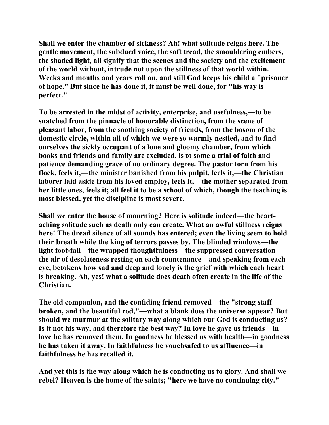**Shall we enter the chamber of sickness? Ah! what solitude reigns here. The gentle movement, the subdued voice, the soft tread, the smouldering embers, the shaded light, all signify that the scenes and the society and the excitement of the world without, intrude not upon the stillness of that world within. Weeks and months and years roll on, and still God keeps his child a "prisoner of hope." But since he has done it, it must be well done, for "his way is perfect."** 

**To be arrested in the midst of activity, enterprise, and usefulness,—to be snatched from the pinnacle of honorable distinction, from the scene of pleasant labor, from the soothing society of friends, from the bosom of the domestic circle, within all of which we were so warmly nestled, and to find ourselves the sickly occupant of a lone and gloomy chamber, from which books and friends and family are excluded, is to some a trial of faith and patience demanding grace of no ordinary degree. The pastor torn from his flock, feels it,—the minister banished from his pulpit, feels it,—the Christian laborer laid aside from his loved employ, feels it,—the mother separated from her little ones, feels it; all feel it to be a school of which, though the teaching is most blessed, yet the discipline is most severe.** 

**Shall we enter the house of mourning? Here is solitude indeed—the heartaching solitude such as death only can create. What an awful stillness reigns here! The dread silence of all sounds has entered; even the living seem to hold their breath while the king of terrors passes by. The blinded windows—the light foot-fall—the wrapped thoughtfulness—the suppressed conversation the air of desolateness resting on each countenance—and speaking from each eye, betokens how sad and deep and lonely is the grief with which each heart is breaking. Ah, yes! what a solitude does death often create in the life of the Christian.** 

**The old companion, and the confiding friend removed—the "strong staff broken, and the beautiful rod,"—what a blank does the universe appear? But should we murmur at the solitary way along which our God is conducting us? Is it not his way, and therefore the best way? In love he gave us friends—in love he has removed them. In goodness he blessed us with health—in goodness he has taken it away. In faithfulness he vouchsafed to us affluence—in faithfulness he has recalled it.** 

**And yet this is the way along which he is conducting us to glory. And shall we rebel? Heaven is the home of the saints; "here we have no continuing city."**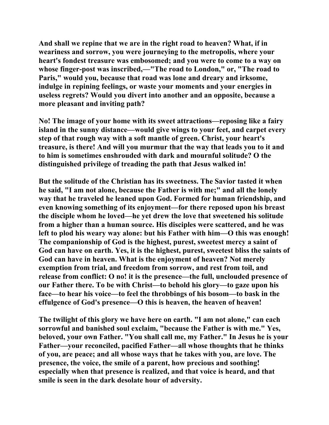**And shall we repine that we are in the right road to heaven? What, if in weariness and sorrow, you were journeying to the metropolis, where your heart's fondest treasure was embosomed; and you were to come to a way on whose finger-post was inscribed,—"The road to London," or, "The road to Paris," would you, because that road was lone and dreary and irksome, indulge in repining feelings, or waste your moments and your energies in useless regrets? Would you divert into another and an opposite, because a more pleasant and inviting path?** 

**No! The image of your home with its sweet attractions—reposing like a fairy island in the sunny distance—would give wings to your feet, and carpet every step of that rough way with a soft mantle of green. Christ, your heart's treasure, is there! And will you murmur that the way that leads you to it and to him is sometimes enshrouded with dark and mournful solitude? O the distinguished privilege of treading the path that Jesus walked in!** 

**But the solitude of the Christian has its sweetness. The Savior tasted it when he said, "I am not alone, because the Father is with me;" and all the lonely way that he traveled he leaned upon God. Formed for human friendship, and even knowing something of its enjoyment—for there reposed upon his breast the disciple whom he loved—he yet drew the love that sweetened his solitude from a higher than a human source. His disciples were scattered, and he was left to plod his weary way alone: but his Father with him—O this was enough! The companionship of God is the highest, purest, sweetest mercy a saint of God can have on earth. Yes, it is the highest, purest, sweetest bliss the saints of God can have in heaven. What is the enjoyment of heaven? Not merely exemption from trial, and freedom from sorrow, and rest from toil, and release from conflict: O no! it is the presence—the full, unclouded presence of our Father there. To be with Christ—to behold his glory—to gaze upon his face—to hear his voice—to feel the throbbings of his bosom—to bask in the effulgence of God's presence—O this is heaven, the heaven of heaven!** 

**The twilight of this glory we have here on earth. "I am not alone," can each sorrowful and banished soul exclaim, "because the Father is with me." Yes, beloved, your own Father. "You shall call me, my Father." In Jesus he is your Father—your reconciled, pacified Father—all whose thoughts that he thinks of you, are peace; and all whose ways that he takes with you, are love. The presence, the voice, the smile of a parent, how precious and soothing! especially when that presence is realized, and that voice is heard, and that smile is seen in the dark desolate hour of adversity.**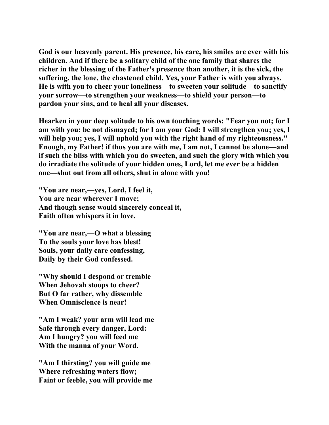**God is our heavenly parent. His presence, his care, his smiles are ever with his children. And if there be a solitary child of the one family that shares the richer in the blessing of the Father's presence than another, it is the sick, the suffering, the lone, the chastened child. Yes, your Father is with you always. He is with you to cheer your loneliness—to sweeten your solitude—to sanctify your sorrow—to strengthen your weakness—to shield your person—to pardon your sins, and to heal all your diseases.** 

**Hearken in your deep solitude to his own touching words: "Fear you not; for I am with you: be not dismayed; for I am your God: I will strengthen you; yes, I will help you; yes, I will uphold you with the right hand of my righteousness." Enough, my Father! if thus you are with me, I am not, I cannot be alone—and if such the bliss with which you do sweeten, and such the glory with which you do irradiate the solitude of your hidden ones, Lord, let me ever be a hidden one—shut out from all others, shut in alone with you!** 

**"You are near,—yes, Lord, I feel it, You are near wherever I move; And though sense would sincerely conceal it, Faith often whispers it in love.** 

**"You are near,—O what a blessing To the souls your love has blest! Souls, your daily care confessing, Daily by their God confessed.** 

**"Why should I despond or tremble When Jehovah stoops to cheer? But O far rather, why dissemble When Omniscience is near!** 

**"Am I weak? your arm will lead me Safe through every danger, Lord: Am I hungry? you will feed me With the manna of your Word.** 

**"Am I thirsting? you will guide me Where refreshing waters flow; Faint or feeble, you will provide me**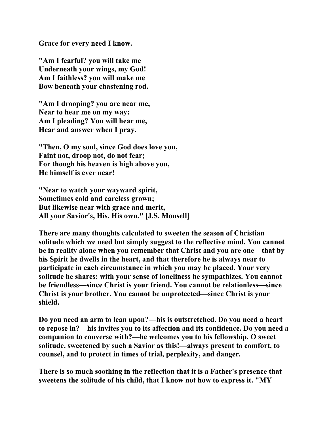**Grace for every need I know.** 

**"Am I fearful? you will take me Underneath your wings, my God! Am I faithless? you will make me Bow beneath your chastening rod.** 

**"Am I drooping? you are near me, Near to hear me on my way: Am I pleading? You will hear me, Hear and answer when I pray.** 

**"Then, O my soul, since God does love you, Faint not, droop not, do not fear; For though his heaven is high above you, He himself is ever near!** 

**"Near to watch your wayward spirit, Sometimes cold and careless grown; But likewise near with grace and merit, All your Savior's, His, His own." [J.S. Monsell]** 

**There are many thoughts calculated to sweeten the season of Christian solitude which we need but simply suggest to the reflective mind. You cannot be in reality alone when you remember that Christ and you are one—that by his Spirit he dwells in the heart, and that therefore he is always near to participate in each circumstance in which you may be placed. Your very solitude he shares: with your sense of loneliness he sympathizes. You cannot be friendless—since Christ is your friend. You cannot be relationless—since Christ is your brother. You cannot be unprotected—since Christ is your shield.** 

**Do you need an arm to lean upon?—his is outstretched. Do you need a heart to repose in?—his invites you to its affection and its confidence. Do you need a companion to converse with?—he welcomes you to his fellowship. O sweet solitude, sweetened by such a Savior as this!—always present to comfort, to counsel, and to protect in times of trial, perplexity, and danger.** 

**There is so much soothing in the reflection that it is a Father's presence that sweetens the solitude of his child, that I know not how to express it. "MY**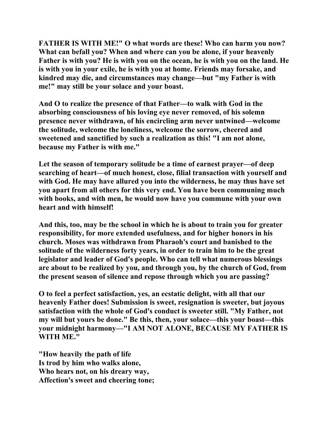**FATHER IS WITH ME!" O what words are these! Who can harm you now? What can befall you? When and where can you be alone, if your heavenly Father is with you? He is with you on the ocean, he is with you on the land. He is with you in your exile, he is with you at home. Friends may forsake, and kindred may die, and circumstances may change—but "my Father is with me!" may still be your solace and your boast.** 

**And O to realize the presence of that Father—to walk with God in the absorbing consciousness of his loving eye never removed, of his solemn presence never withdrawn, of his encircling arm never untwined—welcome the solitude, welcome the loneliness, welcome the sorrow, cheered and sweetened and sanctified by such a realization as this! "I am not alone, because my Father is with me."** 

**Let the season of temporary solitude be a time of earnest prayer—of deep searching of heart—of much honest, close, filial transaction with yourself and with God. He may have allured you into the wilderness, he may thus have set you apart from all others for this very end. You have been communing much with books, and with men, he would now have you commune with your own heart and with himself!** 

**And this, too, may be the school in which he is about to train you for greater responsibility, for more extended usefulness, and for higher honors in his church. Moses was withdrawn from Pharaoh's court and banished to the solitude of the wilderness forty years, in order to train him to be the great legislator and leader of God's people. Who can tell what numerous blessings are about to be realized by you, and through you, by the church of God, from the present season of silence and repose through which you are passing?** 

**O to feel a perfect satisfaction, yes, an ecstatic delight, with all that our heavenly Father does! Submission is sweet, resignation is sweeter, but joyous satisfaction with the whole of God's conduct is sweeter still. "My Father, not my will but yours be done." Be this, then, your solace—this your boast—this your midnight harmony—"I AM NOT ALONE, BECAUSE MY FATHER IS WITH ME."** 

**"How heavily the path of life Is trod by him who walks alone, Who hears not, on his dreary way, Affection's sweet and cheering tone;**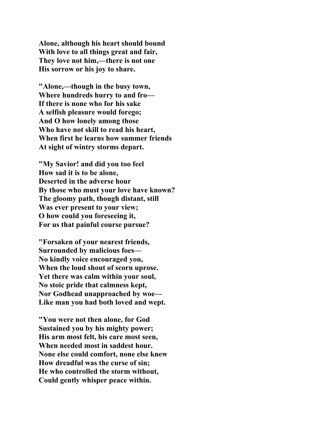**Alone, although his heart should bound With love to all things great and fair, They love not him,—there is not one His sorrow or his joy to share.** 

**"Alone,—though in the busy town, Where hundreds hurry to and fro— If there is none who for his sake A selfish pleasure would forego; And O how lonely among those Who have not skill to read his heart, When first he learns how summer friends At sight of wintry storms depart.** 

**"My Savior! and did you too feel How sad it is to be alone, Deserted in the adverse hour By those who must your love have known? The gloomy path, though distant, still Was ever present to your view; O how could you foreseeing it, For us that painful course pursue?** 

**"Forsaken of your nearest friends, Surrounded by malicious foes— No kindly voice encouraged you, When the loud shout of scorn uprose. Yet there was calm within your soul, No stoic pride that calmness kept, Nor Godhead unapproached by woe— Like man you had both loved and wept.** 

**"You were not then alone, for God Sustained you by his mighty power; His arm most felt, his care most seen, When needed most in saddest hour. None else could comfort, none else knew How dreadful was the curse of sin; He who controlled the storm without, Could gently whisper peace within.**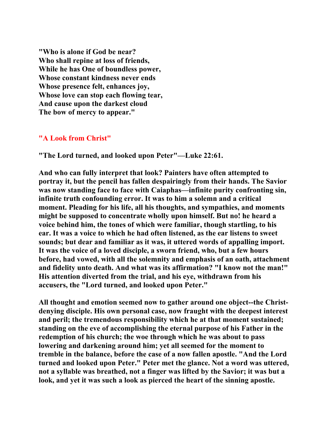**"Who is alone if God be near? Who shall repine at loss of friends, While he has One of boundless power, Whose constant kindness never ends Whose presence felt, enhances joy, Whose love can stop each flowing tear, And cause upon the darkest cloud The bow of mercy to appear."** 

### **"A Look from Christ"**

**"The Lord turned, and looked upon Peter"—Luke 22:61.** 

**And who can fully interpret that look? Painters have often attempted to portray it, but the pencil has fallen despairingly from their hands. The Savior was now standing face to face with Caiaphas—infinite purity confronting sin, infinite truth confounding error. It was to him a solemn and a critical moment. Pleading for his life, all his thoughts, and sympathies, and moments might be supposed to concentrate wholly upon himself. But no! he heard a voice behind him, the tones of which were familiar, though startling, to his ear. It was a voice to which he had often listened, as the ear listens to sweet sounds; but dear and familiar as it was, it uttered words of appalling import. It was the voice of a loved disciple, a sworn friend, who, but a few hours before, had vowed, with all the solemnity and emphasis of an oath, attachment and fidelity unto death. And what was its affirmation? "I know not the man!" His attention diverted from the trial, and his eye, withdrawn from his accusers, the "Lord turned, and looked upon Peter."** 

**All thought and emotion seemed now to gather around one object--the Christdenying disciple. His own personal case, now fraught with the deepest interest and peril; the tremendous responsibility which he at that moment sustained; standing on the eve of accomplishing the eternal purpose of his Father in the redemption of his church; the woe through which he was about to pass lowering and darkening around him; yet all seemed for the moment to tremble in the balance, before the case of a now fallen apostle. "And the Lord turned and looked upon Peter." Peter met the glance. Not a word was uttered, not a syllable was breathed, not a finger was lifted by the Savior; it was but a look, and yet it was such a look as pierced the heart of the sinning apostle.**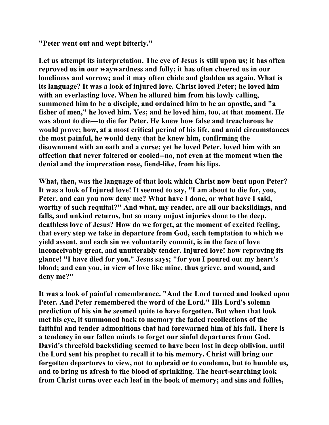**"Peter went out and wept bitterly."** 

**Let us attempt its interpretation. The eye of Jesus is still upon us; it has often reproved us in our waywardness and folly; it has often cheered us in our loneliness and sorrow; and it may often chide and gladden us again. What is its language? It was a look of injured love. Christ loved Peter; he loved him with an everlasting love. When he allured him from his lowly calling, summoned him to be a disciple, and ordained him to be an apostle, and "a fisher of men," he loved him. Yes; and he loved him, too, at that moment. He was about to die—to die for Peter. He knew how false and treacherous he would prove; how, at a most critical period of his life, and amid circumstances the most painful, he would deny that he knew him, confirming the disownment with an oath and a curse; yet he loved Peter, loved him with an affection that never faltered or cooled--no, not even at the moment when the denial and the imprecation rose, fiend-like, from his lips.** 

**What, then, was the language of that look which Christ now bent upon Peter? It was a look of Injured love! It seemed to say, "I am about to die for, you, Peter, and can you now deny me? What have I done, or what have I said, worthy of such requital?" And what, my reader, are all our backslidings, and falls, and unkind returns, but so many unjust injuries done to the deep, deathless love of Jesus? How do we forget, at the moment of excited feeling, that every step we take in departure from God, each temptation to which we yield assent, and each sin we voluntarily commit, is in the face of love inconceivably great, and unutterably tender. Injured love! how reproving its glance! "I have died for you," Jesus says; "for you I poured out my heart's blood; and can you, in view of love like mine, thus grieve, and wound, and deny me?"** 

**It was a look of painful remembrance. "And the Lord turned and looked upon Peter. And Peter remembered the word of the Lord." His Lord's solemn prediction of his sin he seemed quite to have forgotten. But when that look met his eye, it summoned back to memory the faded recollections of the faithful and tender admonitions that had forewarned him of his fall. There is a tendency in our fallen minds to forget our sinful departures from God. David's threefold backsliding seemed to have been lost in deep oblivion, until the Lord sent his prophet to recall it to his memory. Christ will bring our forgotten departures to view, not to upbraid or to condemn, but to humble us, and to bring us afresh to the blood of sprinkling. The heart-searching look from Christ turns over each leaf in the book of memory; and sins and follies,**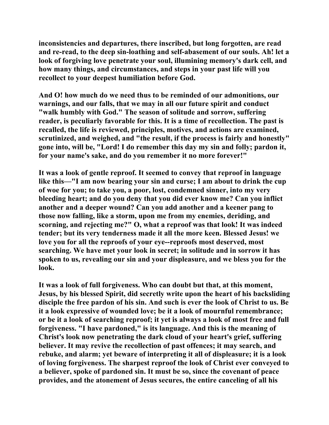**inconsistencies and departures, there inscribed, but long forgotten, are read and re-read, to the deep sin-loathing and self-abasement of our souls. Ah! let a look of forgiving love penetrate your soul, illumining memory's dark cell, and how many things, and circumstances, and steps in your past life will you recollect to your deepest humiliation before God.** 

**And O! how much do we need thus to be reminded of our admonitions, our warnings, and our falls, that we may in all our future spirit and conduct "walk humbly with God." The season of solitude and sorrow, suffering reader, is peculiarly favorable for this. It is a time of recollection. The past is recalled, the life is reviewed, principles, motives, and actions are examined, scrutinized, and weighed, and "the result, if the process is fairly and honestly" gone into, will be, "Lord! I do remember this day my sin and folly; pardon it, for your name's sake, and do you remember it no more forever!"** 

**It was a look of gentle reproof. It seemed to convey that reproof in language like this—"I am now bearing your sin and curse; I am about to drink the cup of woe for you; to take you, a poor, lost, condemned sinner, into my very bleeding heart; and do you deny that you did ever know me? Can you inflict another and a deeper wound? Can you add another and a keener pang to those now falling, like a storm, upon me from my enemies, deriding, and scorning, and rejecting me?" O, what a reproof was that look! It was indeed tender; but its very tenderness made it all the more keen. Blessed Jesus! we love you for all the reproofs of your eye--reproofs most deserved, most searching. We have met your look in secret; in solitude and in sorrow it has spoken to us, revealing our sin and your displeasure, and we bless you for the look.** 

**It was a look of full forgiveness. Who can doubt but that, at this moment, Jesus, by his blessed Spirit, did secretly write upon the heart of his backsliding disciple the free pardon of his sin. And such is ever the look of Christ to us. Be it a look expressive of wounded love; be it a look of mournful remembrance; or be it a look of searching reproof; it yet is always a look of most free and full forgiveness. "I have pardoned," is its language. And this is the meaning of Christ's look now penetrating the dark cloud of your heart's grief, suffering believer. It may revive the recollection of past offences; it may search, and rebuke, and alarm; yet beware of interpreting it all of displeasure; it is a look of loving forgiveness. The sharpest reproof the look of Christ ever conveyed to a believer, spoke of pardoned sin. It must be so, since the covenant of peace provides, and the atonement of Jesus secures, the entire canceling of all his**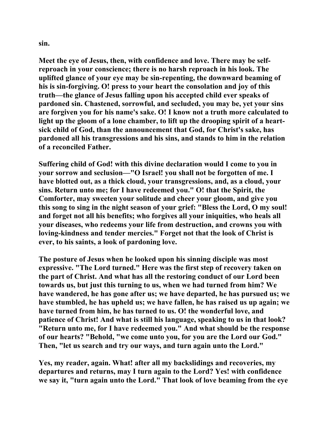**sin.** 

**Meet the eye of Jesus, then, with confidence and love. There may be selfreproach in your conscience; there is no harsh reproach in his look. The uplifted glance of your eye may be sin-repenting, the downward beaming of his is sin-forgiving. O! press to your heart the consolation and joy of this truth—the glance of Jesus falling upon his accepted child ever speaks of pardoned sin. Chastened, sorrowful, and secluded, you may be, yet your sins are forgiven you for his name's sake. O! I know not a truth more calculated to light up the gloom of a lone chamber, to lift up the drooping spirit of a heartsick child of God, than the announcement that God, for Christ's sake, has pardoned all his transgressions and his sins, and stands to him in the relation of a reconciled Father.** 

**Suffering child of God! with this divine declaration would I come to you in your sorrow and seclusion—"O Israel! you shall not be forgotten of me. I have blotted out, as a thick cloud, your transgressions, and, as a cloud, your sins. Return unto me; for I have redeemed you." O! that the Spirit, the Comforter, may sweeten your solitude and cheer your gloom, and give you this song to sing in the night season of your grief: "Bless the Lord, O my soul! and forget not all his benefits; who forgives all your iniquities, who heals all your diseases, who redeems your life from destruction, and crowns you with loving-kindness and tender mercies." Forget not that the look of Christ is ever, to his saints, a look of pardoning love.** 

**The posture of Jesus when he looked upon his sinning disciple was most expressive. "The Lord turned." Here was the first step of recovery taken on the part of Christ. And what has all the restoring conduct of our Lord been towards us, but just this turning to us, when we had turned from him? We have wandered, he has gone after us; we have departed, he has pursued us; we have stumbled, he has upheld us; we have fallen, he has raised us up again; we have turned from him, he has turned to us. O! the wonderful love, and patience of Christ! And what is still his language, speaking to us in that look? "Return unto me, for I have redeemed you." And what should be the response of our hearts? "Behold, "we come unto you, for you are the Lord our God." Then, "let us search and try our ways, and turn again unto the Lord."** 

**Yes, my reader, again. What! after all my backslidings and recoveries, my departures and returns, may I turn again to the Lord? Yes! with confidence we say it, "turn again unto the Lord." That look of love beaming from the eye**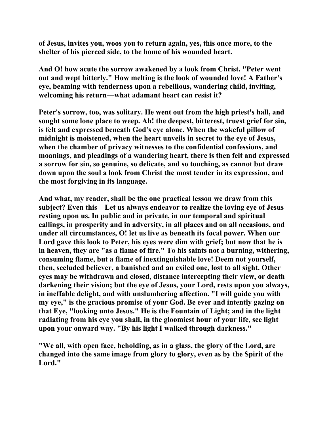**of Jesus, invites you, woos you to return again, yes, this once more, to the shelter of his pierced side, to the home of his wounded heart.** 

**And O! how acute the sorrow awakened by a look from Christ. "Peter went out and wept bitterly." How melting is the look of wounded love! A Father's eye, beaming with tenderness upon a rebellious, wandering child, inviting, welcoming his return—what adamant heart can resist it?** 

**Peter's sorrow, too, was solitary. He went out from the high priest's hall, and sought some lone place to weep. Ah! the deepest, bitterest, truest grief for sin, is felt and expressed beneath God's eye alone. When the wakeful pillow of midnight is moistened, when the heart unveils in secret to the eye of Jesus, when the chamber of privacy witnesses to the confidential confessions, and moanings, and pleadings of a wandering heart, there is then felt and expressed a sorrow for sin, so genuine, so delicate, and so touching, as cannot but draw down upon the soul a look from Christ the most tender in its expression, and the most forgiving in its language.** 

**And what, my reader, shall be the one practical lesson we draw from this subject? Even this—Let us always endeavor to realize the loving eye of Jesus resting upon us. In public and in private, in our temporal and spiritual callings, in prosperity and in adversity, in all places and on all occasions, and under all circumstances, O! let us live as beneath its focal power. When our Lord gave this look to Peter, his eyes were dim with grief; but now that he is in heaven, they are "as a flame of fire." To his saints not a burning, withering, consuming flame, but a flame of inextinguishable love! Deem not yourself, then, secluded believer, a banished and an exiled one, lost to all sight. Other eyes may be withdrawn and closed, distance intercepting their view, or death darkening their vision; but the eye of Jesus, your Lord, rests upon you always, in ineffable delight, and with unslumbering affection. "I will guide you with my eye," is the gracious promise of your God. Be ever and intently gazing on that Eye, "looking unto Jesus." He is the Fountain of Light; and in the light radiating from his eye you shall, in the gloomiest hour of your life, see light upon your onward way. "By his light I walked through darkness."** 

**"We all, with open face, beholding, as in a glass, the glory of the Lord, are changed into the same image from glory to glory, even as by the Spirit of the Lord."**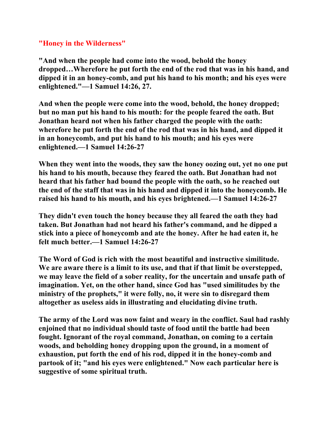**"Honey in the Wilderness"** 

**"And when the people had come into the wood, behold the honey dropped…Wherefore he put forth the end of the rod that was in his hand, and dipped it in an honey-comb, and put his hand to his month; and his eyes were enlightened."—1 Samuel 14:26, 27.** 

**And when the people were come into the wood, behold, the honey dropped; but no man put his hand to his mouth: for the people feared the oath. But Jonathan heard not when his father charged the people with the oath: wherefore he put forth the end of the rod that was in his hand, and dipped it in an honeycomb, and put his hand to his mouth; and his eyes were enlightened.—1 Samuel 14:26-27** 

**When they went into the woods, they saw the honey oozing out, yet no one put his hand to his mouth, because they feared the oath. But Jonathan had not heard that his father had bound the people with the oath, so he reached out the end of the staff that was in his hand and dipped it into the honeycomb. He raised his hand to his mouth, and his eyes brightened.—1 Samuel 14:26-27** 

**They didn't even touch the honey because they all feared the oath they had taken. But Jonathan had not heard his father's command, and he dipped a stick into a piece of honeycomb and ate the honey. After he had eaten it, he felt much better.—1 Samuel 14:26-27** 

**The Word of God is rich with the most beautiful and instructive similitude. We are aware there is a limit to its use, and that if that limit be overstepped, we may leave the field of a sober reality, for the uncertain and unsafe path of imagination. Yet, on the other hand, since God has "used similitudes by the ministry of the prophets," it were folly, no, it were sin to disregard them altogether as useless aids in illustrating and elucidating divine truth.** 

**The army of the Lord was now faint and weary in the conflict. Saul had rashly enjoined that no individual should taste of food until the battle had been fought. Ignorant of the royal command, Jonathan, on coming to a certain woods, and beholding honey dropping upon the ground, in a moment of exhaustion, put forth the end of his rod, dipped it in the honey-comb and partook of it; "and his eyes were enlightened." Now each particular here is suggestive of some spiritual truth.**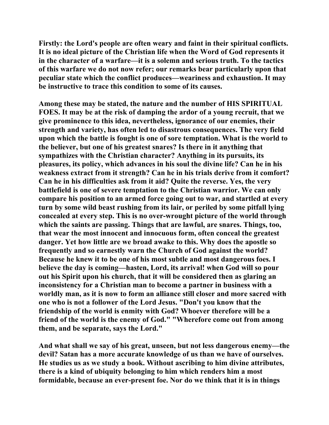**Firstly: the Lord's people are often weary and faint in their spiritual conflicts. It is no ideal picture of the Christian life when the Word of God represents it in the character of a warfare—it is a solemn and serious truth. To the tactics of this warfare we do not now refer; our remarks bear particularly upon that peculiar state which the conflict produces—weariness and exhaustion. It may be instructive to trace this condition to some of its causes.** 

**Among these may be stated, the nature and the number of HIS SPIRITUAL FOES. It may be at the risk of damping the ardor of a young recruit, that we give prominence to this idea, nevertheless, ignorance of our enemies, their strength and variety, has often led to disastrous consequences. The very field upon which the battle is fought is one of sore temptation. What is the world to the believer, but one of his greatest snares? Is there in it anything that sympathizes with the Christian character? Anything in its pursuits, its pleasures, its policy, which advances in his soul the divine life? Can he in his weakness extract from it strength? Can he in his trials derive from it comfort? Can he in his difficulties ask from it aid? Quite the reverse. Yes, the very battlefield is one of severe temptation to the Christian warrior. We can only compare his position to an armed force going out to war, and startled at every turn by some wild beast rushing from its lair, or periled by some pitfall lying concealed at every step. This is no over-wrought picture of the world through which the saints are passing. Things that are lawful, are snares. Things, too, that wear the most innocent and innocuous form, often conceal the greatest danger. Yet how little are we broad awake to this. Why does the apostle so frequently and so earnestly warn the Church of God against the world? Because he knew it to be one of his most subtle and most dangerous foes. I believe the day is coming—hasten, Lord, its arrival! when God will so pour out his Spirit upon his church, that it will be considered then as glaring an inconsistency for a Christian man to become a partner in business with a worldly man, as it is now to form an alliance still closer and more sacred with one who is not a follower of the Lord Jesus. "Don't you know that the friendship of the world is enmity with God? Whoever therefore will be a friend of the world is the enemy of God." "Wherefore come out from among them, and be separate, says the Lord."** 

**And what shall we say of his great, unseen, but not less dangerous enemy—the devil? Satan has a more accurate knowledge of us than we have of ourselves. He studies us as we study a book. Without ascribing to him divine attributes, there is a kind of ubiquity belonging to him which renders him a most formidable, because an ever-present foe. Nor do we think that it is in things**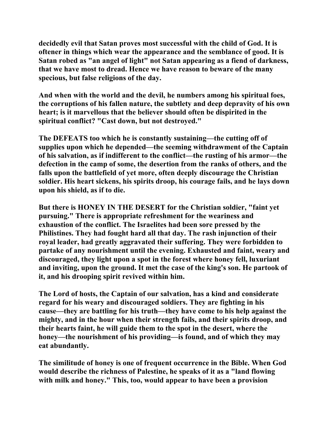**decidedly evil that Satan proves most successful with the child of God. It is oftener in things which wear the appearance and the semblance of good. It is Satan robed as "an angel of light" not Satan appearing as a fiend of darkness, that we have most to dread. Hence we have reason to beware of the many specious, but false religions of the day.** 

**And when with the world and the devil, he numbers among his spiritual foes, the corruptions of his fallen nature, the subtlety and deep depravity of his own heart; is it marvellous that the believer should often be dispirited in the spiritual conflict? "Cast down, but not destroyed."** 

**The DEFEATS too which he is constantly sustaining—the cutting off of supplies upon which he depended—the seeming withdrawment of the Captain of his salvation, as if indifferent to the conflict—the rusting of his armor—the defection in the camp of some, the desertion from the ranks of others, and the falls upon the battlefield of yet more, often deeply discourage the Christian soldier. His heart sickens, his spirits droop, his courage fails, and he lays down upon his shield, as if to die.** 

**But there is HONEY IN THE DESERT for the Christian soldier, "faint yet pursuing." There is appropriate refreshment for the weariness and exhaustion of the conflict. The Israelites had been sore pressed by the Philistines. They had fought hard all that day. The rash injunction of their royal leader, had greatly aggravated their suffering. They were forbidden to partake of any nourishment until the evening. Exhausted and faint, weary and discouraged, they light upon a spot in the forest where honey fell, luxuriant and inviting, upon the ground. It met the case of the king's son. He partook of it, and his drooping spirit revived within him.** 

**The Lord of hosts, the Captain of our salvation, has a kind and considerate regard for his weary and discouraged soldiers. They are fighting in his cause—they are battling for his truth—they have come to his help against the mighty, and in the hour when their strength fails, and their spirits droop, and their hearts faint, he will guide them to the spot in the desert, where the honey—the nourishment of his providing—is found, and of which they may eat abundantly.** 

**The similitude of honey is one of frequent occurrence in the Bible. When God would describe the richness of Palestine, he speaks of it as a "land flowing with milk and honey." This, too, would appear to have been a provision**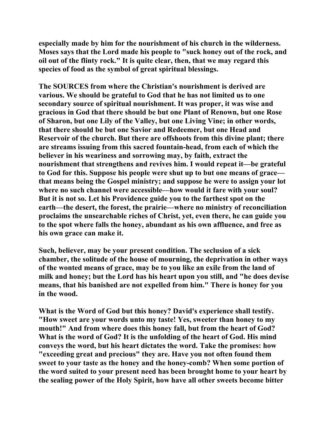**especially made by him for the nourishment of his church in the wilderness. Moses says that the Lord made his people to "suck honey out of the rock, and oil out of the flinty rock." It is quite clear, then, that we may regard this species of food as the symbol of great spiritual blessings.** 

**The SOURCES from where the Christian's nourishment is derived are various. We should be grateful to God that he has not limited us to one secondary source of spiritual nourishment. It was proper, it was wise and gracious in God that there should be but one Plant of Renown, but one Rose of Sharon, but one Lily of the Valley, but one Living Vine; in other words, that there should be but one Savior and Redeemer, but one Head and Reservoir of the church. But there are offshoots from this divine plant; there are streams issuing from this sacred fountain-head, from each of which the believer in his weariness and sorrowing may, by faith, extract the nourishment that strengthens and revives him. I would repeat it—be grateful to God for this. Suppose his people were shut up to but one means of grace that means being the Gospel ministry; and suppose he were to assign your lot where no such channel were accessible—how would it fare with your soul? But it is not so. Let his Providence guide you to the farthest spot on the earth—the desert, the forest, the prairie—where no ministry of reconciliation proclaims the unsearchable riches of Christ, yet, even there, he can guide you to the spot where falls the honey, abundant as his own affluence, and free as his own grace can make it.** 

**Such, believer, may be your present condition. The seclusion of a sick chamber, the solitude of the house of mourning, the deprivation in other ways of the wonted means of grace, may be to you like an exile from the land of milk and honey; but the Lord has his heart upon you still, and "he does devise means, that his banished are not expelled from him." There is honey for you in the wood.** 

**What is the Word of God but this honey? David's experience shall testify. "How sweet are your words unto my taste! Yes, sweeter than honey to my mouth!" And from where does this honey fall, but from the heart of God? What is the word of God? It is the unfolding of the heart of God. His mind conveys the word, but his heart dictates the word. Take the promises: how "exceeding great and precious" they are. Have you not often found them sweet to your taste as the honey and the honey-comb? When some portion of the word suited to your present need has been brought home to your heart by the sealing power of the Holy Spirit, how have all other sweets become bitter**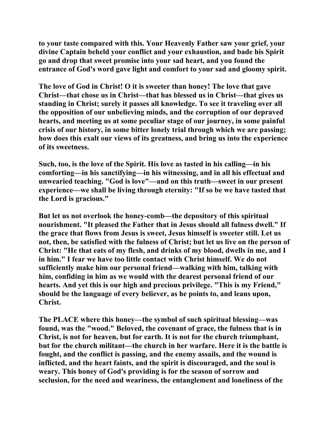**to your taste compared with this. Your Heavenly Father saw your grief, your divine Captain beheld your conflict and your exhaustion, and bade his Spirit go and drop that sweet promise into your sad heart, and you found the entrance of God's word gave light and comfort to your sad and gloomy spirit.** 

**The love of God in Christ! O it is sweeter than honey! The love that gave Christ—that chose us in Christ—that has blessed us in Christ—that gives us standing in Christ; surely it passes all knowledge. To see it traveling over all the opposition of our unbelieving minds, and the corruption of our depraved hearts, and meeting us at some peculiar stage of our journey, in some painful crisis of our history, in some bitter lonely trial through which we are passing; how does this exalt our views of its greatness, and bring us into the experience of its sweetness.** 

**Such, too, is the love of the Spirit. His love as tasted in his calling—in his comforting—in his sanctifying—in his witnessing, and in all his effectual and unwearied teaching. "God is love"—and on this truth—sweet in our present experience—we shall be living through eternity: "If so be we have tasted that the Lord is gracious."** 

**But let us not overlook the honey-comb—the depository of this spiritual nourishment. "It pleased the Father that in Jesus should all fulness dwell." If the grace that flows from Jesus is sweet, Jesus himself is sweeter still. Let us not, then, be satisfied with the fulness of Christ; but let us live on the person of Christ: "He that eats of my flesh, and drinks of my blood, dwells in me, and I in him." I fear we have too little contact with Christ himself. We do not sufficiently make him our personal friend—walking with him, talking with him, confiding in him as we would with the dearest personal friend of our hearts. And yet this is our high and precious privilege. "This is my Friend," should be the language of every believer, as he points to, and leans upon, Christ.** 

**The PLACE where this honey—the symbol of such spiritual blessing—was found, was the "wood." Beloved, the covenant of grace, the fulness that is in Christ, is not for heaven, but for earth. It is not for the church triumphant, but for the church militant—the church in her warfare. Here it is the battle is fought, and the conflict is passing, and the enemy assails, and the wound is inflicted, and the heart faints, and the spirit is discouraged, and the soul is weary. This honey of God's providing is for the season of sorrow and seclusion, for the need and weariness, the entanglement and loneliness of the**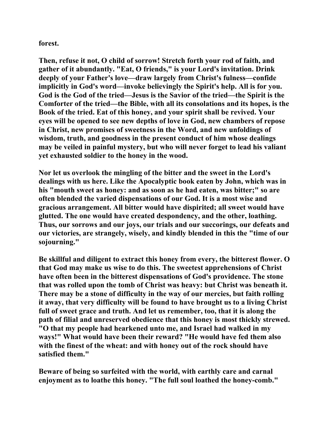**forest.** 

**Then, refuse it not, O child of sorrow! Stretch forth your rod of faith, and gather of it abundantly. "Eat, O friends," is your Lord's invitation. Drink deeply of your Father's love—draw largely from Christ's fulness—confide implicitly in God's word—invoke believingly the Spirit's help. All is for you. God is the God of the tried—Jesus is the Savior of the tried—the Spirit is the Comforter of the tried—the Bible, with all its consolations and its hopes, is the Book of the tried. Eat of this honey, and your spirit shall be revived. Your eyes will be opened to see new depths of love in God, new chambers of repose in Christ, new promises of sweetness in the Word, and new unfoldings of wisdom, truth, and goodness in the present conduct of him whose dealings may be veiled in painful mystery, but who will never forget to lead his valiant yet exhausted soldier to the honey in the wood.** 

**Nor let us overlook the mingling of the bitter and the sweet in the Lord's dealings with us here. Like the Apocalyptic book eaten by John, which was in his "mouth sweet as honey: and as soon as he had eaten, was bitter;" so are often blended the varied dispensations of our God. It is a most wise and gracious arrangement. All bitter would have dispirited; all sweet would have glutted. The one would have created despondency, and the other, loathing. Thus, our sorrows and our joys, our trials and our succorings, our defeats and our victories, are strangely, wisely, and kindly blended in this the "time of our sojourning."** 

**Be skillful and diligent to extract this honey from every, the bitterest flower. O that God may make us wise to do this. The sweetest apprehensions of Christ have often been in the bitterest dispensations of God's providence. The stone that was rolled upon the tomb of Christ was heavy: but Christ was beneath it. There may be a stone of difficulty in the way of our mercies, but faith rolling it away, that very difficulty will be found to have brought us to a living Christ full of sweet grace and truth. And let us remember, too, that it is along the path of filial and unreserved obedience that this honey is most thickly strewed. "O that my people had hearkened unto me, and Israel had walked in my ways!" What would have been their reward? "He would have fed them also with the finest of the wheat: and with honey out of the rock should have satisfied them."** 

**Beware of being so surfeited with the world, with earthly care and carnal enjoyment as to loathe this honey. "The full soul loathed the honey-comb."**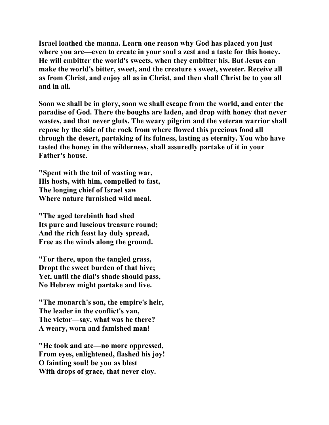**Israel loathed the manna. Learn one reason why God has placed you just where you are—even to create in your soul a zest and a taste for this honey. He will embitter the world's sweets, when they embitter his. But Jesus can make the world's bitter, sweet, and the creature s sweet, sweeter. Receive all as from Christ, and enjoy all as in Christ, and then shall Christ be to you all and in all.** 

**Soon we shall be in glory, soon we shall escape from the world, and enter the paradise of God. There the boughs are laden, and drop with honey that never wastes, and that never gluts. The weary pilgrim and the veteran warrior shall repose by the side of the rock from where flowed this precious food all through the desert, partaking of its fulness, lasting as eternity. You who have tasted the honey in the wilderness, shall assuredly partake of it in your Father's house.** 

**"Spent with the toil of wasting war, His hosts, with him, compelled to fast, The longing chief of Israel saw Where nature furnished wild meal.** 

**"The aged terebinth had shed Its pure and luscious treasure round; And the rich feast lay duly spread, Free as the winds along the ground.** 

**"For there, upon the tangled grass, Dropt the sweet burden of that hive; Yet, until the dial's shade should pass, No Hebrew might partake and live.** 

**"The monarch's son, the empire's heir, The leader in the conflict's van, The victor—say, what was he there? A weary, worn and famished man!** 

**"He took and ate—no more oppressed, From eyes, enlightened, flashed his joy! O fainting soul! be you as blest With drops of grace, that never cloy.**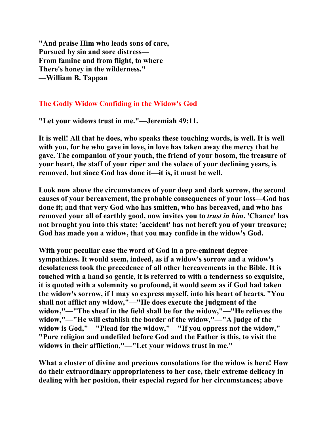**"And praise Him who leads sons of care, Pursued by sin and sore distress— From famine and from flight, to where There's honey in the wilderness." —William B. Tappan** 

## **The Godly Widow Confiding in the Widow's God**

**"Let your widows trust in me."—Jeremiah 49:11.** 

**It is well! All that he does, who speaks these touching words, is well. It is well with you, for he who gave in love, in love has taken away the mercy that he gave. The companion of your youth, the friend of your bosom, the treasure of your heart, the staff of your riper and the solace of your declining years, is removed, but since God has done it—it is, it must be well.** 

**Look now above the circumstances of your deep and dark sorrow, the second causes of your bereavement, the probable consequences of your loss—God has done it; and that very God who has smitten, who has bereaved, and who has removed your all of earthly good, now invites you to** *trust in him***. 'Chance' has not brought you into this state; 'accident' has not bereft you of your treasure; God has made you a widow, that you may confide in the widow's God.** 

**With your peculiar case the word of God in a pre-eminent degree sympathizes. It would seem, indeed, as if a widow's sorrow and a widow's desolateness took the precedence of all other bereavements in the Bible. It is touched with a hand so gentle, it is referred to with a tenderness so exquisite, it is quoted with a solemnity so profound, it would seem as if God had taken the widow's sorrow, if I may so express myself, into his heart of hearts. "You shall not afflict any widow,"—"He does execute the judgment of the widow,"—"The sheaf in the field shall be for the widow,"—"He relieves the widow,"—"He will establish the border of the widow,"—"A judge of the widow is God,"—"Plead for the widow,"—"If you oppress not the widow,"— "Pure religion and undefiled before God and the Father is this, to visit the widows in their affliction,"—"Let your widows trust in me."** 

**What a cluster of divine and precious consolations for the widow is here! How do their extraordinary appropriateness to her case, their extreme delicacy in dealing with her position, their especial regard for her circumstances; above**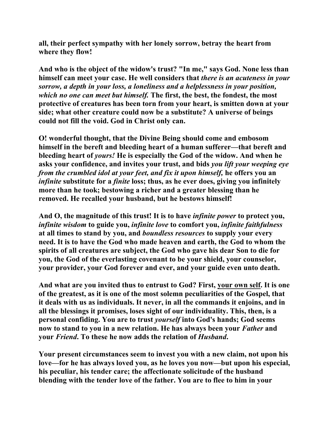**all, their perfect sympathy with her lonely sorrow, betray the heart from where they flow!** 

**And who is the object of the widow's trust? "In me," says God. None less than himself can meet your case. He well considers that** *there is an acuteness in your sorrow, a depth in your loss, a loneliness and a helplessness in your position, which no one can meet but himself.* **The first, the best, the fondest, the most protective of creatures has been torn from your heart, is smitten down at your side; what other creature could now be a substitute? A universe of beings could not fill the void. God in Christ only can.** 

**O! wonderful thought, that the Divine Being should come and embosom himself in the bereft and bleeding heart of a human sufferer—that bereft and bleeding heart of** *yours!* **He is especially the God of the widow. And when he asks your confidence, and invites your trust, and bids** *you lift your weeping eye from the crumbled idol at your feet, and fix it upon himself,* **he offers you an**  *infinite* substitute for a *finite* loss; thus, as he ever does, giving you infinitely **more than he took; bestowing a richer and a greater blessing than he removed. He recalled your husband, but he bestows himself!** 

**And O, the magnitude of this trust! It is to have** *infinite power* **to protect you,**  *infinite wisdom* **to guide you,** *infinite love* **to comfort you,** *infinite faithfulness* **at all times to stand by you, and** *boundless resources* **to supply your every need. It is to have the God who made heaven and earth, the God to whom the spirits of all creatures are subject, the God who gave his dear Son to die for you, the God of the everlasting covenant to be your shield, your counselor, your provider, your God forever and ever, and your guide even unto death.** 

**And what are you invited thus to entrust to God? First, your own self. It is one of the greatest, as it is one of the most solemn peculiarities of the Gospel, that it deals with us as individuals. It never, in all the commands it enjoins, and in all the blessings it promises, loses sight of our individuality. This, then, is a personal confiding. You are to trust** *yourself* **into God's hands; God seems now to stand to you in a new relation. He has always been your** *Father* **and your** *Friend***. To these he now adds the relation of** *Husband***.** 

**Your present circumstances seem to invest you with a new claim, not upon his love—for he has always loved you, as he loves you now—but upon his especial, his peculiar, his tender care; the affectionate solicitude of the husband blending with the tender love of the father. You are to flee to him in your**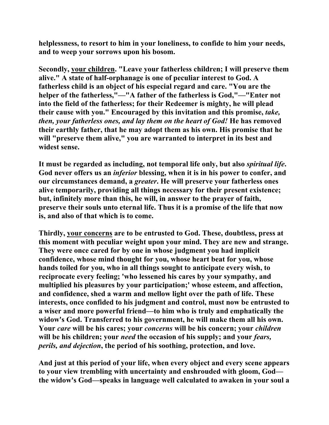**helplessness, to resort to him in your loneliness, to confide to him your needs, and to weep your sorrows upon his bosom.** 

**Secondly, your children. "Leave your fatherless children; I will preserve them alive." A state of half-orphanage is one of peculiar interest to God. A fatherless child is an object of his especial regard and care. "You are the helper of the fatherless,"—"A father of the fatherless is God,"—"Enter not into the field of the fatherless; for their Redeemer is mighty, he will plead their cause with you." Encouraged by this invitation and this promise,** *take, then, your fatherless ones, and lay them on the heart of God!* **He has removed their earthly father, that he may adopt them as his own. His promise that he will "preserve them alive," you are warranted to interpret in its best and widest sense.** 

**It must be regarded as including, not temporal life only, but also** *spiritual life***. God never offers us an** *inferior* **blessing, when it is in his power to confer, and our circumstances demand, a** *greater***. He will preserve your fatherless ones alive temporarily, providing all things necessary for their present existence; but, infinitely more than this, he will, in answer to the prayer of faith, preserve their souls unto eternal life. Thus it is a promise of the life that now is, and also of that which is to come.** 

**Thirdly, your concerns are to be entrusted to God. These, doubtless, press at this moment with peculiar weight upon your mind. They are new and strange. They were once cared for by one in whose judgment you had implicit confidence, whose mind thought for you, whose heart beat for you, whose hands toiled for you, who in all things sought to anticipate every wish, to reciprocate every feeling; 'who lessened his cares by your sympathy, and multiplied his pleasures by your participation;' whose esteem, and affection, and confidence, shed a warm and mellow light over the path of life. These interests, once confided to his judgment and control, must now be entrusted to a wiser and more powerful friend—to him who is truly and emphatically the widow's God. Transferred to his government, he will make them all his own. Your** *care* **will be his cares; your** *concerns* **will be his concern; your** *children* **will be his children; your** *need* **the occasion of his supply; and your** *fears, perils, and dejection***, the period of his soothing, protection, and love.** 

**And just at this period of your life, when every object and every scene appears to your view trembling with uncertainty and enshrouded with gloom, God the widow's God—speaks in language well calculated to awaken in your soul a**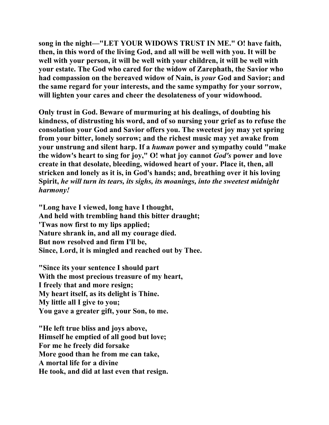**song in the night—"LET YOUR WIDOWS TRUST IN ME." O! have faith, then, in this word of the living God, and all will be well with you. It will be well with your person, it will be well with your children, it will be well with your estate. The God who cared for the widow of Zarephath, the Savior who had compassion on the bereaved widow of Nain, is** *your* **God and Savior; and the same regard for your interests, and the same sympathy for your sorrow, will lighten your cares and cheer the desolateness of your widowhood.** 

**Only trust in God. Beware of murmuring at his dealings, of doubting his kindness, of distrusting his word, and of so nursing your grief as to refuse the consolation your God and Savior offers you. The sweetest joy may yet spring from your bitter, lonely sorrow; and the richest music may yet awake from your unstrung and silent harp. If a** *human* **power and sympathy could "make the widow's heart to sing for joy," O! what joy cannot** *God's* **power and love create in that desolate, bleeding, widowed heart of your. Place it, then, all stricken and lonely as it is, in God's hands; and, breathing over it his loving Spirit,** *he will turn its tears, its sighs, its moanings, into the sweetest midnight harmony!* 

**"Long have I viewed, long have I thought, And held with trembling hand this bitter draught; 'Twas now first to my lips applied; Nature shrank in, and all my courage died. But now resolved and firm I'll be, Since, Lord, it is mingled and reached out by Thee.** 

**"Since its your sentence I should part With the most precious treasure of my heart, I freely that and more resign; My heart itself, as its delight is Thine. My little all I give to you; You gave a greater gift, your Son, to me.** 

**"He left true bliss and joys above, Himself he emptied of all good but love; For me he freely did forsake More good than he from me can take, A mortal life for a divine He took, and did at last even that resign.**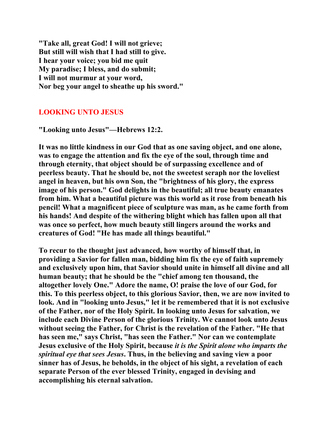**"Take all, great God! I will not grieve; But still will wish that I had still to give. I hear your voice; you bid me quit My paradise; I bless, and do submit; I will not murmur at your word, Nor beg your angel to sheathe up his sword."** 

# **LOOKING UNTO JESUS**

**"Looking unto Jesus"—Hebrews 12:2.** 

**It was no little kindness in our God that as one saving object, and one alone, was to engage the attention and fix the eye of the soul, through time and through eternity, that object should be of surpassing excellence and of peerless beauty. That he should be, not the sweetest seraph nor the loveliest angel in heaven, but his own Son, the "brightness of his glory, the express image of his person." God delights in the beautiful; all true beauty emanates from him. What a beautiful picture was this world as it rose from beneath his pencil! What a magnificent piece of sculpture was man, as he came forth from his hands! And despite of the withering blight which has fallen upon all that was once so perfect, how much beauty still lingers around the works and creatures of God! "He has made all things beautiful."** 

**To recur to the thought just advanced, how worthy of himself that, in providing a Savior for fallen man, bidding him fix the eye of faith supremely and exclusively upon him, that Savior should unite in himself all divine and all human beauty; that he should be the "chief among ten thousand, the altogether lovely One." Adore the name, O! praise the love of our God, for this. To this peerless object, to this glorious Savior, then, we are now invited to look. And in "looking unto Jesus," let it be remembered that it is not exclusive of the Father, nor of the Holy Spirit. In looking unto Jesus for salvation, we include each Divine Person of the glorious Trinity. We cannot look unto Jesus without seeing the Father, for Christ is the revelation of the Father. "He that has seen me," says Christ, "has seen the Father." Nor can we contemplate Jesus exclusive of the Holy Spirit, because** *it is the Spirit alone who imparts the spiritual eye that sees Jesus***. Thus, in the believing and saving view a poor sinner has of Jesus, he beholds, in the object of his sight, a revelation of each separate Person of the ever blessed Trinity, engaged in devising and accomplishing his eternal salvation.**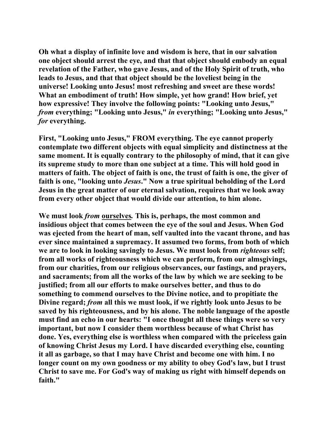**Oh what a display of infinite love and wisdom is here, that in our salvation one object should arrest the eye, and that that object should embody an equal revelation of the Father, who gave Jesus, and of the Holy Spirit of truth, who leads to Jesus, and that that object should be the loveliest being in the universe! Looking unto Jesus! most refreshing and sweet are these words! What an embodiment of truth! How simple, yet how grand! How brief, yet how expressive! They involve the following points: "Looking unto Jesus,"**  *from* **everything; "Looking unto Jesus,"** *in* **everything; "Looking unto Jesus,"**  *for* **everything.** 

**First, "Looking unto Jesus," FROM everything. The eye cannot properly contemplate two different objects with equal simplicity and distinctness at the same moment. It is equally contrary to the philosophy of mind, that it can give its supreme study to more than one subject at a time. This will hold good in matters of faith. The object of faith is one, the trust of faith is one, the giver of faith is one, "looking unto** *Jesus***." Now a true spiritual beholding of the Lord Jesus in the great matter of our eternal salvation, requires that we look away from every other object that would divide our attention, to him alone.** 

**We must look** *from* **ourselves***.* **This is, perhaps, the most common and insidious object that comes between the eye of the soul and Jesus. When God was ejected from the heart of man, self vaulted into the vacant throne, and has ever since maintained a supremacy. It assumed two forms, from both of which we are to look in looking savingly to Jesus. We must look from** *righteous* **self; from all works of righteousness which we can perform, from our almsgivings, from our charities, from our religious observances, our fastings, and prayers, and sacraments; from all the works of the law by which we are seeking to be justified; from all our efforts to make ourselves better, and thus to do something to commend ourselves to the Divine notice, and to propitiate the Divine regard;** *from* **all this we must look, if we rightly look unto Jesus to be saved by his righteousness, and by his alone. The noble language of the apostle must find an echo in our hearts: "I once thought all these things were so very important, but now I consider them worthless because of what Christ has done. Yes, everything else is worthless when compared with the priceless gain of knowing Christ Jesus my Lord. I have discarded everything else, counting it all as garbage, so that I may have Christ and become one with him. I no longer count on my own goodness or my ability to obey God's law, but I trust Christ to save me. For God's way of making us right with himself depends on faith."**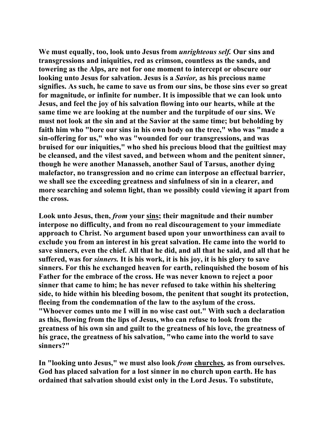**We must equally, too, look unto Jesus from** *unrighteous self.* **Our sins and transgressions and iniquities, red as crimson, countless as the sands, and towering as the Alps, are not for one moment to intercept or obscure our looking unto Jesus for salvation. Jesus is a** *Savior,* **as his precious name signifies. As such, he came to save us from our sins, be those sins ever so great for magnitude, or infinite for number. It is impossible that we can look unto Jesus, and feel the joy of his salvation flowing into our hearts, while at the same time we are looking at the number and the turpitude of our sins. We must not look at the sin and at the Savior at the same time; but beholding by faith him who "bore our sins in his own body on the tree," who was "made a sin-offering for us," who was "wounded for our transgressions, and was bruised for our iniquities," who shed his precious blood that the guiltiest may be cleansed, and the vilest saved, and between whom and the penitent sinner, though he were another Manasseh, another Saul of Tarsus, another dying malefactor, no transgression and no crime can interpose an effectual barrier, we shall see the exceeding greatness and sinfulness of sin in a clearer, and more searching and solemn light, than we possibly could viewing it apart from the cross.** 

**Look unto Jesus, then,** *from* **your sins; their magnitude and their number interpose no difficulty, and from no real discouragement to your immediate approach to Christ. No argument based upon your unworthiness can avail to exclude you from an interest in his great salvation. He came into the world to save sinners, even the chief. All that he did, and all that he said, and all that he suffered, was for** *sinners.* **It is his work, it is his joy, it is his glory to save sinners. For this he exchanged heaven for earth, relinquished the bosom of his Father for the embrace of the cross. He was never known to reject a poor sinner that came to him; he has never refused to take within his sheltering side, to hide within his bleeding bosom, the penitent that sought its protection, fleeing from the condemnation of the law to the asylum of the cross. "Whoever comes unto me I will in no wise cast out." With such a declaration as this, flowing from the lips of Jesus, who can refuse to look from the greatness of his own sin and guilt to the greatness of his love, the greatness of his grace, the greatness of his salvation, "who came into the world to save sinners?"** 

**In "looking unto Jesus," we must also look** *from* **churches***,* **as from ourselves. God has placed salvation for a lost sinner in no church upon earth. He has ordained that salvation should exist only in the Lord Jesus. To substitute,**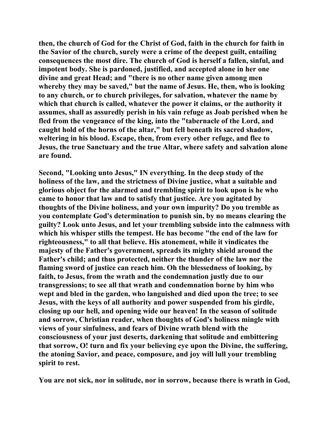**then, the church of God for the Christ of God, faith in the church for faith in the Savior of the church, surely were a crime of the deepest guilt, entailing consequences the most dire. The church of God is herself a fallen, sinful, and impotent body. She is pardoned, justified, and accepted alone in her one divine and great Head; and "there is no other name given among men whereby they may be saved," but the name of Jesus. He, then, who is looking to any church, or to church privileges, for salvation, whatever the name by which that church is called, whatever the power it claims, or the authority it assumes, shall as assuredly perish in his vain refuge as Joab perished when he fled from the vengeance of the king, into the "tabernacle of the Lord, and caught hold of the horns of the altar," but fell beneath its sacred shadow, weltering in his blood. Escape, then, from every other refuge, and flee to Jesus, the true Sanctuary and the true Altar, where safety and salvation alone are found.** 

**Second, "Looking unto Jesus," IN everything. In the deep study of the holiness of the law, and the strictness of Divine justice, what a suitable and glorious object for the alarmed and trembling spirit to look upon is he who came to honor that law and to satisfy that justice. Are you agitated by thoughts of the Divine holiness, and your own impurity? Do you tremble as you contemplate God's determination to punish sin, by no means clearing the guilty? Look unto Jesus, and let your trembling subside into the calmness with which his whisper stills the tempest. He has become "the end of the law for righteousness," to all that believe. His atonement, while it vindicates the majesty of the Father's government, spreads its mighty shield around the Father's child; and thus protected, neither the thunder of the law nor the flaming sword of justice can reach him. Oh the blessedness of looking, by faith, to Jesus, from the wrath and the condemnation justly due to our transgressions; to see all that wrath and condemnation borne by him who wept and bled in the garden, who languished and died upon the tree; to see Jesus, with the keys of all authority and power suspended from his girdle, closing up our hell, and opening wide our heaven! In the season of solitude and sorrow, Christian reader, when thoughts of God's holiness mingle with views of your sinfulness, and fears of Divine wrath blend with the consciousness of your just deserts, darkening that solitude and embittering that sorrow, O! turn and fix your believing eye upon the Divine, the suffering, the atoning Savior, and peace, composure, and joy will lull your trembling spirit to rest.** 

**You are not sick, nor in solitude, nor in sorrow, because there is wrath in God,**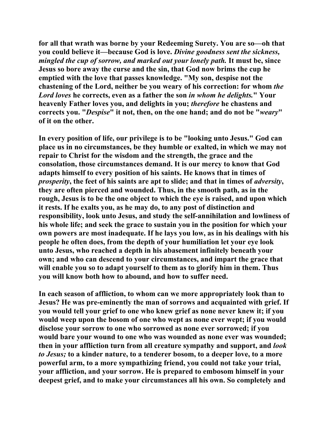**for all that wrath was borne by your Redeeming Surety. You are so—oh that you could believe it—because God is love.** *Divine goodness sent the sickness, mingled the cup of sorrow, and marked out your lonely path.* **It must be, since Jesus so bore away the curse and the sin, that God now brims the cup he emptied with the love that passes knowledge. "My son, despise not the chastening of the Lord, neither be you weary of his correction: for whom** *the Lord loves* **he corrects, even as a father the son** *in whom he delights.***" Your heavenly Father loves you, and delights in you;** *therefore* **he chastens and corrects you. "***Despise***" it not, then, on the one hand; and do not be "***weary***" of it on the other.** 

**In every position of life, our privilege is to be "looking unto Jesus." God can place us in no circumstances, be they humble or exalted, in which we may not repair to Christ for the wisdom and the strength, the grace and the consolation, those circumstances demand. It is our mercy to know that God adapts himself to every position of his saints. He knows that in times of**  *prosperity***, the feet of his saints are apt to slide; and that in times of** *adversity***, they are often pierced and wounded. Thus, in the smooth path, as in the rough, Jesus is to be the one object to which the eye is raised, and upon which it rests. If he exalts you, as he may do, to any post of distinction and responsibility, look unto Jesus, and study the self-annihilation and lowliness of his whole life; and seek the grace to sustain you in the position for which your own powers are most inadequate. If he lays you low, as in his dealings with his people he often does, from the depth of your humiliation let your eye look unto Jesus, who reached a depth in his abasement infinitely beneath your own; and who can descend to your circumstances, and impart the grace that will enable you so to adapt yourself to them as to glorify him in them. Thus you will know both how to abound, and how to suffer need.** 

**In each season of affliction, to whom can we more appropriately look than to Jesus? He was pre-eminently the man of sorrows and acquainted with grief. If you would tell your grief to one who knew grief as none never knew it; if you would weep upon the bosom of one who wept as none ever wept; if you would disclose your sorrow to one who sorrowed as none ever sorrowed; if you would bare your wound to one who was wounded as none ever was wounded; then in your affliction turn from all creature sympathy and support, and** *look to Jesus;* **to a kinder nature, to a tenderer bosom, to a deeper love, to a more powerful arm, to a more sympathizing friend, you could not take your trial, your affliction, and your sorrow. He is prepared to embosom himself in your deepest grief, and to make your circumstances all his own. So completely and**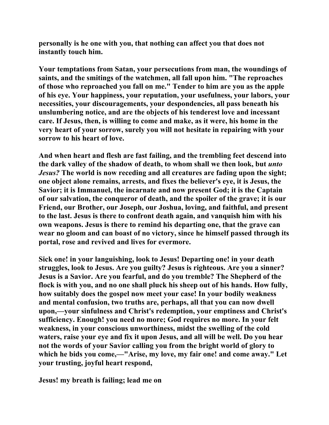**personally is he one with you, that nothing can affect you that does not instantly touch him.** 

**Your temptations from Satan, your persecutions from man, the woundings of saints, and the smitings of the watchmen, all fall upon him. "The reproaches of those who reproached you fall on me." Tender to him are you as the apple of his eye. Your happiness, your reputation, your usefulness, your labors, your necessities, your discouragements, your despondencies, all pass beneath his unslumbering notice, and are the objects of his tenderest love and incessant care. If Jesus, then, is willing to come and make, as it were, his home in the very heart of your sorrow, surely you will not hesitate in repairing with your sorrow to his heart of love.** 

**And when heart and flesh are fast failing, and the trembling feet descend into the dark valley of the shadow of death, to whom shall we then look, but** *unto Jesus?* **The world is now receding and all creatures are fading upon the sight; one object alone remains, arrests, and fixes the believer's eye, it is Jesus, the Savior; it is Immanuel, the incarnate and now present God; it is the Captain of our salvation, the conqueror of death, and the spoiler of the grave; it is our Friend, our Brother, our Joseph, our Joshua, loving, and faithful, and present to the last. Jesus is there to confront death again, and vanquish him with his own weapons. Jesus is there to remind his departing one, that the grave can wear no gloom and can boast of no victory, since he himself passed through its portal, rose and revived and lives for evermore.** 

**Sick one! in your languishing, look to Jesus! Departing one! in your death struggles, look to Jesus. Are you guilty? Jesus is righteous. Are you a sinner? Jesus is a Savior. Are you fearful, and do you tremble? The Shepherd of the flock is with you, and no one shall pluck his sheep out of his hands. How fully, how suitably does the gospel now meet your case! In your bodily weakness and mental confusion, two truths are, perhaps, all that you can now dwell upon,—your sinfulness and Christ's redemption, your emptiness and Christ's sufficiency. Enough! you need no more; God requires no more. In your felt weakness, in your conscious unworthiness, midst the swelling of the cold waters, raise your eye and fix it upon Jesus, and all will be well. Do you hear not the words of your Savior calling you from the bright world of glory to which he bids you come,—"Arise, my love, my fair one! and come away." Let your trusting, joyful heart respond,** 

**Jesus! my breath is failing; lead me on**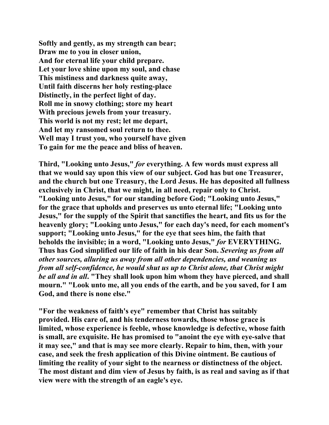**Softly and gently, as my strength can bear; Draw me to you in closer union, And for eternal life your child prepare. Let your love shine upon my soul, and chase This mistiness and darkness quite away, Until faith discerns her holy resting-place Distinctly, in the perfect light of day. Roll me in snowy clothing; store my heart With precious jewels from your treasury. This world is not my rest; let me depart, And let my ransomed soul return to thee. Well may I trust you, who yourself have given To gain for me the peace and bliss of heaven.** 

**Third, "Looking unto Jesus,"** *for* **everything. A few words must express all that we would say upon this view of our subject. God has but one Treasurer, and the church but one Treasury, the Lord Jesus. He has deposited all fullness exclusively in Christ, that we might, in all need, repair only to Christ. "Looking unto Jesus," for our standing before God; "Looking unto Jesus," for the grace that upholds and preserves us unto eternal life; "Looking unto Jesus," for the supply of the Spirit that sanctifies the heart, and fits us for the heavenly glory; "Looking unto Jesus," for each day's need, for each moment's support; "Looking unto Jesus," for the eye that sees him, the faith that beholds the invisible; in a word, "Looking unto Jesus,"** *for* **EVERYTHING. Thus has God simplified our life of faith in his dear Son.** *Severing us from all other sources, alluring us away from all other dependencies, and weaning us from all self-confidence, he would shut us up to Christ alone, that Christ might be all and in all***. "They shall look upon him whom they have pierced, and shall mourn." "Look unto me, all you ends of the earth, and be you saved, for I am God, and there is none else."** 

**"For the weakness of faith's eye" remember that Christ has suitably provided. His care of, and his tenderness towards, those whose grace is limited, whose experience is feeble, whose knowledge is defective, whose faith is small, are exquisite. He has promised to "anoint the eye with eye-salve that it may see," and that is may see more clearly. Repair to him, then, with your case, and seek the fresh application of this Divine ointment. Be cautious of limiting the reality of your sight to the nearness or distinctness of the object. The most distant and dim view of Jesus by faith, is as real and saving as if that view were with the strength of an eagle's eye.**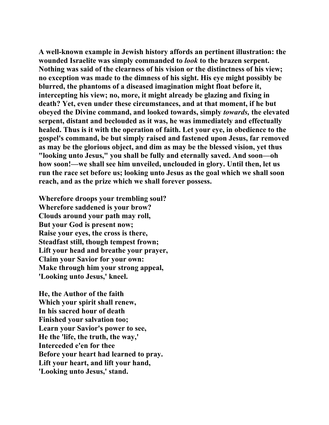**A well-known example in Jewish history affords an pertinent illustration: the wounded Israelite was simply commanded to** *look* **to the brazen serpent. Nothing was said of the clearness of his vision or the distinctness of his view; no exception was made to the dimness of his sight. His eye might possibly be blurred, the phantoms of a diseased imagination might float before it, intercepting his view; no, more, it might already be glazing and fixing in death? Yet, even under these circumstances, and at that moment, if he but obeyed the Divine command, and looked towards, simply** *towards,* **the elevated serpent, distant and beclouded as it was, he was immediately and effectually healed. Thus is it with the operation of faith. Let your eye, in obedience to the gospel's command, be but simply raised and fastened upon Jesus, far removed as may be the glorious object, and dim as may be the blessed vision, yet thus "looking unto Jesus," you shall be fully and eternally saved. And soon—oh how soon!—we shall see him unveiled, unclouded in glory. Until then, let us run the race set before us; looking unto Jesus as the goal which we shall soon reach, and as the prize which we shall forever possess.** 

**Wherefore droops your trembling soul? Wherefore saddened is your brow? Clouds around your path may roll, But your God is present now; Raise your eyes, the cross is there, Steadfast still, though tempest frown; Lift your head and breathe your prayer, Claim your Savior for your own: Make through him your strong appeal, 'Looking unto Jesus,' kneel.** 

**He, the Author of the faith Which your spirit shall renew, In his sacred hour of death Finished your salvation too; Learn your Savior's power to see, He the 'life, the truth, the way,' Interceded e'en for thee Before your heart had learned to pray. Lift your heart, and lift your hand, 'Looking unto Jesus,' stand.**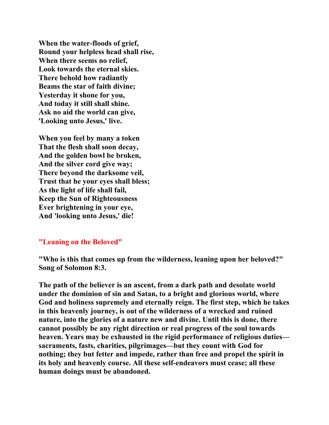**When the water-floods of grief, Round your helpless head shall rise, When there seems no relief, Look towards the eternal skies. There behold how radiantly Beams the star of faith divine; Yesterday it shone for you, And today it still shall shine. Ask no aid the world can give, 'Looking unto Jesus,' live.** 

**When you feel by many a token That the flesh shall soon decay, And the golden bowl be broken, And the silver cord give way; There beyond the darksome veil, Trust that he your eyes shall bless; As the light of life shall fail, Keep the Sun of Righteousness Ever brightening in your eye, And 'looking unto Jesus,' die!** 

#### **"Leaning on the Beloved"**

**"Who is this that comes up from the wilderness, leaning upon her beloved?" Song of Solomon 8:3.** 

**The path of the believer is an ascent, from a dark path and desolate world under the dominion of sin and Satan, to a bright and glorious world, where God and holiness supremely and eternally reign. The first step, which he takes in this heavenly journey, is out of the wilderness of a wrecked and ruined nature, into the glories of a nature new and divine. Until this is done, there cannot possibly be any right direction or real progress of the soul towards heaven. Years may be exhausted in the rigid performance of religious duties sacraments, fasts, charities, pilgrimages—but they count with God for nothing; they but fetter and impede, rather than free and propel the spirit in its holy and heavenly course. All these self-endeavors must cease; all these human doings must be abandoned.**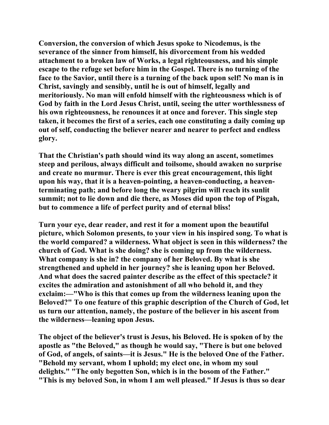**Conversion, the conversion of which Jesus spoke to Nicodemus, is the severance of the sinner from himself, his divorcement from his wedded attachment to a broken law of Works, a legal righteousness, and his simple escape to the refuge set before him in the Gospel. There is no turning of the face to the Savior, until there is a turning of the back upon self! No man is in Christ, savingly and sensibly, until he is out of himself, legally and meritoriously. No man will enfold himself with the righteousness which is of God by faith in the Lord Jesus Christ, until, seeing the utter worthlessness of his own righteousness, he renounces it at once and forever. This single step taken, it becomes the first of a series, each one constituting a daily coming up out of self, conducting the believer nearer and nearer to perfect and endless glory.** 

**That the Christian's path should wind its way along an ascent, sometimes steep and perilous, always difficult and toilsome, should awaken no surprise and create no murmur. There is ever this great encouragement, this light upon his way, that it is a heaven-pointing, a heaven-conducting, a heaventerminating path; and before long the weary pilgrim will reach its sunlit summit; not to lie down and die there, as Moses did upon the top of Pisgah, but to commence a life of perfect purity and of eternal bliss!** 

**Turn your eye, dear reader, and rest it for a moment upon the beautiful picture, which Solomon presents, to your view in his inspired song. To what is the world compared? a wilderness. What object is seen in this wilderness? the church of God. What is she doing? she is coming up from the wilderness. What company is she in? the company of her Beloved. By what is she strengthened and upheld in her journey? she is leaning upon her Beloved. And what does the sacred painter describe as the effect of this spectacle? it excites the admiration and astonishment of all who behold it, and they exclaim:—"Who is this that comes up from the wilderness leaning upon the Beloved?" To one feature of this graphic description of the Church of God, let us turn our attention, namely, the posture of the believer in his ascent from the wilderness—leaning upon Jesus.** 

**The object of the believer's trust is Jesus, his Beloved. He is spoken of by the apostle as "the Beloved," as though he would say, "There is but one beloved of God, of angels, of saints—it is Jesus." He is the beloved One of the Father. "Behold my servant, whom I uphold; my elect one, in whom my soul delights." "The only begotten Son, which is in the bosom of the Father." "This is my beloved Son, in whom I am well pleased." If Jesus is thus so dear**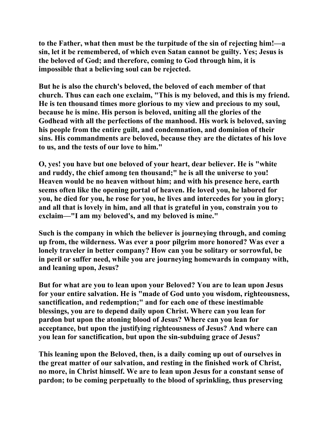**to the Father, what then must be the turpitude of the sin of rejecting him!—a sin, let it be remembered, of which even Satan cannot be guilty. Yes; Jesus is the beloved of God; and therefore, coming to God through him, it is impossible that a believing soul can be rejected.** 

**But he is also the church's beloved, the beloved of each member of that church. Thus can each one exclaim, "This is my beloved, and this is my friend. He is ten thousand times more glorious to my view and precious to my soul, because he is mine. His person is beloved, uniting all the glories of the Godhead with all the perfections of the manhood. His work is beloved, saving his people from the entire guilt, and condemnation, and dominion of their sins. His commandments are beloved, because they are the dictates of his love to us, and the tests of our love to him."** 

**O, yes! you have but one beloved of your heart, dear believer. He is "white and ruddy, the chief among ten thousand;" he is all the universe to you! Heaven would be no heaven without him; and with his presence here, earth seems often like the opening portal of heaven. He loved you, he labored for you, he died for you, he rose for you, he lives and intercedes for you in glory; and all that is lovely in him, and all that is grateful in you, constrain you to exclaim—"I am my beloved's, and my beloved is mine."** 

**Such is the company in which the believer is journeying through, and coming up from, the wilderness. Was ever a poor pilgrim more honored? Was ever a lonely traveler in better company? How can you be solitary or sorrowful, be in peril or suffer need, while you are journeying homewards in company with, and leaning upon, Jesus?** 

**But for what are you to lean upon your Beloved? You are to lean upon Jesus for your entire salvation. He is "made of God unto you wisdom, righteousness, sanctification, and redemption;" and for each one of these inestimable blessings, you are to depend daily upon Christ. Where can you lean for pardon but upon the atoning blood of Jesus? Where can you lean for acceptance, but upon the justifying righteousness of Jesus? And where can you lean for sanctification, but upon the sin-subduing grace of Jesus?** 

**This leaning upon the Beloved, then, is a daily coming up out of ourselves in the great matter of our salvation, and resting in the finished work of Christ, no more, in Christ himself. We are to lean upon Jesus for a constant sense of pardon; to be coming perpetually to the blood of sprinkling, thus preserving**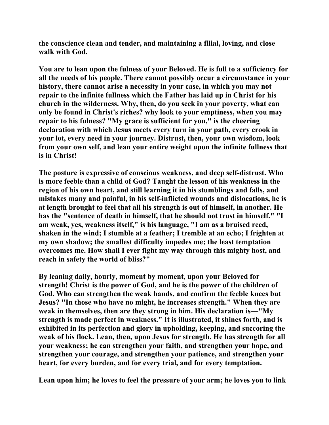**the conscience clean and tender, and maintaining a filial, loving, and close walk with God.** 

**You are to lean upon the fulness of your Beloved. He is full to a sufficiency for all the needs of his people. There cannot possibly occur a circumstance in your history, there cannot arise a necessity in your case, in which you may not repair to the infinite fullness which the Father has laid up in Christ for his church in the wilderness. Why, then, do you seek in your poverty, what can only be found in Christ's riches? why look to your emptiness, when you may repair to his fulness? "My grace is sufficient for you," is the cheering declaration with which Jesus meets every turn in your path, every crook in your lot, every need in your journey. Distrust, then, your own wisdom, look from your own self, and lean your entire weight upon the infinite fullness that is in Christ!** 

**The posture is expressive of conscious weakness, and deep self-distrust. Who is more feeble than a child of God? Taught the lesson of his weakness in the region of his own heart, and still learning it in his stumblings and falls, and mistakes many and painful, in his self-inflicted wounds and dislocations, he is at length brought to feel that all his strength is out of himself, in another. He has the "sentence of death in himself, that he should not trust in himself." "I am weak, yes, weakness itself," is his language, "I am as a bruised reed, shaken in the wind; I stumble at a feather; I tremble at an echo; I frighten at my own shadow; the smallest difficulty impedes me; the least temptation overcomes me. How shall I ever fight my way through this mighty host, and reach in safety the world of bliss?"** 

**By leaning daily, hourly, moment by moment, upon your Beloved for strength! Christ is the power of God, and he is the power of the children of God. Who can strengthen the weak hands, and confirm the feeble knees but Jesus? "In those who have no might, he increases strength." When they are weak in themselves, then are they strong in him. His declaration is—"My strength is made perfect in weakness." It is illustrated, it shines forth, and is exhibited in its perfection and glory in upholding, keeping, and succoring the weak of his flock. Lean, then, upon Jesus for strength. He has strength for all your weakness; he can strengthen your faith, and strengthen your hope, and strengthen your courage, and strengthen your patience, and strengthen your heart, for every burden, and for every trial, and for every temptation.** 

**Lean upon him; he loves to feel the pressure of your arm; he loves you to link**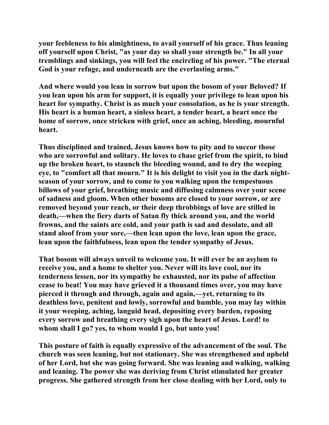**your feebleness to his almightiness, to avail yourself of his grace. Thus leaning off yourself upon Christ, "as your day so shall your strength be." In all your tremblings and sinkings, you will feel the encircling of his power. "The eternal God is your refuge, and underneath are the everlasting arms."** 

**And where would you lean in sorrow but upon the bosom of your Beloved? If you lean upon his arm for support, it is equally your privilege to lean upon his heart for sympathy. Christ is as much your consolation, as he is your strength. His heart is a human heart, a sinless heart, a tender heart, a heart once the home of sorrow, once stricken with grief, once an aching, bleeding, mournful heart.** 

**Thus disciplined and trained, Jesus knows how to pity and to succor those who are sorrowful and solitary. He loves to chase grief from the spirit, to bind up the broken heart, to staunch the bleeding wound, and to dry the weeping eye, to "comfort all that mourn." It is his delight to visit you in the dark nightseason of your sorrow, and to come to you walking upon the tempestuous billows of your grief, breathing music and diffusing calmness over your scene of sadness and gloom. When other bosoms are closed to your sorrow, or are removed beyond your reach, or their deep throbbings of love are stilled in death,—when the fiery darts of Satan fly thick around you, and the world frowns, and the saints are cold, and your path is sad and desolate, and all stand aloof from your sore,—then lean upon the love, lean upon the grace, lean upon the faithfulness, lean upon the tender sympathy of Jesus.** 

**That bosom will always unveil to welcome you. It will ever be an asylum to receive you, and a home to shelter you. Never will its love cool, nor its tenderness lessen, nor its sympathy be exhausted, nor its pulse of affection cease to beat! You may have grieved it a thousand times over, you may have pierced it through and through, again and again,—yet, returning to its deathless love, penitent and lowly, sorrowful and humble, you may lay within it your weeping, aching, languid head, depositing every burden, reposing every sorrow and breathing every sigh upon the heart of Jesus. Lord! to whom shall I go? yes, to whom would I go, but unto you!** 

**This posture of faith is equally expressive of the advancement of the soul. The church was seen leaning, but not stationary. She was strengthened and upheld of her Lord, but she was going forward. She was leaning and walking, walking and leaning. The power she was deriving from Christ stimulated her greater progress. She gathered strength from her close dealing with her Lord, only to**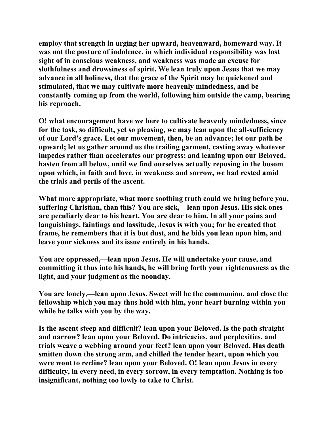**employ that strength in urging her upward, heavenward, homeward way. It was not the posture of indolence, in which individual responsibility was lost sight of in conscious weakness, and weakness was made an excuse for slothfulness and drowsiness of spirit. We lean truly upon Jesus that we may advance in all holiness, that the grace of the Spirit may be quickened and stimulated, that we may cultivate more heavenly mindedness, and be constantly coming up from the world, following him outside the camp, bearing his reproach.** 

**O! what encouragement have we here to cultivate heavenly mindedness, since for the task, so difficult, yet so pleasing, we may lean upon the all-sufficiency of our Lord's grace. Let our movement, then, be an advance; let our path be upward; let us gather around us the trailing garment, casting away whatever impedes rather than accelerates our progress; and leaning upon our Beloved, hasten from all below, until we find ourselves actually reposing in the bosom upon which, in faith and love, in weakness and sorrow, we had rested amid the trials and perils of the ascent.** 

**What more appropriate, what more soothing truth could we bring before you, suffering Christian, than this? You are sick,—lean upon Jesus. His sick ones are peculiarly dear to his heart. You are dear to him. In all your pains and languishings, faintings and lassitude, Jesus is with you; for he created that frame, he remembers that it is but dust, and he bids you lean upon him, and leave your sickness and its issue entirely in his hands.** 

**You are oppressed,—lean upon Jesus. He will undertake your cause, and committing it thus into his hands, he will bring forth your righteousness as the light, and your judgment as the noonday.** 

**You are lonely,—lean upon Jesus. Sweet will be the communion, and close the fellowship which you may thus hold with him, your heart burning within you while he talks with you by the way.** 

**Is the ascent steep and difficult? lean upon your Beloved. Is the path straight and narrow? lean upon your Beloved. Do intricacies, and perplexities, and trials weave a webbing around your feet? lean upon your Beloved. Has death smitten down the strong arm, and chilled the tender heart, upon which you were wont to recline? lean upon your Beloved. O! lean upon Jesus in every difficulty, in every need, in every sorrow, in every temptation. Nothing is too insignificant, nothing too lowly to take to Christ.**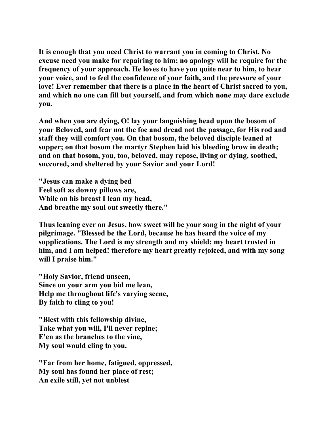**It is enough that you need Christ to warrant you in coming to Christ. No excuse need you make for repairing to him; no apology will he require for the frequency of your approach. He loves to have you quite near to him, to hear your voice, and to feel the confidence of your faith, and the pressure of your love! Ever remember that there is a place in the heart of Christ sacred to you, and which no one can fill but yourself, and from which none may dare exclude you.** 

**And when you are dying, O! lay your languishing head upon the bosom of your Beloved, and fear not the foe and dread not the passage, for His rod and staff they will comfort you. On that bosom, the beloved disciple leaned at supper; on that bosom the martyr Stephen laid his bleeding brow in death; and on that bosom, you, too, beloved, may repose, living or dying, soothed, succored, and sheltered by your Savior and your Lord!** 

**"Jesus can make a dying bed Feel soft as downy pillows are, While on his breast I lean my head, And breathe my soul out sweetly there."** 

**Thus leaning ever on Jesus, how sweet will be your song in the night of your pilgrimage. "Blessed be the Lord, because he has heard the voice of my supplications. The Lord is my strength and my shield; my heart trusted in him, and I am helped! therefore my heart greatly rejoiced, and with my song will I praise him."** 

**"Holy Savior, friend unseen, Since on your arm you bid me lean, Help me throughout life's varying scene, By faith to cling to you!** 

**"Blest with this fellowship divine, Take what you will, I'll never repine; E'en as the branches to the vine, My soul would cling to you.** 

**"Far from her home, fatigued, oppressed, My soul has found her place of rest; An exile still, yet not unblest**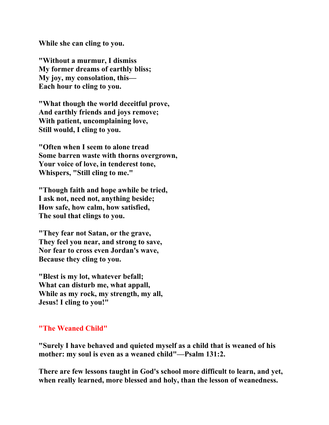**While she can cling to you.** 

**"Without a murmur, I dismiss My former dreams of earthly bliss; My joy, my consolation, this— Each hour to cling to you.** 

**"What though the world deceitful prove, And earthly friends and joys remove; With patient, uncomplaining love, Still would, I cling to you.** 

**"Often when I seem to alone tread Some barren waste with thorns overgrown, Your voice of love, in tenderest tone, Whispers, "Still cling to me."** 

**"Though faith and hope awhile be tried, I ask not, need not, anything beside; How safe, how calm, how satisfied, The soul that clings to you.** 

**"They fear not Satan, or the grave, They feel you near, and strong to save, Nor fear to cross even Jordan's wave, Because they cling to you.** 

**"Blest is my lot, whatever befall; What can disturb me, what appall, While as my rock, my strength, my all, Jesus! I cling to you!"** 

## **"The Weaned Child"**

**"Surely I have behaved and quieted myself as a child that is weaned of his mother: my soul is even as a weaned child"—Psalm 131:2.** 

**There are few lessons taught in God's school more difficult to learn, and yet, when really learned, more blessed and holy, than the lesson of weanedness.**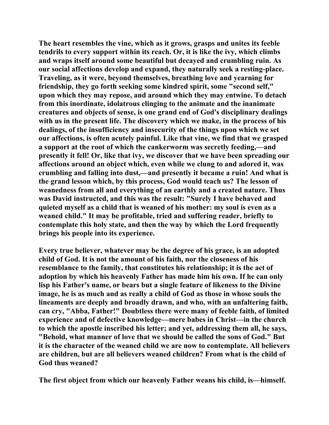**The heart resembles the vine, which as it grows, grasps and unites its feeble tendrils to every support within its reach. Or, it is like the ivy, which climbs and wraps itself around some beautiful but decayed and crumbling ruin. As our social affections develop and expand, they naturally seek a resting-place. Traveling, as it were, beyond themselves, breathing love and yearning for friendship, they go forth seeking some kindred spirit, some "second self," upon which they may repose, and around which they may entwine. To detach from this inordinate, idolatrous clinging to the animate and the inanimate creatures and objects of sense, is one grand end of God's disciplinary dealings with us in the present life. The discovery which we make, in the process of his dealings, of the insufficiency and insecurity of the things upon which we set our affections, is often acutely painful. Like that vine, we find that we grasped a support at the root of which the cankerworm was secretly feeding,—and presently it fell! Or, like that ivy, we discover that we have been spreading our affections around an object which, even while we clung to and adored it, was crumbling and falling into dust,—and presently it became a ruin! And what is the grand lesson which, by this process, God would teach us? The lesson of weanedness from all and everything of an earthly and a created nature. Thus was David instructed, and this was the result: "Surely I have behaved and quieted myself as a child that is weaned of his mother: my soul is even as a weaned child." It may be profitable, tried and suffering reader, briefly to contemplate this holy state, and then the way by which the Lord frequently brings his people into its experience.** 

**Every true believer, whatever may be the degree of his grace, is an adopted child of God. It is not the amount of his faith, nor the closeness of his resemblance to the family, that constitutes his relationship; it is the act of adoption by which his heavenly Father has made him his own. If he can only lisp his Father's name, or bears but a single feature of likeness to the Divine image, he is as much and as really a child of God as those in whose souls the lineaments are deeply and broadly drawn, and who, with an unfaltering faith, can cry, "Abba, Father!" Doubtless there were many of feeble faith, of limited experience and of defective knowledge—mere babes in Christ—in the church to which the apostle inscribed his letter; and yet, addressing them all, he says, "Behold, what manner of love that we should be called the sons of God." But it is the character of the weaned child we are now to contemplate. All believers are children, but are all believers weaned children? From what is the child of God thus weaned?** 

**The first object from which our heavenly Father weans his child, is—himself.**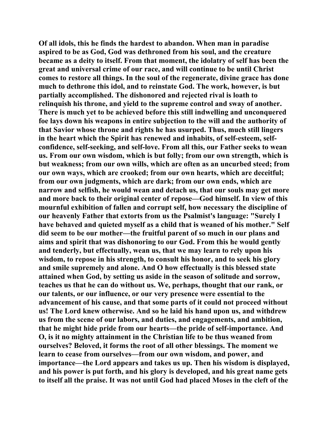**Of all idols, this he finds the hardest to abandon. When man in paradise aspired to be as God, God was dethroned from his soul, and the creature became as a deity to itself. From that moment, the idolatry of self has been the great and universal crime of our race, and will continue to be until Christ comes to restore all things. In the soul of the regenerate, divine grace has done much to dethrone this idol, and to reinstate God. The work, however, is but partially accomplished. The dishonored and rejected rival is loath to relinquish his throne, and yield to the supreme control and sway of another. There is much yet to be achieved before this still indwelling and unconquered foe lays down his weapons in entire subjection to the will and the authority of that Savior whose throne and rights he has usurped. Thus, much still lingers in the heart which the Spirit has renewed and inhabits, of self-esteem, selfconfidence, self-seeking, and self-love. From all this, our Father seeks to wean us. From our own wisdom, which is but folly; from our own strength, which is but weakness; from our own wills, which are often as an uncurbed steed; from our own ways, which are crooked; from our own hearts, which are deceitful; from our own judgments, which are dark; from our own ends, which are narrow and selfish, he would wean and detach us, that our souls may get more and more back to their original center of repose—God himself. In view of this mournful exhibition of fallen and corrupt self, how necessary the discipline of our heavenly Father that extorts from us the Psalmist's language: "Surely I have behaved and quieted myself as a child that is weaned of his mother." Self did seem to be our mother—the fruitful parent of so much in our plans and aims and spirit that was dishonoring to our God. From this he would gently and tenderly, but effectually, wean us, that we may learn to rely upon his wisdom, to repose in his strength, to consult his honor, and to seek his glory and smile supremely and alone. And O how effectually is this blessed state attained when God, by setting us aside in the season of solitude and sorrow, teaches us that he can do without us. We, perhaps, thought that our rank, or our talents, or our influence, or our very presence were essential to the advancement of his cause, and that some parts of it could not proceed without us! The Lord knew otherwise. And so he laid his hand upon us, and withdrew us from the scene of our labors, and duties, and engagements, and ambition, that he might hide pride from our hearts—the pride of self-importance. And O, is it no mighty attainment in the Christian life to be thus weaned from ourselves? Beloved, it forms the root of all other blessings. The moment we learn to cease from ourselves—from our own wisdom, and power, and importance—the Lord appears and takes us up. Then his wisdom is displayed, and his power is put forth, and his glory is developed, and his great name gets to itself all the praise. It was not until God had placed Moses in the cleft of the**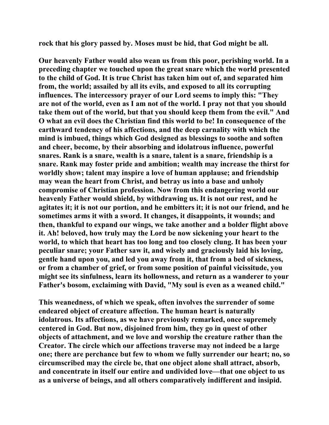**rock that his glory passed by. Moses must be hid, that God might be all.** 

**Our heavenly Father would also wean us from this poor, perishing world. In a preceding chapter we touched upon the great snare which the world presented to the child of God. It is true Christ has taken him out of, and separated him from, the world; assailed by all its evils, and exposed to all its corrupting influences. The intercessory prayer of our Lord seems to imply this: "They are not of the world, even as I am not of the world. I pray not that you should take them out of the world, but that you should keep them from the evil." And O what an evil does the Christian find this world to be! In consequence of the earthward tendency of his affections, and the deep carnality with which the mind is imbued, things which God designed as blessings to soothe and soften and cheer, become, by their absorbing and idolatrous influence, powerful snares. Rank is a snare, wealth is a snare, talent is a snare, friendship is a snare. Rank may foster pride and ambition; wealth may increase the thirst for worldly show; talent may inspire a love of human applause; and friendship may wean the heart from Christ, and betray us into a base and unholy compromise of Christian profession. Now from this endangering world our heavenly Father would shield, by withdrawing us. It is not our rest, and he agitates it; it is not our portion, and he embitters it; it is not our friend, and he sometimes arms it with a sword. It changes, it disappoints, it wounds; and then, thankful to expand our wings, we take another and a bolder flight above it. Ah! beloved, how truly may the Lord be now sickening your heart to the world, to which that heart has too long and too closely clung. It has been your peculiar snare; your Father saw it, and wisely and graciously laid his loving, gentle hand upon you, and led you away from it, that from a bed of sickness, or from a chamber of grief, or from some position of painful vicissitude, you might see its sinfulness, learn its hollowness, and return as a wanderer to your Father's bosom, exclaiming with David, "My soul is even as a weaned child."** 

**This weanedness, of which we speak, often involves the surrender of some endeared object of creature affection. The human heart is naturally idolatrous. Its affections, as we have previously remarked, once supremely centered in God. But now, disjoined from him, they go in quest of other objects of attachment, and we love and worship the creature rather than the Creator. The circle which our affections traverse may not indeed be a large one; there are perchance but few to whom we fully surrender our heart; no, so circumscribed may the circle be, that one object alone shall attract, absorb, and concentrate in itself our entire and undivided love—that one object to us as a universe of beings, and all others comparatively indifferent and insipid.**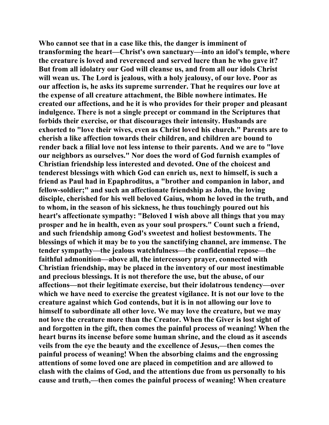**Who cannot see that in a case like this, the danger is imminent of transforming the heart—Christ's own sanctuary—into an idol's temple, where the creature is loved and reverenced and served lucre than he who gave it? But from all idolatry our God will cleanse us, and from all our idols Christ will wean us. The Lord is jealous, with a holy jealousy, of our love. Poor as our affection is, he asks its supreme surrender. That he requires our love at the expense of all creature attachment, the Bible nowhere intimates. He created our affections, and he it is who provides for their proper and pleasant indulgence. There is not a single precept or command in the Scriptures that forbids their exercise, or that discourages their intensity. Husbands are exhorted to "love their wives, even as Christ loved his church." Parents are to cherish a like affection towards their children, and children are bound to render back a filial love not less intense to their parents. And we are to "love our neighbors as ourselves." Nor does the word of God furnish examples of Christian friendship less interested and devoted. One of the choicest and tenderest blessings with which God can enrich us, next to himself, is such a friend as Paul had in Epaphroditus, a "brother and companion in labor, and fellow-soldier;" and such an affectionate friendship as John, the loving disciple, cherished for his well beloved Gaius, whom he loved in the truth, and to whom, in the season of his sickness, he thus touchingly poured out his heart's affectionate sympathy: "Beloved I wish above all things that you may prosper and he in health, even as your soul prospers." Count such a friend, and such friendship among God's sweetest and holiest bestowments. The blessings of which it may be to you the sanctifying channel, are immense. The tender sympathy—the jealous watchfulness—the confidential repose—the faithful admonition—above all, the intercessory prayer, connected with Christian friendship, may be placed in the inventory of our most inestimable and precious blessings. It is not therefore the use, but the abuse, of our affections—not their legitimate exercise, but their idolatrous tendency—over which we have need to exercise the greatest vigilance. It is not our love to the creature against which God contends, but it is in not allowing our love to himself to subordinate all other love. We may love the creature, but we may not love the creature more than the Creator. When the Giver is lost sight of and forgotten in the gift, then comes the painful process of weaning! When the heart burns its incense before some human shrine, and the cloud as it ascends veils from the eye the beauty and the excellence of Jesus,—then comes the painful process of weaning! When the absorbing claims and the engrossing attentions of some loved one are placed in competition and are allowed to clash with the claims of God, and the attentions due from us personally to his cause and truth,—then comes the painful process of weaning! When creature**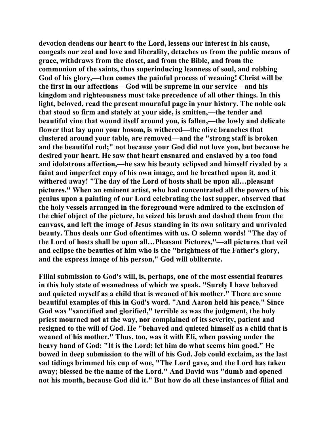**devotion deadens our heart to the Lord, lessens our interest in his cause, congeals our zeal and love and liberality, detaches us from the public means of grace, withdraws from the closet, and from the Bible, and from the communion of the saints, thus superinducing leanness of soul, and robbing God of his glory,—then comes the painful process of weaning! Christ will be the first in our affections—God will be supreme in our service—and his kingdom and righteousness must take precedence of all other things. In this light, beloved, read the present mournful page in your history. The noble oak that stood so firm and stately at your side, is smitten,—the tender and beautiful vine that wound itself around you, is fallen,—the lowly and delicate flower that lay upon your bosom, is withered—the olive branches that clustered around your table, are removed—and the "strong staff is broken and the beautiful rod;" not because your God did not love you, but because he desired your heart. He saw that heart ensnared and enslaved by a too fond and idolatrous affection,—he saw his beauty eclipsed and himself rivaled by a faint and imperfect copy of his own image, and he breathed upon it, and it withered away! "The day of the Lord of hosts shall be upon all…pleasant pictures." When an eminent artist, who had concentrated all the powers of his genius upon a painting of our Lord celebrating the last supper, observed that the holy vessels arranged in the foreground were admired to the exclusion of the chief object of the picture, he seized his brush and dashed them from the canvass, and left the image of Jesus standing in its own solitary and unrivaled beauty. Thus deals our God oftentimes with us. O solemn words! "The day of the Lord of hosts shall be upon all…Pleasant Pictures,"—all pictures that veil and eclipse the beauties of him who is the "brightness of the Father's glory, and the express image of his person," God will obliterate.** 

**Filial submission to God's will, is, perhaps, one of the most essential features in this holy state of weanedness of which we speak. "Surely I have behaved and quieted myself as a child that is weaned of his mother." There are some beautiful examples of this in God's word. "And Aaron held his peace." Since God was "sanctified and glorified," terrible as was the judgment, the holy priest mourned not at the way, nor complained of its severity, patient and resigned to the will of God. He "behaved and quieted himself as a child that is weaned of his mother." Thus, too, was it with Eli, when passing under the heavy hand of God: "It is the Lord; let him do what seems him good." He bowed in deep submission to the will of his God. Job could exclaim, as the last sad tidings brimmed his cup of woe, "The Lord gave, and the Lord has taken away; blessed be the name of the Lord." And David was "dumb and opened not his mouth, because God did it." But how do all these instances of filial and**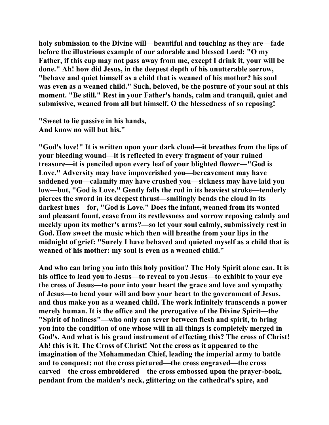**holy submission to the Divine will—beautiful and touching as they are—fade before the illustrious example of our adorable and blessed Lord: "O my Father, if this cup may not pass away from me, except I drink it, your will be done." Ah! how did Jesus, in the deepest depth of his unutterable sorrow, "behave and quiet himself as a child that is weaned of his mother? his soul was even as a weaned child." Such, beloved, be the posture of your soul at this moment. "Be still." Rest in your Father's hands, calm and tranquil, quiet and submissive, weaned from all but himself. O the blessedness of so reposing!** 

**"Sweet to lie passive in his hands, And know no will but his."** 

**"God's love!" It is written upon your dark cloud—it breathes from the lips of your bleeding wound—it is reflected in every fragment of your ruined treasure—it is penciled upon every leaf of your blighted flower—"God is Love." Adversity may have impoverished you—bereavement may have saddened you—calamity may have crushed you—sickness may have laid you low—but, "God is Love." Gently falls the rod in its heaviest stroke—tenderly pierces the sword in its deepest thrust—smilingly bends the cloud in its darkest hues—for, "God is Love." Does the infant, weaned from its wonted and pleasant fount, cease from its restlessness and sorrow reposing calmly and meekly upon its mother's arms?—so let your soul calmly, submissively rest in God. How sweet the music which then will breathe from your lips in the midnight of grief: "Surely I have behaved and quieted myself as a child that is weaned of his mother: my soul is even as a weaned child."** 

**And who can bring you into this holy position? The Holy Spirit alone can. It is his office to lead you to Jesus—to reveal to you Jesus—to exhibit to your eye the cross of Jesus—to pour into your heart the grace and love and sympathy of Jesus—to bend your will and bow your heart to the government of Jesus, and thus make you as a weaned child. The work infinitely transcends a power merely human. It is the office and the prerogative of the Divine Spirit—the "Spirit of holiness"—who only can sever between flesh and spirit, to bring you into the condition of one whose will in all things is completely merged in God's. And what is his grand instrument of effecting this? The cross of Christ! Ah! this is it. The Cross of Christ! Not the cross as it appeared to the imagination of the Mohammedan Chief, leading the imperial army to battle and to conquest; not the cross pictured—the cross engraved—the cross carved—the cross embroidered—the cross embossed upon the prayer-book, pendant from the maiden's neck, glittering on the cathedral's spire, and**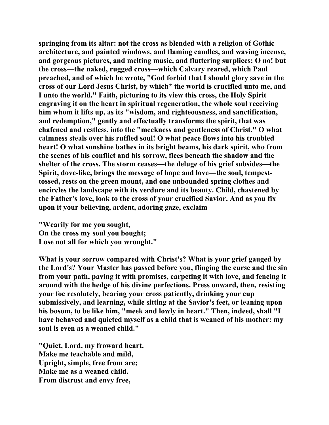**springing from its altar: not the cross as blended with a religion of Gothic architecture, and painted windows, and flaming candles, and waving incense, and gorgeous pictures, and melting music, and fluttering surplices: O no! but the cross—the naked, rugged cross—which Calvary reared, which Paul preached, and of which he wrote, "God forbid that I should glory save in the cross of our Lord Jesus Christ, by which\* the world is crucified unto me, and I unto the world." Faith, picturing to its view this cross, the Holy Spirit engraving it on the heart in spiritual regeneration, the whole soul receiving him whom it lifts up, as its "wisdom, and righteousness, and sanctification, and redemption," gently and effectually transforms the spirit, that was chafened and restless, into the "meekness and gentleness of Christ." O what calmness steals over his ruffled soul! O what peace flows into his troubled heart! O what sunshine bathes in its bright beams, his dark spirit, who from the scenes of his conflict and his sorrow, flees beneath the shadow and the shelter of the cross. The storm ceases—the deluge of his grief subsides—the Spirit, dove-like, brings the message of hope and love—the soul, tempesttossed, rests on the green mount, and one unbounded spring clothes and encircles the landscape with its verdure and its beauty. Child, chastened by the Father's love, look to the cross of your crucified Savior. And as you fix upon it your believing, ardent, adoring gaze, exclaim—** 

**"Wearily for me you sought, On the cross my soul you bought; Lose not all for which you wrought."** 

**What is your sorrow compared with Christ's? What is your grief gauged by the Lord's? Your Master has passed before you, flinging the curse and the sin from your path, paving it with promises, carpeting it with love, and fencing it around with the hedge of his divine perfections. Press onward, then, resisting your foe resolutely, bearing your cross patiently, drinking your cup submissively, and learning, while sitting at the Savior's feet, or leaning upon his bosom, to be like him, "meek and lowly in heart." Then, indeed, shall "I have behaved and quieted myself as a child that is weaned of his mother: my soul is even as a weaned child."** 

**"Quiet, Lord, my froward heart, Make me teachable and mild, Upright, simple, free from are; Make me as a weaned child. From distrust and envy free,**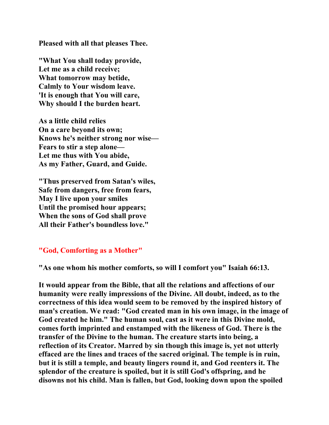**Pleased with all that pleases Thee.** 

**"What You shall today provide, Let me as a child receive; What tomorrow may betide, Calmly to Your wisdom leave. 'It is enough that You will care, Why should I the burden heart.** 

**As a little child relies On a care beyond its own; Knows he's neither strong nor wise— Fears to stir a step alone— Let me thus with You abide, As my Father, Guard, and Guide.** 

**"Thus preserved from Satan's wiles, Safe from dangers, free from fears, May I live upon your smiles Until the promised hour appears; When the sons of God shall prove All their Father's boundless love."** 

## **"God, Comforting as a Mother"**

**"As one whom his mother comforts, so will I comfort you" Isaiah 66:13.** 

**It would appear from the Bible, that all the relations and affections of our humanity were really impressions of the Divine. All doubt, indeed, as to the correctness of this idea would seem to be removed by the inspired history of man's creation. We read: "God created man in his own image, in the image of God created he him." The human soul, cast as it were in this Divine mold, comes forth imprinted and enstamped with the likeness of God. There is the transfer of the Divine to the human. The creature starts into being, a reflection of its Creator. Marred by sin though this image is, yet not utterly effaced are the lines and traces of the sacred original. The temple is in ruin, but it is still a temple, and beauty lingers round it, and God reenters it. The splendor of the creature is spoiled, but it is still God's offspring, and he disowns not his child. Man is fallen, but God, looking down upon the spoiled**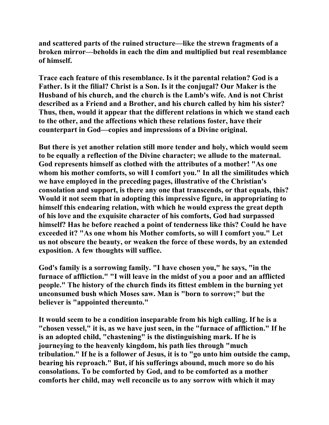**and scattered parts of the ruined structure—like the strewn fragments of a broken mirror—beholds in each the dim and multiplied but real resemblance of himself.** 

**Trace each feature of this resemblance. Is it the parental relation? God is a Father. Is it the filial? Christ is a Son. Is it the conjugal? Our Maker is the Husband of his church, and the church is the Lamb's wife. And is not Christ described as a Friend and a Brother, and his church called by him his sister? Thus, then, would it appear that the different relations in which we stand each to the other, and the affections which these relations foster, have their counterpart in God—copies and impressions of a Divine original.** 

**But there is yet another relation still more tender and holy, which would seem to be equally a reflection of the Divine character; we allude to the maternal. God represents himself as clothed with the attributes of a mother! "As one whom his mother comforts, so will I comfort you." In all the similitudes which we have employed in the preceding pages, illustrative of the Christian's consolation and support, is there any one that transcends, or that equals, this? Would it not seem that in adopting this impressive figure, in appropriating to himself this endearing relation, with which he would express the great depth of his love and the exquisite character of his comforts, God had surpassed himself? Has he before reached a point of tenderness like this? Could he have exceeded it? "As one whom his Mother comforts, so will I comfort you." Let us not obscure the beauty, or weaken the force of these words, by an extended exposition. A few thoughts will suffice.** 

**God's family is a sorrowing family. "I have chosen you," he says, "in the furnace of affliction." "I will leave in the midst of you a poor and an afflicted people." The history of the church finds its fittest emblem in the burning yet unconsumed bush which Moses saw. Man is "born to sorrow;" but the believer is "appointed thereunto."** 

**It would seem to be a condition inseparable from his high calling. If he is a "chosen vessel," it is, as we have just seen, in the "furnace of affliction." If he is an adopted child, "chastening" is the distinguishing mark. If he is journeying to the heavenly kingdom, his path lies through "much tribulation." If he is a follower of Jesus, it is to "go unto him outside the camp, bearing his reproach." But, if his sufferings abound, much more so do his consolations. To be comforted by God, and to be comforted as a mother comforts her child, may well reconcile us to any sorrow with which it may**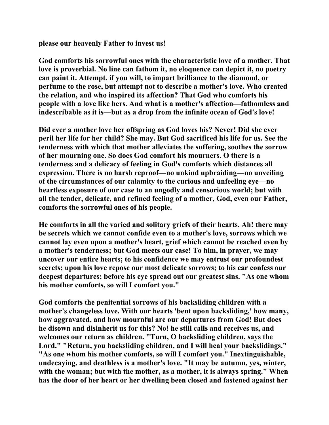**please our heavenly Father to invest us!** 

**God comforts his sorrowful ones with the characteristic love of a mother. That love is proverbial. No line can fathom it, no eloquence can depict it, no poetry can paint it. Attempt, if you will, to impart brilliance to the diamond, or perfume to the rose, but attempt not to describe a mother's love. Who created the relation, and who inspired its affection? That God who comforts his people with a love like hers. And what is a mother's affection—fathomless and indescribable as it is—but as a drop from the infinite ocean of God's love!** 

**Did ever a mother love her offspring as God loves his? Never! Did she ever peril her life for her child? She may. But God sacrificed his life for us. See the tenderness with which that mother alleviates the suffering, soothes the sorrow of her mourning one. So does God comfort his mourners. O there is a tenderness and a delicacy of feeling in God's comforts which distances all expression. There is no harsh reproof—no unkind upbraiding—no unveiling of the circumstances of our calamity to the curious and unfeeling eye—no heartless exposure of our case to an ungodly and censorious world; but with all the tender, delicate, and refined feeling of a mother, God, even our Father, comforts the sorrowful ones of his people.** 

**He comforts in all the varied and solitary griefs of their hearts. Ah! there may be secrets which we cannot confide even to a mother's love, sorrows which we cannot lay even upon a mother's heart, grief which cannot be reached even by a mother's tenderness; but God meets our case! To him, in prayer, we may uncover our entire hearts; to his confidence we may entrust our profoundest secrets; upon his love repose our most delicate sorrows; to his ear confess our deepest departures; before his eye spread out our greatest sins. "As one whom his mother comforts, so will I comfort you."** 

**God comforts the penitential sorrows of his backsliding children with a mother's changeless love. With our hearts 'bent upon backsliding,' how many, how aggravated, and how mournful are our departures from God! But does he disown and disinherit us for this? No! he still calls and receives us, and welcomes our return as children. "Turn, O backsliding children, says the Lord." "Return, you backsliding children, and I will heal your backslidings." "As one whom his mother comforts, so will I comfort you." Inextinguishable, undecaying, and deathless is a mother's love. "It may be autumn, yes, winter, with the woman; but with the mother, as a mother, it is always spring." When has the door of her heart or her dwelling been closed and fastened against her**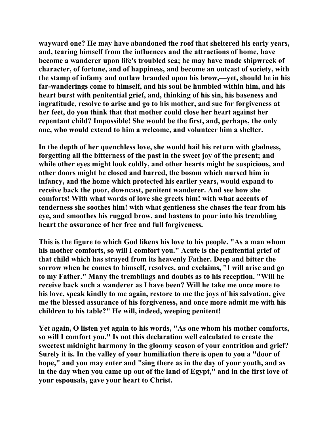**wayward one? He may have abandoned the roof that sheltered his early years, and, tearing himself from the influences and the attractions of home, have become a wanderer upon life's troubled sea; he may have made shipwreck of character, of fortune, and of happiness, and become an outcast of society, with the stamp of infamy and outlaw branded upon his brow,—yet, should he in his far-wanderings come to himself, and his soul be humbled within him, and his heart burst with penitential grief, and, thinking of his sin, his baseness and ingratitude, resolve to arise and go to his mother, and sue for forgiveness at her feet, do you think that that mother could close her heart against her repentant child? Impossible! She would be the first, and, perhaps, the only one, who would extend to him a welcome, and volunteer him a shelter.** 

**In the depth of her quenchless love, she would hail his return with gladness, forgetting all the bitterness of the past in the sweet joy of the present; and while other eyes might look coldly, and other hearts might be suspicious, and other doors might be closed and barred, the bosom which nursed him in infancy, and the home which protected his earlier years, would expand to receive back the poor, downcast, penitent wanderer. And see how she comforts! With what words of love she greets him! with what accents of tenderness she soothes him! with what gentleness she chases the tear from his eye, and smoothes his rugged brow, and hastens to pour into his trembling heart the assurance of her free and full forgiveness.** 

**This is the figure to which God likens his love to his people. "As a man whom his mother comforts, so will I comfort you." Acute is the penitential grief of that child which has strayed from its heavenly Father. Deep and bitter the sorrow when he comes to himself, resolves, and exclaims, "I will arise and go to my Father." Many the tremblings and doubts as to his reception. "Will he receive back such a wanderer as I have been? Will he take me once more to his love, speak kindly to me again, restore to me the joys of his salvation, give me the blessed assurance of his forgiveness, and once more admit me with his children to his table?" He will, indeed, weeping penitent!** 

**Yet again, O listen yet again to his words, "As one whom his mother comforts, so will I comfort you." Is not this declaration well calculated to create the sweetest midnight harmony in the gloomy season of your contrition and grief? Surely it is. In the valley of your humiliation there is open to you a "door of hope," and you may enter and "sing there as in the day of your youth, and as in the day when you came up out of the land of Egypt," and in the first love of your espousals, gave your heart to Christ.**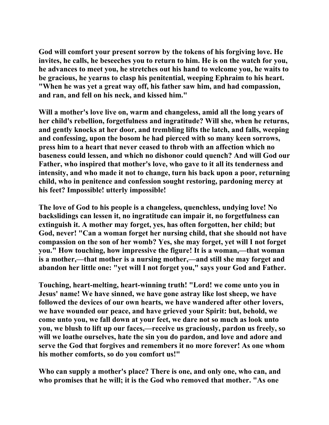**God will comfort your present sorrow by the tokens of his forgiving love. He invites, he calls, he beseeches you to return to him. He is on the watch for you, he advances to meet you, he stretches out his hand to welcome you, he waits to be gracious, he yearns to clasp his penitential, weeping Ephraim to his heart. "When he was yet a great way off, his father saw him, and had compassion, and ran, and fell on his neck, and kissed him."** 

**Will a mother's love live on, warm and changeless, amid all the long years of her child's rebellion, forgetfulness and ingratitude? Will she, when he returns, and gently knocks at her door, and trembling lifts the latch, and falls, weeping and confessing, upon the bosom he had pierced with so many keen sorrows, press him to a heart that never ceased to throb with an affection which no baseness could lessen, and which no dishonor could quench? And will God our Father, who inspired that mother's love, who gave to it all its tenderness and intensity, and who made it not to change, turn his back upon a poor, returning child, who in penitence and confession sought restoring, pardoning mercy at his feet? Impossible! utterly impossible!** 

**The love of God to his people is a changeless, quenchless, undying love! No backslidings can lessen it, no ingratitude can impair it, no forgetfulness can extinguish it. A mother may forget, yes, has often forgotten, her child; but God, never! "Can a woman forget her nursing child, that she should not have compassion on the son of her womb? Yes, she may forget, yet will I not forget you." How touching, how impressive the figure! It is a woman,—that woman is a mother,—that mother is a nursing mother,—and still she may forget and abandon her little one: "yet will I not forget you," says your God and Father.** 

**Touching, heart-melting, heart-winning truth! "Lord! we come unto you in Jesus' name! We have sinned, we have gone astray like lost sheep, we have followed the devices of our own hearts, we have wandered after other lovers, we have wounded our peace, and have grieved your Spirit: but, behold, we come unto you, we fall down at your feet, we dare not so much as look unto you, we blush to lift up our faces,—receive us graciously, pardon us freely, so will we loathe ourselves, hate the sin you do pardon, and love and adore and serve the God that forgives and remembers it no more forever! As one whom his mother comforts, so do you comfort us!"** 

**Who can supply a mother's place? There is one, and only one, who can, and who promises that he will; it is the God who removed that mother. "As one**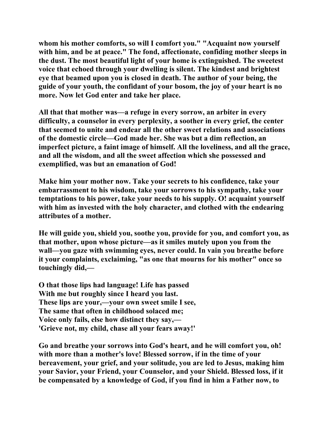**whom his mother comforts, so will I comfort you." "Acquaint now yourself with him, and be at peace." The fond, affectionate, confiding mother sleeps in the dust. The most beautiful light of your home is extinguished. The sweetest voice that echoed through your dwelling is silent. The kindest and brightest eye that beamed upon you is closed in death. The author of your being, the guide of your youth, the confidant of your bosom, the joy of your heart is no more. Now let God enter and take her place.** 

**All that that mother was—a refuge in every sorrow, an arbiter in every difficulty, a counselor in every perplexity, a soother in every grief, the center that seemed to unite and endear all the other sweet relations and associations of the domestic circle—God made her. She was but a dim reflection, an imperfect picture, a faint image of himself. All the loveliness, and all the grace, and all the wisdom, and all the sweet affection which she possessed and exemplified, was but an emanation of God!** 

**Make him your mother now. Take your secrets to his confidence, take your embarrassment to his wisdom, take your sorrows to his sympathy, take your temptations to his power, take your needs to his supply. O! acquaint yourself with him as invested with the holy character, and clothed with the endearing attributes of a mother.** 

**He will guide you, shield you, soothe you, provide for you, and comfort you, as that mother, upon whose picture—as it smiles mutely upon you from the wall—you gaze with swimming eyes, never could. In vain you breathe before it your complaints, exclaiming, "as one that mourns for his mother" once so touchingly did,—** 

**O that those lips had language! Life has passed With me but roughly since I heard you last. These lips are your,—your own sweet smile I see, The same that often in childhood solaced me; Voice only fails, else how distinct they say,— 'Grieve not, my child, chase all your fears away!'** 

**Go and breathe your sorrows into God's heart, and he will comfort you, oh! with more than a mother's love! Blessed sorrow, if in the time of your bereavement, your grief, and your solitude, you are led to Jesus, making him your Savior, your Friend, your Counselor, and your Shield. Blessed loss, if it be compensated by a knowledge of God, if you find in him a Father now, to**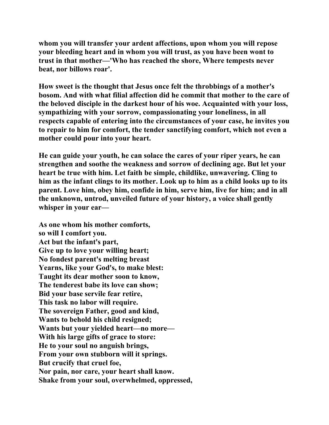**whom you will transfer your ardent affections, upon whom you will repose your bleeding heart and in whom you will trust, as you have been wont to trust in that mother—'Who has reached the shore, Where tempests never beat, nor billows roar'.** 

**How sweet is the thought that Jesus once felt the throbbings of a mother's bosom. And with what filial affection did he commit that mother to the care of the beloved disciple in the darkest hour of his woe. Acquainted with your loss, sympathizing with your sorrow, compassionating your loneliness, in all respects capable of entering into the circumstances of your case, he invites you to repair to him for comfort, the tender sanctifying comfort, which not even a mother could pour into your heart.** 

**He can guide your youth, he can solace the cares of your riper years, he can strengthen and soothe the weakness and sorrow of declining age. But let your heart be true with him. Let faith be simple, childlike, unwavering. Cling to him as the infant clings to its mother. Look up to him as a child looks up to its parent. Love him, obey him, confide in him, serve him, live for him; and in all the unknown, untrod, unveiled future of your history, a voice shall gently whisper in your ear—** 

**As one whom his mother comforts, so will I comfort you. Act but the infant's part, Give up to love your willing heart; No fondest parent's melting breast Yearns, like your God's, to make blest: Taught its dear mother soon to know, The tenderest babe its love can show; Bid your base servile fear retire, This task no labor will require. The sovereign Father, good and kind, Wants to behold his child resigned; Wants but your yielded heart—no more— With his large gifts of grace to store: He to your soul no anguish brings, From your own stubborn will it springs. But crucify that cruel foe, Nor pain, nor care, your heart shall know. Shake from your soul, overwhelmed, oppressed,**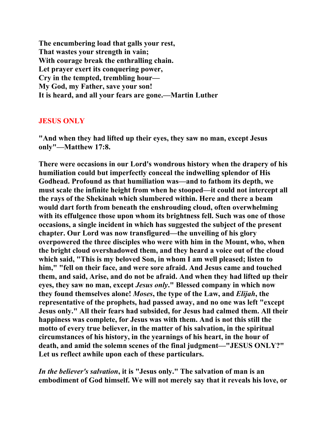**The encumbering load that galls your rest, That wastes your strength in vain; With courage break the enthralling chain. Let prayer exert its conquering power, Cry in the tempted, trembling hour— My God, my Father, save your son! It is heard, and all your fears are gone.—Martin Luther** 

## **JESUS ONLY**

**"And when they had lifted up their eyes, they saw no man, except Jesus only"—Matthew 17:8.** 

**There were occasions in our Lord's wondrous history when the drapery of his humiliation could but imperfectly conceal the indwelling splendor of His Godhead. Profound as that humiliation was—and to fathom its depth, we must scale the infinite height from when he stooped—it could not intercept all the rays of the Shekinah which slumbered within. Here and there a beam would dart forth from beneath the enshrouding cloud, often overwhelming with its effulgence those upon whom its brightness fell. Such was one of those occasions, a single incident in which has suggested the subject of the present chapter. Our Lord was now transfigured—the unveiling of his glory overpowered the three disciples who were with him in the Mount, who, when the bright cloud overshadowed them, and they heard a voice out of the cloud which said, "This is my beloved Son, in whom I am well pleased; listen to him," "fell on their face, and were sore afraid. And Jesus came and touched them, and said, Arise, and do not be afraid. And when they had lifted up their eyes, they saw no man, except** *Jesus only***." Blessed company in which now they found themselves alone!** *Moses***, the type of the Law, and** *Elijah***, the representative of the prophets, had passed away, and no one was left "except Jesus only." All their fears had subsided, for Jesus had calmed them. All their happiness was complete, for Jesus was with them. And is not this still the motto of every true believer, in the matter of his salvation, in the spiritual circumstances of his history, in the yearnings of his heart, in the hour of death, and amid the solemn scenes of the final judgment—"JESUS ONLY?" Let us reflect awhile upon each of these particulars.** 

*In the believer's salvation***, it is "Jesus only." The salvation of man is an embodiment of God himself. We will not merely say that it reveals his love, or**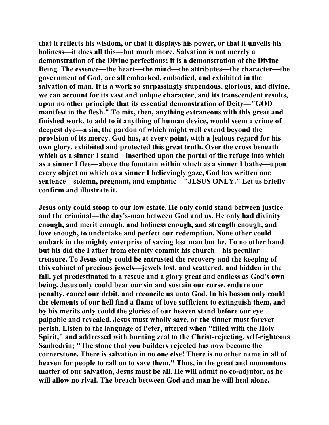**that it reflects his wisdom, or that it displays his power, or that it unveils his holiness—it does all this—but much more. Salvation is not merely a demonstration of the Divine perfections; it is a demonstration of the Divine Being. The essence—the heart—the mind—the attributes—the character—the government of God, are all embarked, embodied, and exhibited in the salvation of man. It is a work so surpassingly stupendous, glorious, and divine, we can account for its vast and unique character, and its transcendent results, upon no other principle that its essential demonstration of Deity—"GOD manifest in the flesh." To mix, then, anything extraneous with this great and finished work, to add to it anything of human device, would seem a crime of deepest dye—a sin, the pardon of which might well extend beyond the provision of its mercy. God has, at every point, with a jealous regard for his own glory, exhibited and protected this great truth. Over the cross beneath which as a sinner I stand—inscribed upon the portal of the refuge into which as a sinner I flee—above the fountain within which as a sinner I bathe—upon every object on which as a sinner I believingly gaze, God has written one sentence—solemn, pregnant, and emphatic—"JESUS ONLY." Let us briefly confirm and illustrate it.** 

**Jesus only could stoop to our low estate. He only could stand between justice and the criminal—the day's-man between God and us. He only had divinity enough, and merit enough, and holiness enough, and strength enough, and love enough, to undertake and perfect our redemption. None other could embark in the mighty enterprise of saving lost man but he. To no other hand but his did the Father from eternity commit his church—his peculiar treasure. To Jesus only could be entrusted the recovery and the keeping of this cabinet of precious jewels—jewels lost, and scattered, and hidden in the fall, yet predestinated to a rescue and a glory great and endless as God's own being. Jesus only could bear our sin and sustain our curse, endure our penalty, cancel our debit, and reconcile us unto God. In his bosom only could the elements of our hell find a flame of love sufficient to extinguish them, and by his merits only could the glories of our heaven stand before our eye palpable and revealed. Jesus must wholly save, or the sinner must forever perish. Listen to the language of Peter, uttered when "filled with the Holy Spirit," and addressed with burning zeal to the Christ-rejecting, self-righteous Sanhedrin; "The stone that you builders rejected has now become the cornerstone. There is salvation in no one else! There is no other name in all of heaven for people to call on to save them." Thus, in the great and momentous matter of our salvation, Jesus must be all. He will admit no co-adjutor, as he will allow no rival. The breach between God and man he will heal alone.**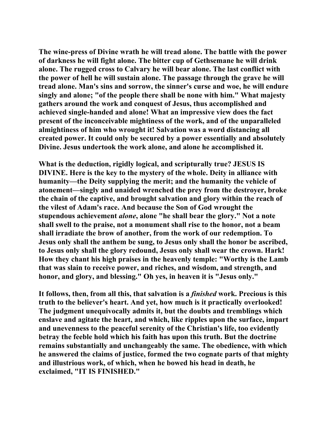**The wine-press of Divine wrath he will tread alone. The battle with the power of darkness he will fight alone. The bitter cup of Gethsemane he will drink alone. The rugged cross to Calvary he will bear alone. The last conflict with the power of hell he will sustain alone. The passage through the grave he will tread alone. Man's sins and sorrow, the sinner's curse and woe, he will endure singly and alone; "of the people there shall be none with him." What majesty gathers around the work and conquest of Jesus, thus accomplished and achieved single-handed and alone! What an impressive view does the fact present of the inconceivable mightiness of the work, and of the unparalleled almightiness of him who wrought it! Salvation was a word distancing all created power. It could only be secured by a power essentially and absolutely Divine. Jesus undertook the work alone, and alone he accomplished it.** 

**What is the deduction, rigidly logical, and scripturally true? JESUS IS DIVINE. Here is the key to the mystery of the whole. Deity in alliance with humanity—the Deity supplying the merit; and the humanity the vehicle of atonement—singly and unaided wrenched the prey from the destroyer, broke the chain of the captive, and brought salvation and glory within the reach of the vilest of Adam's race. And because the Son of God wrought the stupendous achievement** *alone***, alone "he shall bear the glory." Not a note shall swell to the praise, not a monument shall rise to the honor, not a beam shall irradiate the brow of another, from the work of our redemption. To Jesus only shall the anthem be sung, to Jesus only shall the honor be ascribed, to Jesus only shall the glory redound, Jesus only shall wear the crown. Hark! How they chant his high praises in the heavenly temple: "Worthy is the Lamb that was slain to receive power, and riches, and wisdom, and strength, and honor, and glory, and blessing." Oh yes, in heaven it is "Jesus only."** 

**It follows, then, from all this, that salvation is a** *finished* **work. Precious is this truth to the believer's heart. And yet, how much is it practically overlooked! The judgment unequivocally admits it, but the doubts and tremblings which enslave and agitate the heart, and which, like ripples upon the surface, impart and unevenness to the peaceful serenity of the Christian's life, too evidently betray the feeble hold which his faith has upon this truth. But the doctrine remains substantially and unchangeably the same. The obedience, with which he answered the claims of justice, formed the two cognate parts of that mighty and illustrious work, of which, when he bowed his head in death, he exclaimed, "IT IS FINISHED."**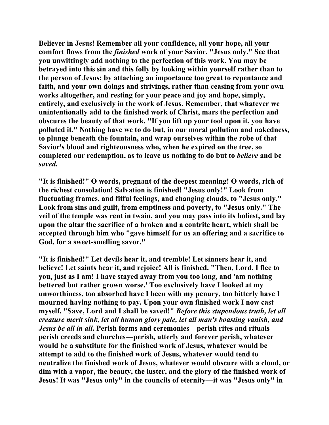**Believer in Jesus! Remember all your confidence, all your hope, all your comfort flows from the** *finished* **work of your Savior. "Jesus only." See that you unwittingly add nothing to the perfection of this work. You may be betrayed into this sin and this folly by looking within yourself rather than to the person of Jesus; by attaching an importance too great to repentance and faith, and your own doings and strivings, rather than ceasing from your own works altogether, and resting for your peace and joy and hope, simply, entirely, and exclusively in the work of Jesus. Remember, that whatever we unintentionally add to the finished work of Christ, mars the perfection and obscures the beauty of that work. "If you lift up your tool upon it, you have polluted it." Nothing have we to do but, in our moral pollution and nakedness, to plunge beneath the fountain, and wrap ourselves within the robe of that Savior's blood and righteousness who, when he expired on the tree, so completed our redemption, as to leave us nothing to do but to** *believe* **and be**  *saved***.** 

**"It is finished!" O words, pregnant of the deepest meaning! O words, rich of the richest consolation! Salvation is finished! "Jesus only!" Look from fluctuating frames, and fitful feelings, and changing clouds, to "Jesus only." Look from sins and guilt, from emptiness and poverty, to "Jesus only." The veil of the temple was rent in twain, and you may pass into its holiest, and lay upon the altar the sacrifice of a broken and a contrite heart, which shall be accepted through him who "gave himself for us an offering and a sacrifice to God, for a sweet-smelling savor."** 

**"It is finished!" Let devils hear it, and tremble! Let sinners hear it, and believe! Let saints hear it, and rejoice! All is finished. "Then, Lord, I flee to you, just as I am! I have stayed away from you too long, and 'am nothing bettered but rather grown worse.' Too exclusively have I looked at my unworthiness, too absorbed have I been with my penury, too bitterly have I mourned having nothing to pay. Upon your own finished work I now cast myself. "Save, Lord and I shall be saved!"** *Before this stupendous truth, let all creature merit sink, let all human glory pale, let all man's boasting vanish, and Jesus be all in all***. Perish forms and ceremonies—perish rites and rituals perish creeds and churches—perish, utterly and forever perish, whatever would be a substitute for the finished work of Jesus, whatever would be attempt to add to the finished work of Jesus, whatever would tend to neutralize the finished work of Jesus, whatever would obscure with a cloud, or dim with a vapor, the beauty, the luster, and the glory of the finished work of Jesus! It was "Jesus only" in the councils of eternity—it was "Jesus only" in**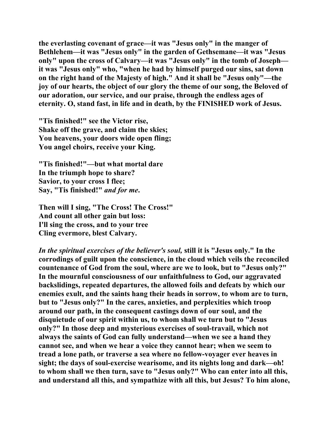**the everlasting covenant of grace—it was "Jesus only" in the manger of Bethlehem—it was "Jesus only" in the garden of Gethsemane—it was "Jesus only" upon the cross of Calvary—it was "Jesus only" in the tomb of Joseph it was "Jesus only" who, "when he had by himself purged our sins, sat down on the right hand of the Majesty of high." And it shall be "Jesus only"—the joy of our hearts, the object of our glory the theme of our song, the Beloved of our adoration, our service, and our praise, through the endless ages of eternity. O, stand fast, in life and in death, by the FINISHED work of Jesus.** 

**"Tis finished!" see the Victor rise, Shake off the grave, and claim the skies; You heavens, your doors wide open fling; You angel choirs, receive your King.** 

**"Tis finished!"—but what mortal dare In the triumph hope to share? Savior, to your cross I flee; Say, "Tis finished!"** *and for me***.** 

**Then will I sing, "The Cross! The Cross!" And count all other gain but loss: I'll sing the cross, and to your tree Cling evermore, blest Calvary.** 

*In the spiritual exercises of the believer's soul,* **still it is "Jesus only." In the corrodings of guilt upon the conscience, in the cloud which veils the reconciled countenance of God from the soul, where are we to look, but to "Jesus only?" In the mournful consciousness of our unfaithfulness to God, our aggravated backslidings, repeated departures, the allowed foils and defeats by which our enemies exult, and the saints hang their heads in sorrow, to whom are to turn, but to "Jesus only?" In the cares, anxieties, and perplexities which troop around our path, in the consequent castings down of our soul, and the disquietude of our spirit within us, to whom shall we turn but to "Jesus only?" In those deep and mysterious exercises of soul-travail, which not always the saints of God can fully understand—when we see a hand they cannot see, and when we hear a voice they cannot hear; when we seem to tread a lone path, or traverse a sea where no fellow-voyager ever heaves in sight; the days of soul-exercise wearisome, and its nights long and dark—oh! to whom shall we then turn, save to "Jesus only?" Who can enter into all this, and understand all this, and sympathize with all this, but Jesus? To him alone,**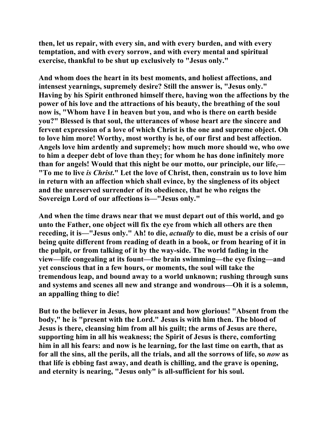**then, let us repair, with every sin, and with every burden, and with every temptation, and with every sorrow, and with every mental and spiritual exercise, thankful to be shut up exclusively to "Jesus only."** 

**And whom does the heart in its best moments, and holiest affections, and intensest yearnings, supremely desire? Still the answer is, "Jesus only." Having by his Spirit enthroned himself there, having won the affections by the power of his love and the attractions of his beauty, the breathing of the soul now is, "Whom have I in heaven but you, and who is there on earth beside you?" Blessed is that soul, the utterances of whose heart are the sincere and fervent expression of a love of which Christ is the one and supreme object. Oh to love him more! Worthy, most worthy is he, of our first and best affection. Angels love him ardently and supremely; how much more should we, who owe to him a deeper debt of love than they; for whom he has done infinitely more than for angels! Would that this night be our motto, our principle, our life,— "To me to live** *is Christ***." Let the love of Christ, then, constrain us to love him in return with an affection which shall evince, by the singleness of its object and the unreserved surrender of its obedience, that he who reigns the Sovereign Lord of our affections is—"Jesus only."** 

**And when the time draws near that we must depart out of this world, and go unto the Father, one object will fix the eye from which all others are then receding, it is—"Jesus only." Ah! to die,** *actually* **to die, must be a crisis of our being quite different from reading of death in a book, or from hearing of it in the pulpit, or from talking of it by the way-side. The world fading in the view—life congealing at its fount—the brain swimming—the eye fixing—and yet conscious that in a few hours, or moments, the soul will take the tremendous leap, and bound away to a world unknown; rushing through suns and systems and scenes all new and strange and wondrous—Oh it is a solemn, an appalling thing to die!** 

**But to the believer in Jesus, how pleasant and how glorious! "Absent from the body," he is "present with the Lord." Jesus is with him then. The blood of Jesus is there, cleansing him from all his guilt; the arms of Jesus are there, supporting him in all his weakness; the Spirit of Jesus is there, comforting him in all his fears: and now is he learning, for the last time on earth, that as for all the sins, all the perils, all the trials, and all the sorrows of life, so** *now* **as that life is ebbing fast away, and death is chilling, and the grave is opening, and eternity is nearing, "Jesus only" is all-sufficient for his soul.**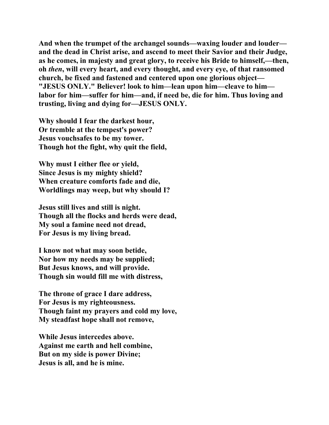**And when the trumpet of the archangel sounds—waxing louder and louder and the dead in Christ arise, and ascend to meet their Savior and their Judge, as he comes, in majesty and great glory, to receive his Bride to himself,—then, oh** *then***, will every heart, and every thought, and every eye, of that ransomed church, be fixed and fastened and centered upon one glorious object— "JESUS ONLY." Believer! look to him—lean upon him—cleave to him labor for him—suffer for him—and, if need be, die for him. Thus loving and trusting, living and dying for—JESUS ONLY.** 

**Why should I fear the darkest hour, Or tremble at the tempest's power? Jesus vouchsafes to be my tower. Though hot the fight, why quit the field,** 

**Why must I either flee or yield, Since Jesus is my mighty shield? When creature comforts fade and die, Worldlings may weep, but why should I?** 

**Jesus still lives and still is night. Though all the flocks and herds were dead, My soul a famine need not dread, For Jesus is my living bread.** 

**I know not what may soon betide, Nor how my needs may be supplied; But Jesus knows, and will provide. Though sin would fill me with distress,** 

**The throne of grace I dare address, For Jesus is my righteousness. Though faint my prayers and cold my love, My steadfast hope shall not remove,** 

**While Jesus intercedes above. Against me earth and hell combine, But on my side is power Divine; Jesus is all, and he is mine.**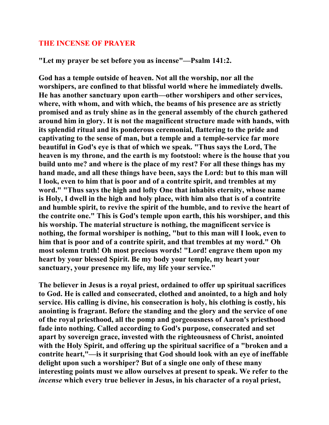## **THE INCENSE OF PRAYER**

**"Let my prayer be set before you as incense"—Psalm 141:2.** 

**God has a temple outside of heaven. Not all the worship, nor all the worshipers, are confined to that blissful world where he immediately dwells. He has another sanctuary upon earth—other worshipers and other services, where, with whom, and with which, the beams of his presence are as strictly promised and as truly shine as in the general assembly of the church gathered around him in glory. It is not the magnificent structure made with hands, with its splendid ritual and its ponderous ceremonial, flattering to the pride and captivating to the sense of man, but a temple and a temple-service far more beautiful in God's eye is that of which we speak. "Thus says the Lord, The heaven is my throne, and the earth is my footstool: where is the house that you build unto me? and where is the place of my rest? For all these things has my hand made, and all these things have been, says the Lord: but to this man will I look, even to him that is poor and of a contrite spirit, and trembles at my word." "Thus says the high and lofty One that inhabits eternity, whose name is Holy, I dwell in the high and holy place, with him also that is of a contrite and humble spirit, to revive the spirit of the humble, and to revive the heart of the contrite one." This is God's temple upon earth, this his worshiper, and this his worship. The material structure is nothing, the magnificent service is nothing, the formal worshiper is nothing, "but to this man will I look, even to him that is poor and of a contrite spirit, and that trembles at my word." Oh most solemn truth! Oh most precious words! "Lord! engrave them upon my heart by your blessed Spirit. Be my body your temple, my heart your sanctuary, your presence my life, my life your service."** 

**The believer in Jesus is a royal priest, ordained to offer up spiritual sacrifices to God. He is called and consecrated, clothed and anointed, to a high and holy service. His calling is divine, his consecration is holy, his clothing is costly, his anointing is fragrant. Before the standing and the glory and the service of one of the royal priesthood, all the pomp and gorgeousness of Aaron's priesthood fade into nothing. Called according to God's purpose, consecrated and set apart by sovereign grace, invested with the righteousness of Christ, anointed with the Holy Spirit, and offering up the spiritual sacrifice of a "broken and a contrite heart,"—is it surprising that God should look with an eye of ineffable delight upon such a worshiper? But of a single one only of these many interesting points must we allow ourselves at present to speak. We refer to the**  *incense* **which every true believer in Jesus, in his character of a royal priest,**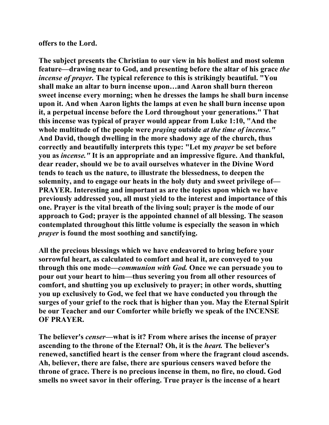## **offers to the Lord.**

**The subject presents the Christian to our view in his holiest and most solemn feature—drawing near to God, and presenting before the altar of his grace** *the incense of prayer.* **The typical reference to this is strikingly beautiful. "You shall make an altar to burn incense upon…and Aaron shall burn thereon sweet incense every morning; when he dresses the lamps he shall burn incense upon it. And when Aaron lights the lamps at even he shall burn incense upon it, a perpetual incense before the Lord throughout your generations." That this incense was typical of prayer would appear from Luke 1:10, "And the whole multitude of the people were** *praying* **outside** *at the time of incense."*  **And David, though dwelling in the more shadowy age of the church, thus correctly and beautifully interprets this type: "Let my** *prayer* **be set before you as** *incense."* **It is an appropriate and an impressive figure. And thankful, dear reader, should we be to avail ourselves whatever in the Divine Word tends to teach us the nature, to illustrate the blessedness, to deepen the solemnity, and to engage our heats in the holy duty and sweet privilege of— PRAYER. Interesting and important as are the topics upon which we have previously addressed you, all must yield to the interest and importance of this one. Prayer is the vital breath of the living soul; prayer is the mode of our approach to God; prayer is the appointed channel of all blessing. The season contemplated throughout this little volume is especially the season in which**  *prayer* **is found the most soothing and sanctifying.** 

**All the precious blessings which we have endeavored to bring before your sorrowful heart, as calculated to comfort and heal it, are conveyed to you through this one mode—***communion with God.* **Once we can persuade you to pour out your heart to him—thus severing you from all other resources of comfort, and shutting you up exclusively to prayer; in other words, shutting you up exclusively to God, we feel that we have conducted you through the surges of your grief to the rock that is higher than you. May the Eternal Spirit be our Teacher and our Comforter while briefly we speak of the INCENSE OF PRAYER.** 

**The believer's** *censer—***what is it? From where arises the incense of prayer ascending to the throne of the Eternal? Oh, it is the** *heart.* **The believer's renewed, sanctified heart is the censer from where the fragrant cloud ascends. Ah, believer, there are false, there are spurious censers waved before the throne of grace. There is no precious incense in them, no fire, no cloud. God smells no sweet savor in their offering. True prayer is the incense of a heart**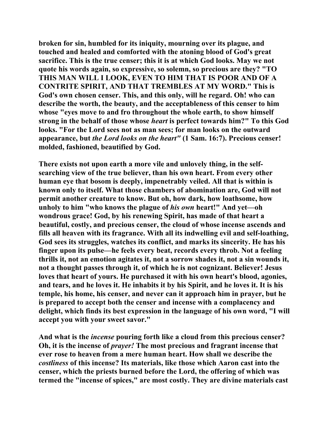**broken for sin, humbled for its iniquity, mourning over its plague, and touched and healed and comforted with the atoning blood of God's great sacrifice. This is the true censer; this it is at which God looks. May we not quote his words again, so expressive, so solemn, so precious are they? "TO THIS MAN WILL I LOOK, EVEN TO HIM THAT IS POOR AND OF A CONTRITE SPIRIT, AND THAT TREMBLES AT MY WORD." This is God's own chosen censer. This, and this only, will he regard. Oh! who can describe the worth, the beauty, and the acceptableness of this censer to him whose "eyes move to and fro throughout the whole earth, to show himself strong in the behalf of those whose** *heart* **is perfect towards him?" To this God looks. "For the Lord sees not as man sees; for man looks on the outward appearance, but** *the Lord looks on the heart"* **(1 Sam. 16:7). Precious censer! molded, fashioned, beautified by God.** 

**There exists not upon earth a more vile and unlovely thing, in the selfsearching view of the true believer, than his own heart. From every other human eye that bosom is deeply, impenetrably veiled. All that is within is known only to itself. What those chambers of abomination are, God will not permit another creature to know. But oh, how dark, how loathsome, how unholy to him "who knows the plague of** *his own* **heart!" And yet—oh wondrous grace! God, by his renewing Spirit, has made of that heart a beautiful, costly, and precious censer, the cloud of whose incense ascends and fills all heaven with its fragrance. With all its indwelling evil and self-loathing, God sees its struggles, watches its conflict, and marks its sincerity. He has his finger upon its pulse—he feels every beat, records every throb. Not a feeling thrills it, not an emotion agitates it, not a sorrow shades it, not a sin wounds it, not a thought passes through it, of which he is not cognizant. Believer! Jesus loves that heart of yours. He purchased it with his own heart's blood, agonies, and tears, and he loves it. He inhabits it by his Spirit, and he loves it. It is his temple, his home, his censer, and never can it approach him in prayer, but he is prepared to accept both the censer and incense with a complacency and delight, which finds its best expression in the language of his own word, "I will accept you with your sweet savor."** 

**And what is the** *incense* **pouring forth like a cloud from this precious censer? Oh, it is the incense of** *prayer!* **The most precious and fragrant incense that ever rose to heaven from a mere human heart. How shall we describe the**  *costliness* **of this incense? Its materials, like those which Aaron cast into the censer, which the priests burned before the Lord, the offering of which was termed the "incense of spices," are most costly. They are divine materials cast**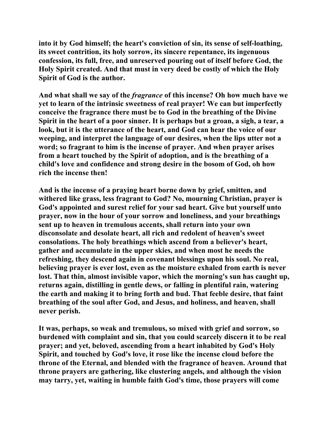**into it by God himself; the heart's conviction of sin, its sense of self-loathing, its sweet contrition, its holy sorrow, its sincere repentance, its ingenuous confession, its full, free, and unreserved pouring out of itself before God, the Holy Spirit created. And that must in very deed be costly of which the Holy Spirit of God is the author.** 

**And what shall we say of the** *fragrance* **of this incense? Oh how much have we yet to learn of the intrinsic sweetness of real prayer! We can but imperfectly conceive the fragrance there must be to God in the breathing of the Divine Spirit in the heart of a poor sinner. It is perhaps but a groan, a sigh, a tear, a look, but it is the utterance of the heart, and God can hear the voice of our weeping, and interpret the language of our desires, when the lips utter not a word; so fragrant to him is the incense of prayer. And when prayer arises from a heart touched by the Spirit of adoption, and is the breathing of a child's love and confidence and strong desire in the bosom of God, oh how rich the incense then!** 

**And is the incense of a praying heart borne down by grief, smitten, and withered like grass, less fragrant to God? No, mourning Christian, prayer is God's appointed and surest relief for your sad heart. Give but yourself unto prayer, now in the hour of your sorrow and loneliness, and your breathings sent up to heaven in tremulous accents, shall return into your own disconsolate and desolate heart, all rich and redolent of heaven's sweet consolations. The holy breathings which ascend from a believer's heart, gather and accumulate in the upper skies, and when most he needs the refreshing, they descend again in covenant blessings upon his soul. No real, believing prayer is ever lost, even as the moisture exhaled from earth is never lost. That thin, almost invisible vapor, which the morning's sun has caught up, returns again, distilling in gentle dews, or falling in plentiful rain, watering the earth and making it to bring forth and bud. That feeble desire, that faint breathing of the soul after God, and Jesus, and holiness, and heaven, shall never perish.** 

**It was, perhaps, so weak and tremulous, so mixed with grief and sorrow, so burdened with complaint and sin, that you could scarcely discern it to be real prayer; and yet, beloved, ascending from a heart inhabited by God's Holy Spirit, and touched by God's love, it rose like the incense cloud before the throne of the Eternal, and blended with the fragrance of heaven. Around that throne prayers are gathering, like clustering angels, and although the vision may tarry, yet, waiting in humble faith God's time, those prayers will come**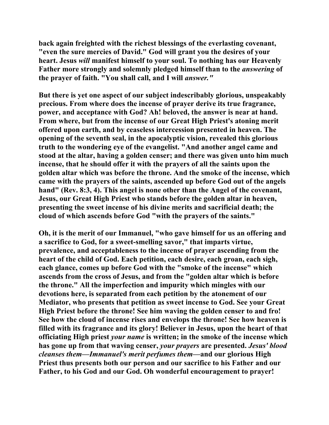**back again freighted with the richest blessings of the everlasting covenant, "even the sure mercies of David." God will grant you the desires of your heart. Jesus** *will* **manifest himself to your soul. To nothing has our Heavenly Father more strongly and solemnly pledged himself than to the** *answering* **of the prayer of faith. "You shall call, and I will** *answer."* 

**But there is yet one aspect of our subject indescribably glorious, unspeakably precious. From where does the incense of prayer derive its true fragrance, power, and acceptance with God? Ah! beloved, the answer is near at hand. From where, but from the incense of our Great High Priest's atoning merit offered upon earth, and by ceaseless intercession presented in heaven. The opening of the seventh seal, in the apocalyptic vision, revealed this glorious truth to the wondering eye of the evangelist. "And another angel came and stood at the altar, having a golden censer; and there was given unto him much incense, that he should offer it with the prayers of all the saints upon the golden altar which was before the throne. And the smoke of the incense, which came with the prayers of the saints, ascended up before God out of the angels hand" (Rev. 8:3, 4). This angel is none other than the Angel of the covenant, Jesus, our Great High Priest who stands before the golden altar in heaven, presenting the sweet incense of his divine merits and sacrificial death; the cloud of which ascends before God "with the prayers of the saints."** 

**Oh, it is the merit of our Immanuel, "who gave himself for us an offering and a sacrifice to God, for a sweet-smelling savor," that imparts virtue, prevalence, and acceptableness to the incense of prayer ascending from the heart of the child of God. Each petition, each desire, each groan, each sigh, each glance, comes up before God with the "smoke of the incense" which ascends from the cross of Jesus, and from the "golden altar which is before the throne." All the imperfection and impurity which mingles with our devotions here, is separated from each petition by the atonement of our Mediator, who presents that petition as sweet incense to God. See your Great High Priest before the throne! See him waving the golden censer to and fro! See how the cloud of incense rises and envelops the throne! See how heaven is filled with its fragrance and its glory! Believer in Jesus, upon the heart of that officiating High priest** *your name* **is written; in the smoke of the incense which has gone up from that waving censer,** *your prayers* **are presented.** *Jesus' blood cleanses them—Immanuel's merit perfumes them***—and our glorious High Priest thus presents both our person and our sacrifice to his Father and our Father, to his God and our God. Oh wonderful encouragement to prayer!**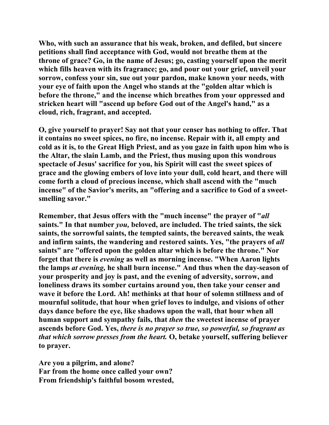**Who, with such an assurance that his weak, broken, and defiled, but sincere petitions shall find acceptance with God, would not breathe them at the throne of grace? Go, in the name of Jesus; go, casting yourself upon the merit which fills heaven with its fragrance; go, and pour out your grief, unveil your sorrow, confess your sin, sue out your pardon, make known your needs, with your eye of faith upon the Angel who stands at the "golden altar which is before the throne," and the incense which breathes from your oppressed and stricken heart will "ascend up before God out of the Angel's hand," as a cloud, rich, fragrant, and accepted.** 

**O, give yourself to prayer! Say not that your censer has nothing to offer. That it contains no sweet spices, no fire, no incense. Repair with it, all empty and cold as it is, to the Great High Priest, and as you gaze in faith upon him who is the Altar, the slain Lamb, and the Priest, thus musing upon this wondrous spectacle of Jesus' sacrifice for you, his Spirit will cast the sweet spices of grace and the glowing embers of love into your dull, cold heart, and there will come forth a cloud of precious incense, which shall ascend with the "much incense" of the Savior's merits, an "offering and a sacrifice to God of a sweetsmelling savor."** 

**Remember, that Jesus offers with the "much incense" the prayer of "***all*  **saints." In that number** *you,* **beloved, are included. The tried saints, the sick saints, the sorrowful saints, the tempted saints, the bereaved saints, the weak**  and infirm saints, the wandering and restored saints. Yes, "the prayers of *all* **saints" are "offered upon the golden altar which is before the throne." Nor forget that there is** *evening* **as well as morning incense. "When Aaron lights the lamps** *at evening,* **he shall burn incense." And thus when the day-season of your prosperity and joy is past, and the evening of adversity, sorrow, and loneliness draws its somber curtains around you, then take your censer and wave it before the Lord. Ah! methinks at that hour of solemn stillness and of mournful solitude, that hour when grief loves to indulge, and visions of other days dance before the eye, like shadows upon the wall, that hour when all human support and sympathy fails, that** *then* **the sweetest incense of prayer ascends before God. Yes,** *there is no prayer so true, so powerful, so fragrant as that which sorrow presses from the heart.* **O, betake yourself, suffering believer to prayer.** 

**Are you a pilgrim, and alone? Far from the home once called your own? From friendship's faithful bosom wrested,**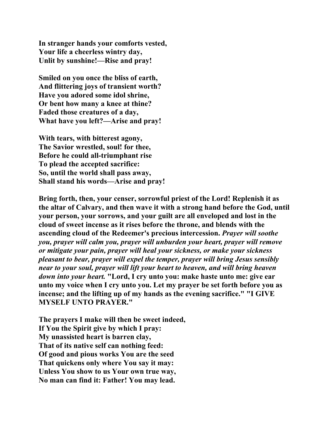**In stranger hands your comforts vested, Your life a cheerless wintry day, Unlit by sunshine!—Rise and pray!** 

**Smiled on you once the bliss of earth, And flittering joys of transient worth? Have you adored some idol shrine, Or bent how many a knee at thine? Faded those creatures of a day, What have you left?—Arise and pray!** 

**With tears, with bitterest agony, The Savior wrestled, soul! for thee, Before he could all-triumphant rise To plead the accepted sacrifice: So, until the world shall pass away, Shall stand his words—Arise and pray!** 

**Bring forth, then, your censer, sorrowful priest of the Lord! Replenish it as the altar of Calvary, and then wave it with a strong hand before the God, until your person, your sorrows, and your guilt are all enveloped and lost in the cloud of sweet incense as it rises before the throne, and blends with the ascending cloud of the Redeemer's precious intercession.** *Prayer will soothe you, prayer will calm you, prayer will unburden your heart, prayer will remove or mitigate your pain, prayer will heal your sickness, or make your sickness pleasant to bear, prayer will expel the temper, prayer will bring Jesus sensibly near to your soul, prayer will lift your heart to heaven, and will bring heaven down into your heart.* **"Lord, I cry unto you: make haste unto me: give ear unto my voice when I cry unto you. Let my prayer be set forth before you as incense; and the lifting up of my hands as the evening sacrifice." "I GIVE MYSELF UNTO PRAYER."** 

**The prayers I make will then be sweet indeed, If You the Spirit give by which I pray: My unassisted heart is barren clay, That of its native self can nothing feed: Of good and pious works You are the seed That quickens only where You say it may: Unless You show to us Your own true way, No man can find it: Father! You may lead.**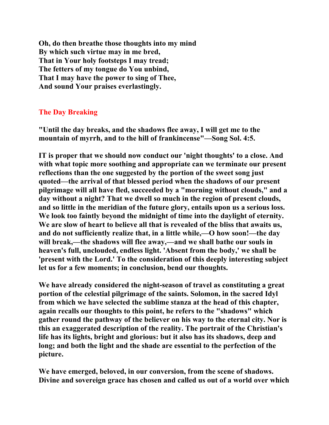**Oh, do then breathe those thoughts into my mind By which such virtue may in me bred, That in Your holy footsteps I may tread; The fetters of my tongue do You unbind, That I may have the power to sing of Thee, And sound Your praises everlastingly.** 

## **The Day Breaking**

**"Until the day breaks, and the shadows flee away, I will get me to the mountain of myrrh, and to the hill of frankincense"—Song Sol. 4:5.** 

**IT is proper that we should now conduct our 'night thoughts' to a close. And with what topic more soothing and appropriate can we terminate our present reflections than the one suggested by the portion of the sweet song just quoted—the arrival of that blessed period when the shadows of our present pilgrimage will all have fled, succeeded by a "morning without clouds," and a day without a night? That we dwell so much in the region of present clouds, and so little in the meridian of the future glory, entails upon us a serious loss. We look too faintly beyond the midnight of time into the daylight of eternity. We are slow of heart to believe all that is revealed of the bliss that awaits us, and do not sufficiently realize that, in a little while,—O how soon!—the day will break,—the shadows will flee away,—and we shall bathe our souls in heaven's full, unclouded, endless light. 'Absent from the body,' we shall be 'present with the Lord.' To the consideration of this deeply interesting subject let us for a few moments; in conclusion, bend our thoughts.** 

**We have already considered the night-season of travel as constituting a great portion of the celestial pilgrimage of the saints. Solomon, in the sacred Idyl from which we have selected the sublime stanza at the head of this chapter, again recalls our thoughts to this point, he refers to the "shadows" which gather round the pathway of the believer on his way to the eternal city. Nor is this an exaggerated description of the reality. The portrait of the Christian's life has its lights, bright and glorious: but it also has its shadows, deep and long; and both the light and the shade are essential to the perfection of the picture.** 

**We have emerged, beloved, in our conversion, from the scene of shadows. Divine and sovereign grace has chosen and called us out of a world over which**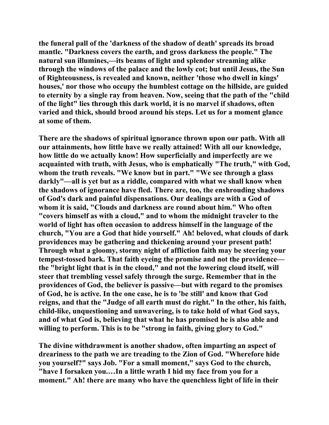**the funeral pall of the 'darkness of the shadow of death' spreads its broad mantle. "Darkness covers the earth, and gross darkness the people." The natural sun illumines,—its beams of light and splendor streaming alike through the windows of the palace and the lowly cot; but until Jesus, the Sun of Righteousness, is revealed and known, neither 'those who dwell in kings' houses,' nor those who occupy the humblest cottage on the hillside, are guided to eternity by a single ray from heaven. Now, seeing that the path of the "child of the light" lies through this dark world, it is no marvel if shadows, often varied and thick, should brood around his steps. Let us for a moment glance at some of them.** 

**There are the shadows of spiritual ignorance thrown upon our path. With all our attainments, how little have we really attained! With all our knowledge, how little do we actually know! How superficially and imperfectly are we acquainted with truth, with Jesus, who is emphatically "The truth," with God, whom the truth reveals. "We know but in part." "We see through a glass darkly"—all is yet but as a riddle, compared with what we shall know when the shadows of ignorance have fled. There are, too, the enshrouding shadows of God's dark and painful dispensations. Our dealings are with a God of whom it is said, "Clouds and darkness are round about him." Who often "covers himself as with a cloud," and to whom the midnight traveler to the world of light has often occasion to address himself in the language of the church, "You are a God that hide yourself." Ah! beloved, what clouds of dark providences may be gathering and thickening around your present path! Through what a gloomy, stormy night of affliction faith may be steering your tempest-tossed bark. That faith eyeing the promise and not the providence the "bright light that is in the cloud," and not the lowering cloud itself, will steer that trembling vessel safely through the surge. Remember that in the providences of God, the believer is passive—but with regard to the promises of God, he is active. In the one case, he is to 'be still' and know that God reigns, and that the "Judge of all earth must do right." In the other, his faith, child-like, unquestioning and unwavering, is to take hold of what God says, and of what God is, believing that what he has promised he is also able and willing to perform. This is to be "strong in faith, giving glory to God."** 

**The divine withdrawment is another shadow, often imparting an aspect of dreariness to the path we are treading to the Zion of God. "Wherefore hide you yourself?" says Job. "For a small moment," says God to the church, "have I forsaken you.…In a little wrath I hid my face from you for a moment." Ah! there are many who have the quenchless light of life in their**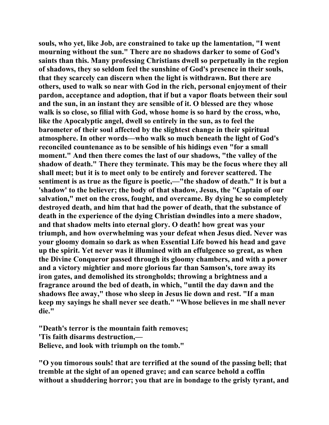**souls, who yet, like Job, are constrained to take up the lamentation, "I went mourning without the sun." There are no shadows darker to some of God's saints than this. Many professing Christians dwell so perpetually in the region of shadows, they so seldom feel the sunshine of God's presence in their souls, that they scarcely can discern when the light is withdrawn. But there are others, used to walk so near with God in the rich, personal enjoyment of their pardon, acceptance and adoption, that if but a vapor floats between their soul and the sun, in an instant they are sensible of it. O blessed are they whose walk is so close, so filial with God, whose home is so hard by the cross, who, like the Apocalyptic angel, dwell so entirely in the sun, as to feel the barometer of their soul affected by the slightest change in their spiritual atmosphere. In other words—who walk so much beneath the light of God's reconciled countenance as to be sensible of his hidings even "for a small moment." And then there comes the last of our shadows, "the valley of the shadow of death." There they terminate. This may be the focus where they all shall meet; but it is to meet only to be entirely and forever scattered. The sentiment is as true as the figure is poetic,—"the shadow of death." It is but a 'shadow' to the believer; the body of that shadow, Jesus, the "Captain of our salvation," met on the cross, fought, and overcame. By dying he so completely destroyed death, and him that had the power of death, that the substance of death in the experience of the dying Christian dwindles into a mere shadow, and that shadow melts into eternal glory. O death! how great was your triumph, and how overwhelming was your defeat when Jesus died. Never was your gloomy domain so dark as when Essential Life bowed his head and gave up the spirit. Yet never was it illumined with an effulgence so great, as when the Divine Conqueror passed through its gloomy chambers, and with a power and a victory mightier and more glorious far than Samson's, tore away its iron gates, and demolished its strongholds; throwing a brightness and a fragrance around the bed of death, in which, "until the day dawn and the shadows flee away," those who sleep in Jesus lie down and rest. "If a man keep my sayings he shall never see death." "Whose believes in me shall never die."** 

**"Death's terror is the mountain faith removes; 'Tis faith disarms destruction,— Believe, and look with triumph on the tomb."** 

**"O you timorous souls! that are terrified at the sound of the passing bell; that tremble at the sight of an opened grave; and can scarce behold a coffin without a shuddering horror; you that are in bondage to the grisly tyrant, and**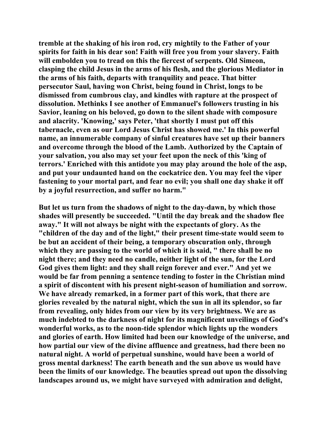**tremble at the shaking of his iron rod, cry mightily to the Father of your spirits for faith in his dear son! Faith will free you from your slavery. Faith will embolden you to tread on this the fiercest of serpents. Old Simeon, clasping the child Jesus in the arms of his flesh, and the glorious Mediator in the arms of his faith, departs with tranquility and peace. That bitter persecutor Saul, having won Christ, being found in Christ, longs to be dismissed from cumbrous clay, and kindles with rapture at the prospect of dissolution. Methinks I see another of Emmanuel's followers trusting in his Savior, leaning on his beloved, go down to the silent shade with composure and alacrity. 'Knowing,' says Peter, 'that shortly I must put off this tabernacle, even as our Lord Jesus Christ has showed me.' In this powerful name, an innumerable company of sinful creatures have set up their banners and overcome through the blood of the Lamb. Authorized by the Captain of your salvation, you also may set your feet upon the neck of this 'king of terrors.' Enriched with this antidote you may play around the hole of the asp, and put your undaunted hand on the cockatrice den. You may feel the viper fastening to your mortal part, and fear no evil; you shall one day shake it off by a joyful resurrection, and suffer no harm."** 

**But let us turn from the shadows of night to the day-dawn, by which those shades will presently be succeeded. "Until the day break and the shadow flee away." It will not always be night with the expectants of glory. As the "children of the day and of the light," their present time-state would seem to be but an accident of their being, a temporary obscuration only, through which they are passing to the world of which it is said, " there shall be no night there; and they need no candle, neither light of the sun, for the Lord God gives them light: and they shall reign forever and ever." And yet we would be far from penning a sentence tending to foster in the Christian mind a spirit of discontent with his present night-season of humiliation and sorrow. We have already remarked, in a former part of this work, that there are glories revealed by the natural night, which the sun in all its splendor, so far from revealing, only hides from our view by its very brightness. We are as much indebted to the darkness of night for its magnificent unveilings of God's wonderful works, as to the noon-tide splendor which lights up the wonders and glories of earth. How limited had been our knowledge of the universe, and how partial our view of the divine affluence and greatness, had there been no natural night. A world of perpetual sunshine, would have been a world of gross mental darkness! The earth beneath and the sun above us would have been the limits of our knowledge. The beauties spread out upon the dissolving landscapes around us, we might have surveyed with admiration and delight,**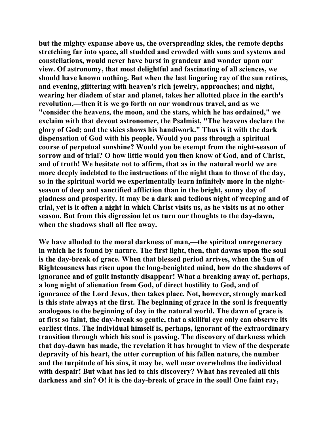**but the mighty expanse above us, the overspreading skies, the remote depths stretching far into space, all studded and crowded with suns and systems and constellations, would never have burst in grandeur and wonder upon our view. Of astronomy, that most delightful and fascinating of all sciences, we should have known nothing. But when the last lingering ray of the sun retires, and evening, glittering with heaven's rich jewelry, approaches; and night, wearing her diadem of star and planet, takes her allotted place in the earth's revolution,—then it is we go forth on our wondrous travel, and as we "consider the heavens, the moon, and the stars, which he has ordained," we exclaim with that devout astronomer, the Psalmist, "The heavens declare the glory of God; and the skies shows his handiwork." Thus is it with the dark dispensation of God with his people. Would you pass through a spiritual course of perpetual sunshine? Would you be exempt from the night-season of sorrow and of trial? O how little would you then know of God, and of Christ, and of truth! We hesitate not to affirm, that as in the natural world we are more deeply indebted to the instructions of the night than to those of the day, so in the spiritual world we experimentally learn infinitely more in the nightseason of deep and sanctified affliction than in the bright, sunny day of gladness and prosperity. It may be a dark and tedious night of weeping and of trial, yet is it often a night in which Christ visits us, as he visits us at no other season. But from this digression let us turn our thoughts to the day-dawn, when the shadows shall all flee away.** 

**We have alluded to the moral darkness of man,—the spiritual unregeneracy in which he is found by nature. The first light, then, that dawns upon the soul is the day-break of grace. When that blessed period arrives, when the Sun of Righteousness has risen upon the long-benighted mind, how do the shadows of ignorance and of guilt instantly disappear! What a breaking away of, perhaps, a long night of alienation from God, of direct hostility to God, and of ignorance of the Lord Jesus, then takes place. Not, however, strongly marked is this state always at the first. The beginning of grace in the soul is frequently analogous to the beginning of day in the natural world. The dawn of grace is at first so faint, the day-break so gentle, that a skillful eye only can observe its earliest tints. The individual himself is, perhaps, ignorant of the extraordinary transition through which his soul is passing. The discovery of darkness which that day-dawn has made, the revelation it has brought to view of the desperate depravity of his heart, the utter corruption of his fallen nature, the number and the turpitude of his sins, it may be, well near overwhelms the individual with despair! But what has led to this discovery? What has revealed all this darkness and sin? O! it is the day-break of grace in the soul! One faint ray,**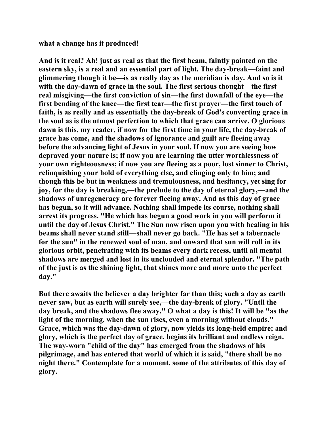**what a change has it produced!** 

**And is it real? Ah! just as real as that the first beam, faintly painted on the eastern sky, is a real and an essential part of light. The day-break—faint and glimmering though it be—is as really day as the meridian is day. And so is it with the day-dawn of grace in the soul. The first serious thought—the first real misgiving—the first conviction of sin—the first downfall of the eye—the first bending of the knee—the first tear—the first prayer—the first touch of faith, is as really and as essentially the day-break of God's converting grace in the soul as is the utmost perfection to which that grace can arrive. O glorious dawn is this, my reader, if now for the first time in your life, the day-break of grace has come, and the shadows of ignorance and guilt are fleeing away before the advancing light of Jesus in your soul. If now you are seeing how depraved your nature is; if now you are learning the utter worthlessness of your own righteousness; if now you are fleeing as a poor, lost sinner to Christ, relinquishing your hold of everything else, and clinging only to him; and though this be but in weakness and tremulousness, and hesitancy, yet sing for joy, for the day is breaking,—the prelude to the day of eternal glory,—and the shadows of unregeneracy are forever fleeing away. And as this day of grace has begun, so it will advance. Nothing shall impede its course, nothing shall arrest its progress. "He which has begun a good work in you will perform it until the day of Jesus Christ." The Sun now risen upon you with healing in his beams shall never stand still—shall never go back. "He has set a tabernacle for the sun" in the renewed soul of man, and onward that sun will roll in its glorious orbit, penetrating with its beams every dark recess, until all mental shadows are merged and lost in its unclouded and eternal splendor. "The path of the just is as the shining light, that shines more and more unto the perfect day."** 

**But there awaits the believer a day brighter far than this; such a day as earth never saw, but as earth will surely see,—the day-break of glory. "Until the day break, and the shadows flee away." O what a day is this! It will be "as the light of the morning, when the sun rises, even a morning without clouds." Grace, which was the day-dawn of glory, now yields its long-held empire; and glory, which is the perfect day of grace, begins its brilliant and endless reign. The way-worn "child of the day" has emerged from the shadows of his pilgrimage, and has entered that world of which it is said, "there shall be no night there." Contemplate for a moment, some of the attributes of this day of glory.**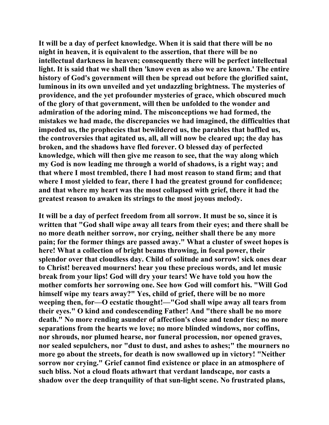**It will be a day of perfect knowledge. When it is said that there will be no night in heaven, it is equivalent to the assertion, that there will be no intellectual darkness in heaven; consequently there will be perfect intellectual light. It is said that we shall then 'know even as also we are known.' The entire history of God's government will then be spread out before the glorified saint, luminous in its own unveiled and yet undazzling brightness. The mysteries of providence, and the yet profounder mysteries of grace, which obscured much of the glory of that government, will then be unfolded to the wonder and admiration of the adoring mind. The misconceptions we had formed, the mistakes we had made, the discrepancies we had imagined, the difficulties that impeded us, the prophecies that bewildered us, the parables that baffled us, the controversies that agitated us, all, all will now be cleared up; the day has broken, and the shadows have fled forever. O blessed day of perfected knowledge, which will then give me reason to see, that the way along which my God is now leading me through a world of shadows, is a right way; and that where I most trembled, there I had most reason to stand firm; and that where I most yielded to fear, there I had the greatest ground for confidence; and that where my heart was the most collapsed with grief, there it had the greatest reason to awaken its strings to the most joyous melody.** 

**It will be a day of perfect freedom from all sorrow. It must be so, since it is written that "God shall wipe away all tears from their eyes; and there shall be no more death neither sorrow, nor crying, neither shall there be any more pain; for the former things are passed away." What a cluster of sweet hopes is here! What a collection of bright beams throwing, in focal power, their splendor over that cloudless day. Child of solitude and sorrow! sick ones dear to Christ! bereaved mourners! hear you these precious words, and let music break from your lips! God will dry your tears! We have told you how the mother comforts her sorrowing one. See how God will comfort his. "Will God himself wipe my tears away?" Yes, child of grief, there will be no more weeping then, for—O ecstatic thought!—"God shall wipe away all tears from their eyes." O kind and condescending Father! And "there shall be no more death." No more rending asunder of affection's close and tender ties; no more separations from the hearts we love; no more blinded windows, nor coffins, nor shrouds, nor plumed hearse, nor funeral procession, nor opened graves, nor sealed sepulchers, nor "dust to dust, and ashes to ashes;" the mourners no more go about the streets, for death is now swallowed up in victory! "Neither sorrow nor crying." Grief cannot find existence or place in an atmosphere of such bliss. Not a cloud floats athwart that verdant landscape, nor casts a shadow over the deep tranquility of that sun-light scene. No frustrated plans,**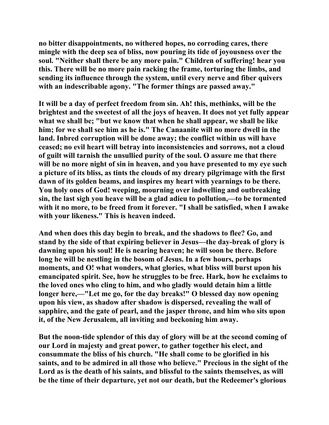**no bitter disappointments, no withered hopes, no corroding cares, there mingle with the deep sea of bliss, now pouring its tide of joyousness over the soul. "Neither shall there be any more pain." Children of suffering! hear you this. There will be no more pain racking the frame, torturing the limbs, and sending its influence through the system, until every nerve and fiber quivers with an indescribable agony. "The former things are passed away."** 

**It will be a day of perfect freedom from sin. Ah! this, methinks, will be the brightest and the sweetest of all the joys of heaven. It does not yet fully appear what we shall be; "but we know that when he shall appear, we shall be like him; for we shall see him as he is." The Canaanite will no more dwell in the land. Inbred corruption will be done away; the conflict within us will have ceased; no evil heart will betray into inconsistencies and sorrows, not a cloud of guilt will tarnish the unsullied purity of the soul. O assure me that there will be no more night of sin in heaven, and you have presented to my eye such a picture of its bliss, as tints the clouds of my dreary pilgrimage with the first dawn of its golden beams, and inspires my heart with yearnings to be there. You holy ones of God! weeping, mourning over indwelling and outbreaking sin, the last sigh you heave will be a glad adieu to pollution,—to be tormented with it no more, to be freed from it forever. "I shall be satisfied, when I awake with your likeness." This is heaven indeed.** 

**And when does this day begin to break, and the shadows to flee? Go, and stand by the side of that expiring believer in Jesus—the day-break of glory is dawning upon his soul! He is nearing heaven; he will soon be there. Before long he will be nestling in the bosom of Jesus. In a few hours, perhaps moments, and O! what wonders, what glories, what bliss will burst upon his emancipated spirit. See, how he struggles to be free. Hark, how he exclaims to the loved ones who cling to him, and who gladly would detain him a little longer here,—"Let me go, for the day breaks!" O blessed day now opening upon his view, as shadow after shadow is dispersed, revealing the wall of sapphire, and the gate of pearl, and the jasper throne, and him who sits upon it, of the New Jerusalem, all inviting and beckoning him away.** 

**But the noon-tide splendor of this day of glory will be at the second coming of our Lord in majesty and great power, to gather together his elect, and consummate the bliss of his church. "He shall come to be glorified in his saints, and to be admired in all those who believe." Precious in the sight of the Lord as is the death of his saints, and blissful to the saints themselves, as will be the time of their departure, yet not our death, but the Redeemer's glorious**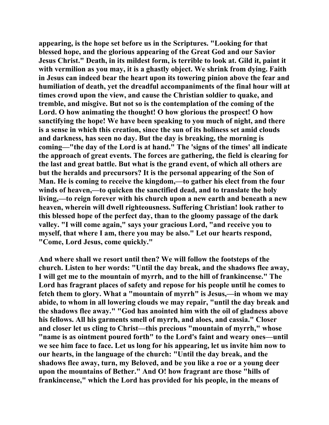**appearing, is the hope set before us in the Scriptures. "Looking for that blessed hope, and the glorious appearing of the Great God and our Savior Jesus Christ." Death, in its mildest form, is terrible to look at. Gild it, paint it with vermilion as you may, it is a ghastly object. We shrink from dying. Faith in Jesus can indeed bear the heart upon its towering pinion above the fear and humiliation of death, yet the dreadful accompaniments of the final hour will at times crowd upon the view, and cause the Christian soldier to quake, and tremble, and misgive. But not so is the contemplation of the coming of the Lord. O how animating the thought! O how glorious the prospect! O how sanctifying the hope! We have been speaking to you much of night, and there is a sense in which this creation, since the sun of its holiness set amid clouds and darkness, has seen no day. But the day is breaking, the morning is coming—"the day of the Lord is at hand." The 'signs of the times' all indicate the approach of great events. The forces are gathering, the field is clearing for the last and great battle. But what is the grand event, of which all others are but the heralds and precursors? It is the personal appearing of the Son of Man. He is coming to receive the kingdom,—to gather his elect from the four winds of heaven,—to quicken the sanctified dead, and to translate the holy living,—to reign forever with his church upon a new earth and beneath a new heaven, wherein will dwell righteousness. Suffering Christian! look rather to this blessed hope of the perfect day, than to the gloomy passage of the dark valley. "I will come again," says your gracious Lord, "and receive you to myself, that where I am, there you may be also." Let our hearts respond, "Come, Lord Jesus, come quickly."** 

**And where shall we resort until then? We will follow the footsteps of the church. Listen to her words: "Until the day break, and the shadows flee away, I will get me to the mountain of myrrh, and to the hill of frankincense." The Lord has fragrant places of safety and repose for his people until he comes to fetch them to glory. What a "mountain of myrrh" is Jesus,—in whom we may abide, to whom in all lowering clouds we may repair, "until the day break and the shadows flee away." "God has anointed him with the oil of gladness above his fellows. All his garments smell of myrrh, and aloes, and cassia." Closer and closer let us cling to Christ—this precious "mountain of myrrh," whose "name is as ointment poured forth" to the Lord's faint and weary ones—until we see him face to face. Let us long for his appearing, let us invite him now to our hearts, in the language of the church: "Until the day break, and the shadows flee away, turn, my Beloved, and be you like a roe or a young deer upon the mountains of Bether." And O! how fragrant are those "hills of frankincense," which the Lord has provided for his people, in the means of**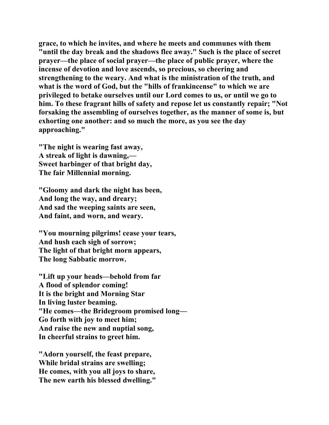**grace, to which he invites, and where he meets and communes with them "until the day break and the shadows flee away." Such is the place of secret prayer—the place of social prayer—the place of public prayer, where the incense of devotion and love ascends, so precious, so cheering and strengthening to the weary. And what is the ministration of the truth, and what is the word of God, but the "hills of frankincense" to which we are privileged to betake ourselves until our Lord comes to us, or until we go to him. To these fragrant hills of safety and repose let us constantly repair; "Not forsaking the assembling of ourselves together, as the manner of some is, but exhorting one another: and so much the more, as you see the day approaching."** 

**"The night is wearing fast away, A streak of light is dawning,— Sweet harbinger of that bright day, The fair Millennial morning.** 

**"Gloomy and dark the night has been, And long the way, and dreary; And sad the weeping saints are seen, And faint, and worn, and weary.** 

**"You mourning pilgrims! cease your tears, And hush each sigh of sorrow; The light of that bright morn appears, The long Sabbatic morrow.** 

**"Lift up your heads—behold from far A flood of splendor coming! It is the bright and Morning Star In living luster beaming. "He comes—the Bridegroom promised long— Go forth with joy to meet him; And raise the new and nuptial song, In cheerful strains to greet him.** 

**"Adorn yourself, the feast prepare, While bridal strains are swelling; He comes, with you all joys to share, The new earth his blessed dwelling."**